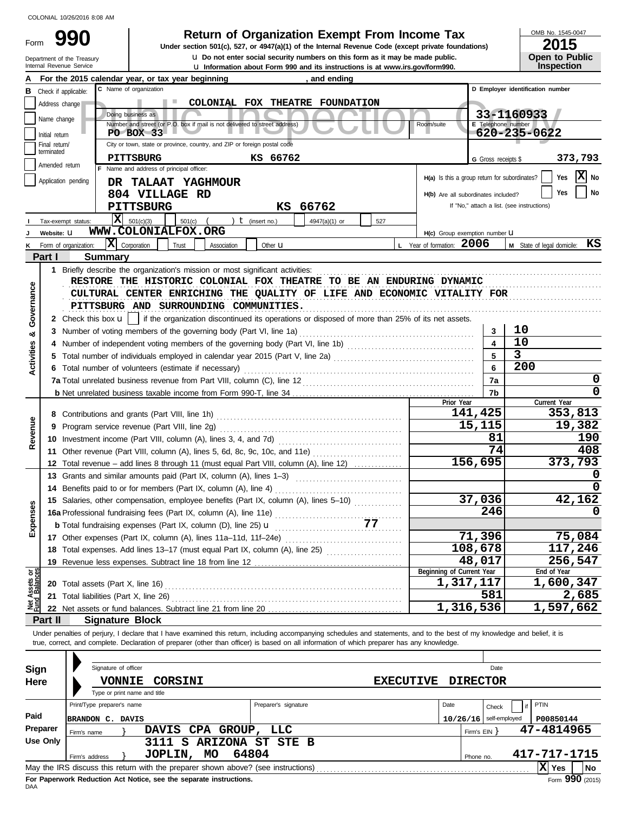Form 990

**u** Do not enter social security numbers on this form as it may be made public. **990 2015**<br>
Under section 501(c), 527, or 4947(a)(1) of the Internal Revenue Code (except private foundations) **2015** 

OMB No. 1545-0047

| ----           |  |
|----------------|--|
| Open to Public |  |
|                |  |
| Insnection     |  |

|                            | Department of the Treasury<br>Internal Revenue Service                             | <b>U.</b> Do not enter social security numbers on this form as it may be made public.<br>La Information about Form 990 and its instructions is at www.irs.gov/form990.     |                                     |                         | <b>Open to Public</b><br><b>Inspection</b>                     |  |  |  |  |  |
|----------------------------|------------------------------------------------------------------------------------|----------------------------------------------------------------------------------------------------------------------------------------------------------------------------|-------------------------------------|-------------------------|----------------------------------------------------------------|--|--|--|--|--|
|                            |                                                                                    | For the 2015 calendar year, or tax year beginning<br>and ending                                                                                                            |                                     |                         |                                                                |  |  |  |  |  |
| в                          | C Name of organization<br>D Employer identification number<br>Check if applicable: |                                                                                                                                                                            |                                     |                         |                                                                |  |  |  |  |  |
|                            |                                                                                    |                                                                                                                                                                            |                                     |                         |                                                                |  |  |  |  |  |
|                            | Address change                                                                     | COLONIAL FOX THEATRE FOUNDATION<br>Doing business as                                                                                                                       |                                     |                         | 33-1160933                                                     |  |  |  |  |  |
|                            | Name change                                                                        | Number and street (or P.O. box if mail is not delivered to street address)<br>Room/suite                                                                                   |                                     |                         | E Telephone number                                             |  |  |  |  |  |
|                            | Initial return                                                                     | PO BOX 33                                                                                                                                                                  |                                     |                         | 620-235-0622                                                   |  |  |  |  |  |
|                            | Final return/<br>terminated                                                        | City or town, state or province, country, and ZIP or foreign postal code                                                                                                   |                                     |                         |                                                                |  |  |  |  |  |
|                            | Amended return                                                                     | <b>PITTSBURG</b><br>KS 66762                                                                                                                                               |                                     | G Gross receipts \$     | 373,793                                                        |  |  |  |  |  |
|                            |                                                                                    | F Name and address of principal officer:                                                                                                                                   |                                     |                         | $X$ No<br>Yes<br>H(a) Is this a group return for subordinates? |  |  |  |  |  |
|                            | Application pending                                                                | DR TALAAT YAGHMOUR                                                                                                                                                         |                                     |                         |                                                                |  |  |  |  |  |
|                            |                                                                                    | 804 VILLAGE RD                                                                                                                                                             | H(b) Are all subordinates included? |                         | Yes<br>No                                                      |  |  |  |  |  |
|                            |                                                                                    | <b>PITTSBURG</b><br>KS 66762                                                                                                                                               |                                     |                         | If "No," attach a list. (see instructions)                     |  |  |  |  |  |
|                            | Tax-exempt status:                                                                 | $ \mathbf{X} $ 501(c)(3)<br>$501(c)$ (<br>) $t$ (insert no.)<br>4947(a)(1) or<br>527                                                                                       |                                     |                         |                                                                |  |  |  |  |  |
|                            | Website: U                                                                         | WWW.COLONIALFOX.ORG                                                                                                                                                        | H(c) Group exemption number U       |                         |                                                                |  |  |  |  |  |
|                            | Form of organization:                                                              | $\mathbf{X}$ Corporation<br>L Year of formation: 2006<br>Trust<br>Association<br>Other <b>u</b>                                                                            |                                     |                         | $M$ State of legal domicile: $KS$                              |  |  |  |  |  |
|                            | Part I                                                                             | <b>Summary</b>                                                                                                                                                             |                                     |                         |                                                                |  |  |  |  |  |
|                            |                                                                                    | 1 Briefly describe the organization's mission or most significant activities:                                                                                              |                                     |                         |                                                                |  |  |  |  |  |
|                            |                                                                                    | RESTORE THE HISTORIC COLONIAL FOX THEATRE TO BE AN ENDURING DYNAMIC                                                                                                        |                                     |                         |                                                                |  |  |  |  |  |
| Governance                 |                                                                                    | CULTURAL CENTER ENRICHING THE QUALITY OF LIFE AND ECONOMIC VITALITY FOR                                                                                                    |                                     |                         |                                                                |  |  |  |  |  |
|                            |                                                                                    | PITTSBURG AND SURROUNDING COMMUNITIES.                                                                                                                                     |                                     |                         |                                                                |  |  |  |  |  |
|                            |                                                                                    | 2 Check this box $\mathbf{u}$   if the organization discontinued its operations or disposed of more than 25% of its net assets.                                            |                                     |                         |                                                                |  |  |  |  |  |
| ೲ                          |                                                                                    |                                                                                                                                                                            |                                     | 3                       | 10                                                             |  |  |  |  |  |
|                            |                                                                                    |                                                                                                                                                                            |                                     | $\overline{\mathbf{A}}$ | 10                                                             |  |  |  |  |  |
| <b>Activities</b>          |                                                                                    |                                                                                                                                                                            |                                     | 5                       | $\overline{3}$                                                 |  |  |  |  |  |
|                            |                                                                                    | 6 Total number of volunteers (estimate if necessary)                                                                                                                       |                                     | 6                       | 200                                                            |  |  |  |  |  |
|                            |                                                                                    |                                                                                                                                                                            |                                     | 7a                      | 0                                                              |  |  |  |  |  |
|                            |                                                                                    |                                                                                                                                                                            |                                     | 7b                      | 0                                                              |  |  |  |  |  |
|                            |                                                                                    |                                                                                                                                                                            | Prior Year                          |                         | Current Year                                                   |  |  |  |  |  |
|                            |                                                                                    |                                                                                                                                                                            | 141,425                             |                         | 353,813                                                        |  |  |  |  |  |
| Revenue                    |                                                                                    |                                                                                                                                                                            | 15,115                              |                         | 19,382                                                         |  |  |  |  |  |
|                            |                                                                                    |                                                                                                                                                                            |                                     | 81                      | 190                                                            |  |  |  |  |  |
|                            |                                                                                    | 11 Other revenue (Part VIII, column (A), lines 5, 6d, 8c, 9c, 10c, and 11e) [[[[[[[[[[[[[[[[[[[[[[[[[[[[[[[[[                                                              |                                     | 74                      | 408                                                            |  |  |  |  |  |
|                            |                                                                                    | 12 Total revenue – add lines 8 through 11 (must equal Part VIII, column (A), line 12)                                                                                      | 156,695                             |                         | 373,793                                                        |  |  |  |  |  |
|                            |                                                                                    | 13 Grants and similar amounts paid (Part IX, column (A), lines 1-3)                                                                                                        |                                     |                         |                                                                |  |  |  |  |  |
|                            |                                                                                    | 14 Benefits paid to or for members (Part IX, column (A), line 4)                                                                                                           |                                     |                         |                                                                |  |  |  |  |  |
| S                          |                                                                                    | 15 Salaries, other compensation, employee benefits (Part IX, column (A), lines 5-10)                                                                                       | 37,036                              |                         | 42,162                                                         |  |  |  |  |  |
| ပ္တ                        |                                                                                    | 15 January, July 2004.<br>16a Professional fundraising fees (Part IX, column (A), line 11e)                                                                                |                                     | 246                     |                                                                |  |  |  |  |  |
| Expen                      |                                                                                    | <b>b</b> Total fundraising expenses (Part IX, column (D), line 25) $\mathbf{u}$                                                                                            |                                     |                         |                                                                |  |  |  |  |  |
|                            |                                                                                    | 17 Other expenses (Part IX, column (A), lines 11a-11d, 11f-24e)                                                                                                            | 71,396                              |                         | 75,084                                                         |  |  |  |  |  |
|                            |                                                                                    | 18 Total expenses. Add lines 13-17 (must equal Part IX, column (A), line 25) [[[[[[[[[[[[[[[[[[[[[[[[[[[[[[[[                                                              | 108,678                             |                         | 117,246                                                        |  |  |  |  |  |
|                            |                                                                                    |                                                                                                                                                                            | 48,017                              |                         | 256,547                                                        |  |  |  |  |  |
|                            |                                                                                    |                                                                                                                                                                            | Beginning of Current Year           |                         | End of Year                                                    |  |  |  |  |  |
| Assets or<br>d<br>Balances |                                                                                    | 20 Total assets (Part X, line 16)                                                                                                                                          | 1,317,117                           |                         | 1,600,347                                                      |  |  |  |  |  |
|                            |                                                                                    | 21 Total liabilities (Part X, line 26)                                                                                                                                     |                                     | 581                     | 2,685                                                          |  |  |  |  |  |
| <b>Det</b><br>Pind         |                                                                                    |                                                                                                                                                                            | 1,316,536                           |                         | 1,597,662                                                      |  |  |  |  |  |
|                            | Part II                                                                            | <b>Signature Block</b>                                                                                                                                                     |                                     |                         |                                                                |  |  |  |  |  |
|                            |                                                                                    | Under penalties of perjury, I declare that I have examined this return, including accompanying schedules and statements, and to the best of my knowledge and belief, it is |                                     |                         |                                                                |  |  |  |  |  |
|                            |                                                                                    | true, correct, and complete. Declaration of preparer (other than officer) is based on all information of which preparer has any knowledge.                                 |                                     |                         |                                                                |  |  |  |  |  |
|                            |                                                                                    |                                                                                                                                                                            |                                     |                         |                                                                |  |  |  |  |  |
| Sign                       |                                                                                    | Signature of officer                                                                                                                                                       |                                     | Date                    |                                                                |  |  |  |  |  |
| Here                       |                                                                                    | <b>VONNIE</b><br><b>CORSINI</b><br><b>EXECUTIVE</b>                                                                                                                        | <b>DIRECTOR</b>                     |                         |                                                                |  |  |  |  |  |
|                            |                                                                                    | Type or print name and title                                                                                                                                               |                                     |                         |                                                                |  |  |  |  |  |
|                            |                                                                                    | Print/Type preparer's name<br>Preparer's signature                                                                                                                         | Date                                | Check                   | PTIN<br>if                                                     |  |  |  |  |  |
| Paid                       |                                                                                    | BRANDON C. DAVIS                                                                                                                                                           | $10/26/16$ self-employed            |                         | P00850144                                                      |  |  |  |  |  |
|                            | Preparer<br>Firm's name                                                            | DAVIS CPA GROUP, LLC                                                                                                                                                       | Firm's $EIN$ }                      |                         | 47-4814965                                                     |  |  |  |  |  |
|                            | <b>Use Only</b>                                                                    | 3111 S<br><b>ARIZONA ST STE B</b>                                                                                                                                          |                                     |                         |                                                                |  |  |  |  |  |
|                            | Firm's address                                                                     | 64804<br>JOPLIN, MO                                                                                                                                                        | Phone no.                           |                         | 417-717-1715                                                   |  |  |  |  |  |
|                            |                                                                                    |                                                                                                                                                                            |                                     |                         | $\mathbf{\overline{X}}$ Yes<br>No                              |  |  |  |  |  |

| Sign     | Signature of officer                                                                  |                                                                                   |                      |          |                 | Date          |                   |    |  |  |
|----------|---------------------------------------------------------------------------------------|-----------------------------------------------------------------------------------|----------------------|----------|-----------------|---------------|-------------------|----|--|--|
| Here     | <b>VONNIE</b>                                                                         | CORSINI                                                                           | <b>EXECUTIVE</b>     |          | <b>DIRECTOR</b> |               |                   |    |  |  |
|          | Type or print name and title                                                          |                                                                                   |                      |          |                 |               |                   |    |  |  |
|          | Print/Type preparer's name                                                            |                                                                                   | Preparer's signature | Date     | Check           |               | PTIN              |    |  |  |
| Paid     | BRANDON C. DAVIS                                                                      |                                                                                   |                      | 10/26/16 |                 | self-employed | P00850144         |    |  |  |
| Preparer | Firm's name                                                                           | DAVIS CPA GROUP,                                                                  | LLC                  |          | Firm's EIN Y    |               | 47-4814965        |    |  |  |
| Use Only |                                                                                       | 3111 S                                                                            | ARIZONA ST STE B     |          |                 |               |                   |    |  |  |
|          | Firm's address                                                                        | <b>MO</b><br>JOPLIN,                                                              | 64804                |          | Phone no.       |               | 417-717-1715      |    |  |  |
|          |                                                                                       | May the IRS discuss this return with the preparer shown above? (see instructions) |                      |          |                 |               | IхI<br><b>Yes</b> | No |  |  |
| DAA      | Form 990 (2015)<br>For Paperwork Reduction Act Notice, see the separate instructions. |                                                                                   |                      |          |                 |               |                   |    |  |  |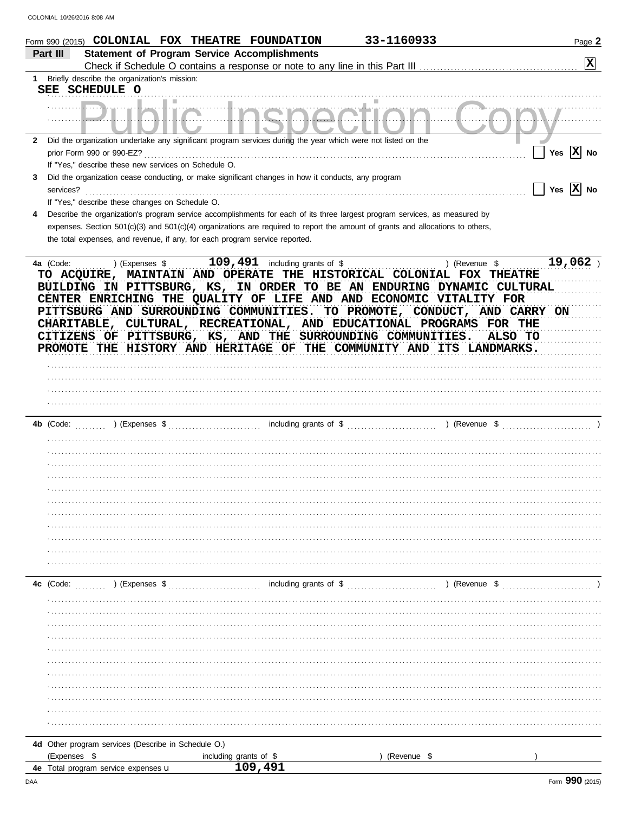|              | Form 990 (2015) COLONIAL FOX THEATRE FOUNDATION                                                                                |                                                |                        | 33-1160933    | Page 2                                                                                                                                                                                                                                                                         |
|--------------|--------------------------------------------------------------------------------------------------------------------------------|------------------------------------------------|------------------------|---------------|--------------------------------------------------------------------------------------------------------------------------------------------------------------------------------------------------------------------------------------------------------------------------------|
|              | <b>Statement of Program Service Accomplishments</b><br>Part III                                                                |                                                |                        |               |                                                                                                                                                                                                                                                                                |
|              |                                                                                                                                |                                                |                        |               | $\overline{\mathbf{x}}$                                                                                                                                                                                                                                                        |
| 1.           | Briefly describe the organization's mission:                                                                                   |                                                |                        |               |                                                                                                                                                                                                                                                                                |
|              | SEE SCHEDULE O                                                                                                                 |                                                |                        |               |                                                                                                                                                                                                                                                                                |
|              |                                                                                                                                |                                                |                        |               |                                                                                                                                                                                                                                                                                |
|              |                                                                                                                                |                                                |                        |               |                                                                                                                                                                                                                                                                                |
| $\mathbf{2}$ | Did the organization undertake any significant program services during the year which were not listed on the                   |                                                |                        |               |                                                                                                                                                                                                                                                                                |
|              | prior Form 990 or 990-EZ?                                                                                                      |                                                |                        |               | Yes $\overline{X}$ No                                                                                                                                                                                                                                                          |
|              | If "Yes," describe these new services on Schedule O.                                                                           |                                                |                        |               |                                                                                                                                                                                                                                                                                |
| 3            | Did the organization cease conducting, or make significant changes in how it conducts, any program                             |                                                |                        |               |                                                                                                                                                                                                                                                                                |
|              | services?                                                                                                                      |                                                |                        |               | Yes $X$ No                                                                                                                                                                                                                                                                     |
|              | If "Yes," describe these changes on Schedule O.                                                                                |                                                |                        |               |                                                                                                                                                                                                                                                                                |
| 4            | Describe the organization's program service accomplishments for each of its three largest program services, as measured by     |                                                |                        |               |                                                                                                                                                                                                                                                                                |
|              | expenses. Section 501(c)(3) and 501(c)(4) organizations are required to report the amount of grants and allocations to others, |                                                |                        |               |                                                                                                                                                                                                                                                                                |
|              | the total expenses, and revenue, if any, for each program service reported.                                                    |                                                |                        |               |                                                                                                                                                                                                                                                                                |
|              |                                                                                                                                |                                                |                        |               |                                                                                                                                                                                                                                                                                |
|              | 4a (Code:<br>) (Expenses \$                                                                                                    | $\frac{109}{109}$ , 491 including grants of \$ |                        | ) (Revenue \$ | 19,062                                                                                                                                                                                                                                                                         |
|              | TO ACQUIRE, MAINTAIN AND OPERATE THE HISTORICAL COLONIAL FOX THEATRE                                                           |                                                |                        |               |                                                                                                                                                                                                                                                                                |
|              | BUILDING IN PITTSBURG, KS, IN ORDER TO BE AN ENDURING DYNAMIC CULTURAL                                                         |                                                |                        |               |                                                                                                                                                                                                                                                                                |
|              | CENTER ENRICHING THE QUALITY OF LIFE AND AND ECONOMIC VITALITY FOR                                                             |                                                |                        |               |                                                                                                                                                                                                                                                                                |
|              | PITTSBURG AND SURROUNDING COMMUNITIES. TO PROMOTE, CONDUCT, AND CARRY ON                                                       |                                                |                        |               |                                                                                                                                                                                                                                                                                |
|              | CHARITABLE, CULTURAL, RECREATIONAL, AND EDUCATIONAL PROGRAMS FOR THE                                                           |                                                |                        |               |                                                                                                                                                                                                                                                                                |
|              | CITIZENS OF PITTSBURG, KS, AND THE SURROUNDING COMMUNITIES.                                                                    |                                                |                        |               | ALSO TO                                                                                                                                                                                                                                                                        |
|              | PROMOTE THE HISTORY AND HERITAGE OF THE COMMUNITY AND ITS LANDMARKS.                                                           |                                                |                        |               |                                                                                                                                                                                                                                                                                |
|              |                                                                                                                                |                                                |                        |               |                                                                                                                                                                                                                                                                                |
|              |                                                                                                                                |                                                |                        |               |                                                                                                                                                                                                                                                                                |
|              |                                                                                                                                |                                                |                        |               |                                                                                                                                                                                                                                                                                |
|              |                                                                                                                                |                                                |                        |               |                                                                                                                                                                                                                                                                                |
|              |                                                                                                                                |                                                |                        |               |                                                                                                                                                                                                                                                                                |
|              | 4b (Code:                                                                                                                      |                                                |                        |               | ) (Expenses $\frac{1}{2}$ (Expenses $\frac{1}{2}$ molume $\frac{1}{2}$ molume $\frac{1}{2}$ molume $\frac{1}{2}$ molume $\frac{1}{2}$ molecule $\frac{1}{2}$ molecule $\frac{1}{2}$ molecule $\frac{1}{2}$ molecule $\frac{1}{2}$ molecule $\frac{1}{2}$ molecule $\frac{1}{2$ |
|              |                                                                                                                                |                                                |                        |               |                                                                                                                                                                                                                                                                                |
|              |                                                                                                                                |                                                |                        |               |                                                                                                                                                                                                                                                                                |
|              |                                                                                                                                |                                                |                        |               |                                                                                                                                                                                                                                                                                |
|              |                                                                                                                                |                                                |                        |               |                                                                                                                                                                                                                                                                                |
|              |                                                                                                                                |                                                |                        |               |                                                                                                                                                                                                                                                                                |
|              |                                                                                                                                |                                                |                        |               |                                                                                                                                                                                                                                                                                |
|              |                                                                                                                                |                                                |                        |               |                                                                                                                                                                                                                                                                                |
|              |                                                                                                                                |                                                |                        |               |                                                                                                                                                                                                                                                                                |
|              |                                                                                                                                |                                                |                        |               |                                                                                                                                                                                                                                                                                |
|              |                                                                                                                                |                                                |                        |               |                                                                                                                                                                                                                                                                                |
|              |                                                                                                                                |                                                |                        |               |                                                                                                                                                                                                                                                                                |
|              |                                                                                                                                |                                                |                        |               |                                                                                                                                                                                                                                                                                |
|              | ) (Expenses \$<br>4c (Code:                                                                                                    |                                                | including grants of \$ | ) (Revenue \$ |                                                                                                                                                                                                                                                                                |
|              |                                                                                                                                |                                                |                        |               |                                                                                                                                                                                                                                                                                |
|              |                                                                                                                                |                                                |                        |               |                                                                                                                                                                                                                                                                                |
|              |                                                                                                                                |                                                |                        |               |                                                                                                                                                                                                                                                                                |
|              |                                                                                                                                |                                                |                        |               |                                                                                                                                                                                                                                                                                |
|              |                                                                                                                                |                                                |                        |               |                                                                                                                                                                                                                                                                                |
|              |                                                                                                                                |                                                |                        |               |                                                                                                                                                                                                                                                                                |
|              |                                                                                                                                |                                                |                        |               |                                                                                                                                                                                                                                                                                |
|              |                                                                                                                                |                                                |                        |               |                                                                                                                                                                                                                                                                                |
|              |                                                                                                                                |                                                |                        |               |                                                                                                                                                                                                                                                                                |
|              |                                                                                                                                |                                                |                        |               |                                                                                                                                                                                                                                                                                |
|              |                                                                                                                                |                                                |                        |               |                                                                                                                                                                                                                                                                                |
|              |                                                                                                                                |                                                |                        |               |                                                                                                                                                                                                                                                                                |
|              | 4d Other program services (Describe in Schedule O.)                                                                            |                                                |                        |               |                                                                                                                                                                                                                                                                                |
|              | (Expenses \$                                                                                                                   | including grants of \$                         |                        | (Revenue \$   |                                                                                                                                                                                                                                                                                |
|              | <b>4e</b> Total program service expenses <b>u</b>                                                                              | 109, 491                                       |                        |               |                                                                                                                                                                                                                                                                                |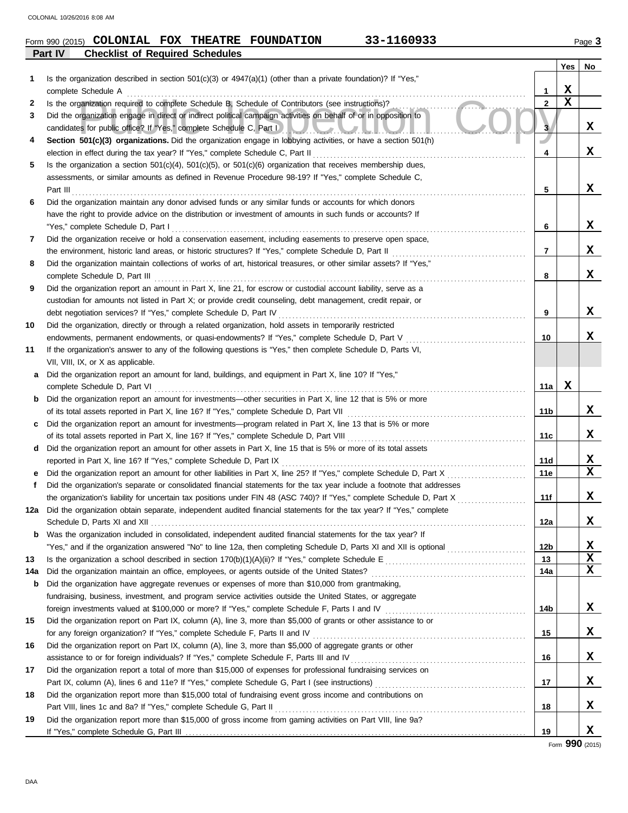DAA

| COLONIAL 10/26/2016 8:08 AM |  |  |
|-----------------------------|--|--|
|                             |  |  |

|         | Form 990 (2015) <b>COLONIAL FOX</b>    | <b>THEATRE</b> | <b>FOUNDATION</b> | 33-1160933 |     | Page 3    |
|---------|----------------------------------------|----------------|-------------------|------------|-----|-----------|
| Part IV | <b>Checklist of Required Schedules</b> |                |                   |            |     |           |
|         |                                        |                |                   |            | Yes | <b>No</b> |

| 1   | Is the organization described in section $501(c)(3)$ or $4947(a)(1)$ (other than a private foundation)? If "Yes,"                                                                                 |                 | <b>Yes</b>  | No              |
|-----|---------------------------------------------------------------------------------------------------------------------------------------------------------------------------------------------------|-----------------|-------------|-----------------|
|     | complete Schedule A                                                                                                                                                                               | 1               | x           |                 |
| 2   | .<br>Is the organization required to complete Schedule B, Schedule of Contributors (see instructions)?                                                                                            | $\mathbf{2}$    | $\mathbf x$ |                 |
| 3   | Did the organization engage in direct or indirect political campaign activities on behalf of or in opposition to                                                                                  |                 |             |                 |
|     |                                                                                                                                                                                                   | 3               |             | X               |
| 4   | Section 501(c)(3) organizations. Did the organization engage in lobbying activities, or have a section 501(h)                                                                                     |                 |             |                 |
|     | election in effect during the tax year? If "Yes," complete Schedule C, Part II                                                                                                                    | 4               |             | X.              |
| 5   | Is the organization a section $501(c)(4)$ , $501(c)(5)$ , or $501(c)(6)$ organization that receives membership dues,                                                                              |                 |             |                 |
|     | assessments, or similar amounts as defined in Revenue Procedure 98-19? If "Yes," complete Schedule C,                                                                                             |                 |             |                 |
|     | Part III                                                                                                                                                                                          | 5               |             | X               |
| 6   | Did the organization maintain any donor advised funds or any similar funds or accounts for which donors                                                                                           |                 |             |                 |
|     | have the right to provide advice on the distribution or investment of amounts in such funds or accounts? If                                                                                       |                 |             |                 |
|     | "Yes," complete Schedule D, Part I                                                                                                                                                                | 6               |             | X               |
| 7   | Did the organization receive or hold a conservation easement, including easements to preserve open space,                                                                                         |                 |             |                 |
|     |                                                                                                                                                                                                   | 7               |             | X.              |
| 8   | Did the organization maintain collections of works of art, historical treasures, or other similar assets? If "Yes,"                                                                               |                 |             |                 |
|     | complete Schedule D, Part III                                                                                                                                                                     | 8               |             | X               |
| 9   | Did the organization report an amount in Part X, line 21, for escrow or custodial account liability, serve as a                                                                                   |                 |             |                 |
|     | custodian for amounts not listed in Part X; or provide credit counseling, debt management, credit repair, or                                                                                      |                 |             |                 |
|     | debt negotiation services? If "Yes," complete Schedule D, Part IV                                                                                                                                 | 9               |             | X               |
| 10  | Did the organization, directly or through a related organization, hold assets in temporarily restricted                                                                                           |                 |             | X               |
|     | endowments, permanent endowments, or quasi-endowments? If "Yes," complete Schedule D, Part V                                                                                                      | 10              |             |                 |
| 11  | If the organization's answer to any of the following questions is "Yes," then complete Schedule D, Parts VI,<br>VII, VIII, IX, or X as applicable.                                                |                 |             |                 |
| a   | Did the organization report an amount for land, buildings, and equipment in Part X, line 10? If "Yes,"                                                                                            |                 |             |                 |
|     | complete Schedule D, Part VI                                                                                                                                                                      | 11a             | x           |                 |
| b   | Did the organization report an amount for investments—other securities in Part X, line 12 that is 5% or more                                                                                      |                 |             |                 |
|     | of its total assets reported in Part X, line 16? If "Yes," complete Schedule D, Part VII                                                                                                          | 11b             |             | X.              |
| c   | Did the organization report an amount for investments-program related in Part X, line 13 that is 5% or more                                                                                       |                 |             |                 |
|     | of its total assets reported in Part X, line 16? If "Yes," complete Schedule D, Part VIII                                                                                                         | 11c             |             | X               |
| d   | Did the organization report an amount for other assets in Part X, line 15 that is 5% or more of its total assets                                                                                  |                 |             |                 |
|     | reported in Part X, line 16? If "Yes," complete Schedule D, Part IX                                                                                                                               | 11d             |             | X               |
| е   | Did the organization report an amount for other liabilities in Part X, line 25? If "Yes," complete Schedule D, Part X                                                                             | 11e             |             | $\mathbf x$     |
| f   | Did the organization's separate or consolidated financial statements for the tax year include a footnote that addresses                                                                           |                 |             |                 |
|     | the organization's liability for uncertain tax positions under FIN 48 (ASC 740)? If "Yes," complete Schedule D, Part X                                                                            | 11f             |             | X               |
|     | 12a Did the organization obtain separate, independent audited financial statements for the tax year? If "Yes," complete                                                                           |                 |             |                 |
|     |                                                                                                                                                                                                   | 12a             |             | X.              |
| b   | Was the organization included in consolidated, independent audited financial statements for the tax year? If                                                                                      |                 |             |                 |
|     |                                                                                                                                                                                                   | 12 <sub>b</sub> |             | X               |
| 13  |                                                                                                                                                                                                   | 13              |             | $\mathbf x$     |
| 14a |                                                                                                                                                                                                   | 14a             |             | X               |
| b   | Did the organization have aggregate revenues or expenses of more than \$10,000 from grantmaking,                                                                                                  |                 |             |                 |
|     | fundraising, business, investment, and program service activities outside the United States, or aggregate                                                                                         |                 |             |                 |
|     | foreign investments valued at \$100,000 or more? If "Yes," complete Schedule F, Parts I and IV [[[[[[[[[[[[[[[[                                                                                   | 14b             |             | X               |
| 15  | Did the organization report on Part IX, column (A), line 3, more than \$5,000 of grants or other assistance to or<br>for any foreign organization? If "Yes," complete Schedule F, Parts II and IV | 15              |             | X,              |
| 16  | Did the organization report on Part IX, column (A), line 3, more than \$5,000 of aggregate grants or other                                                                                        |                 |             |                 |
|     | assistance to or for foreign individuals? If "Yes," complete Schedule F, Parts III and IV                                                                                                         | 16              |             | X,              |
| 17  | Did the organization report a total of more than \$15,000 of expenses for professional fundraising services on                                                                                    |                 |             |                 |
|     |                                                                                                                                                                                                   | 17              |             | X               |
| 18  | Did the organization report more than \$15,000 total of fundraising event gross income and contributions on                                                                                       |                 |             |                 |
|     | Part VIII, lines 1c and 8a? If "Yes," complete Schedule G, Part II                                                                                                                                | 18              |             | X.              |
| 19  | Did the organization report more than \$15,000 of gross income from gaming activities on Part VIII, line 9a?                                                                                      |                 |             |                 |
|     |                                                                                                                                                                                                   | 19              |             | X.              |
|     |                                                                                                                                                                                                   |                 |             | Form 990 (2015) |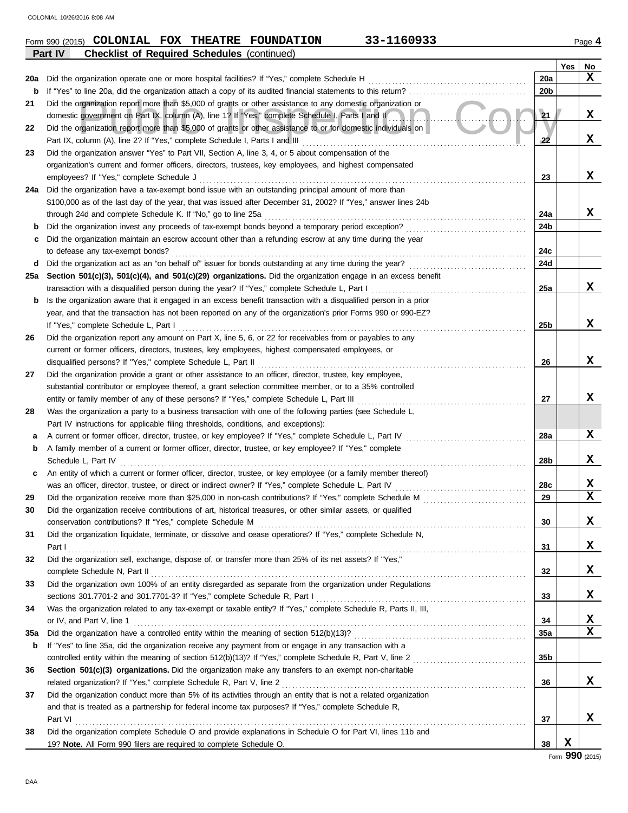|     | Part IV<br><b>Checklist of Required Schedules (continued)</b>                                                    |                 |     |                         |
|-----|------------------------------------------------------------------------------------------------------------------|-----------------|-----|-------------------------|
|     |                                                                                                                  |                 | Yes | No                      |
| 20a | Did the organization operate one or more hospital facilities? If "Yes," complete Schedule H                      | 20a             |     | $\mathbf x$             |
| b   |                                                                                                                  | 20b             |     |                         |
| 21  | Did the organization report more than \$5,000 of grants or other assistance to any domestic organization or      |                 |     |                         |
|     | domestic government on Part IX, column (A), line 1? If "Yes," complete Schedule I, Parts I and II                | 21              |     | x                       |
| 22  | Did the organization report more than \$5,000 of grants or other assistance to or for domestic individuals on    |                 |     |                         |
|     | Part IX, column (A), line 2? If "Yes," complete Schedule I, Parts I and III                                      | 22              |     | x                       |
| 23  | Did the organization answer "Yes" to Part VII, Section A, line 3, 4, or 5 about compensation of the              |                 |     |                         |
|     | organization's current and former officers, directors, trustees, key employees, and highest compensated          |                 |     |                         |
|     | employees? If "Yes," complete Schedule J                                                                         | 23              |     | x                       |
| 24a | Did the organization have a tax-exempt bond issue with an outstanding principal amount of more than              |                 |     |                         |
|     | \$100,000 as of the last day of the year, that was issued after December 31, 2002? If "Yes," answer lines 24b    |                 |     |                         |
|     | through 24d and complete Schedule K. If "No," go to line 25a                                                     | 24a             |     | x                       |
| b   | Did the organization invest any proceeds of tax-exempt bonds beyond a temporary period exception?                | 24b             |     |                         |
| c   | Did the organization maintain an escrow account other than a refunding escrow at any time during the year        |                 |     |                         |
|     | to defease any tax-exempt bonds?                                                                                 | 24c             |     |                         |
| d   |                                                                                                                  | 24d             |     |                         |
| 25a | Section 501(c)(3), 501(c)(4), and 501(c)(29) organizations. Did the organization engage in an excess benefit     |                 |     |                         |
|     | transaction with a disqualified person during the year? If "Yes," complete Schedule L, Part I                    | 25a             |     | x                       |
| b   | Is the organization aware that it engaged in an excess benefit transaction with a disqualified person in a prior |                 |     |                         |
|     | year, and that the transaction has not been reported on any of the organization's prior Forms 990 or 990-EZ?     |                 |     |                         |
|     | If "Yes," complete Schedule L, Part I                                                                            | 25b             |     | x                       |
| 26  | Did the organization report any amount on Part X, line 5, 6, or 22 for receivables from or payables to any       |                 |     |                         |
|     | current or former officers, directors, trustees, key employees, highest compensated employees, or                |                 |     |                         |
|     | disqualified persons? If "Yes," complete Schedule L, Part II                                                     | 26              |     | x                       |
| 27  | Did the organization provide a grant or other assistance to an officer, director, trustee, key employee,         |                 |     |                         |
|     | substantial contributor or employee thereof, a grant selection committee member, or to a 35% controlled          |                 |     |                         |
|     | entity or family member of any of these persons? If "Yes," complete Schedule L, Part III                         | 27              |     | X                       |
| 28  | Was the organization a party to a business transaction with one of the following parties (see Schedule L,        |                 |     |                         |
|     | Part IV instructions for applicable filing thresholds, conditions, and exceptions):                              |                 |     |                         |
| а   | A current or former officer, director, trustee, or key employee? If "Yes," complete Schedule L, Part IV          | 28a             |     | X                       |
| b   | A family member of a current or former officer, director, trustee, or key employee? If "Yes," complete           |                 |     |                         |
|     | Schedule L, Part IV                                                                                              | 28b             |     | X                       |
| c   | An entity of which a current or former officer, director, trustee, or key employee (or a family member thereof)  |                 |     |                         |
|     | was an officer, director, trustee, or direct or indirect owner? If "Yes," complete Schedule L, Part IV           | 28c             |     | X                       |
| 29  |                                                                                                                  | 29              |     | $\overline{\mathbf{x}}$ |
| 30  | Did the organization receive contributions of art, historical treasures, or other similar assets, or qualified   |                 |     |                         |
|     |                                                                                                                  | 30              |     | X                       |
| 31  | Did the organization liquidate, terminate, or dissolve and cease operations? If "Yes," complete Schedule N,      |                 |     |                         |
|     |                                                                                                                  | 31              |     | X                       |
| 32  | Did the organization sell, exchange, dispose of, or transfer more than 25% of its net assets? If "Yes,"          |                 |     |                         |
|     |                                                                                                                  | 32              |     | X                       |
| 33  | Did the organization own 100% of an entity disregarded as separate from the organization under Regulations       |                 |     |                         |
|     |                                                                                                                  | 33              |     | X                       |
| 34  | Was the organization related to any tax-exempt or taxable entity? If "Yes," complete Schedule R, Parts II, III,  |                 |     |                         |
|     | or IV, and Part V, line 1                                                                                        | 34              |     | X                       |
| 35a |                                                                                                                  | 35a             |     | $\overline{\mathbf{x}}$ |
| b   | If "Yes" to line 35a, did the organization receive any payment from or engage in any transaction with a          |                 |     |                         |
|     |                                                                                                                  | 35 <sub>b</sub> |     |                         |
| 36  | Section 501(c)(3) organizations. Did the organization make any transfers to an exempt non-charitable             |                 |     |                         |
|     |                                                                                                                  | 36              |     | X                       |
| 37  | Did the organization conduct more than 5% of its activities through an entity that is not a related organization |                 |     |                         |
|     | and that is treated as a partnership for federal income tax purposes? If "Yes," complete Schedule R,             |                 |     |                         |
|     | Part VI                                                                                                          | 37              |     | x                       |
| 38  | Did the organization complete Schedule O and provide explanations in Schedule O for Part VI, lines 11b and       |                 |     |                         |
|     | 19? Note. All Form 990 filers are required to complete Schedule O.                                               | 38              | х   |                         |

| <b>COLONIAL FOX</b><br><b>THEATRE</b><br><b>FOUNDATION</b><br>Form 990 (2015) | 33-1160933 | Page 4 |
|-------------------------------------------------------------------------------|------------|--------|
|-------------------------------------------------------------------------------|------------|--------|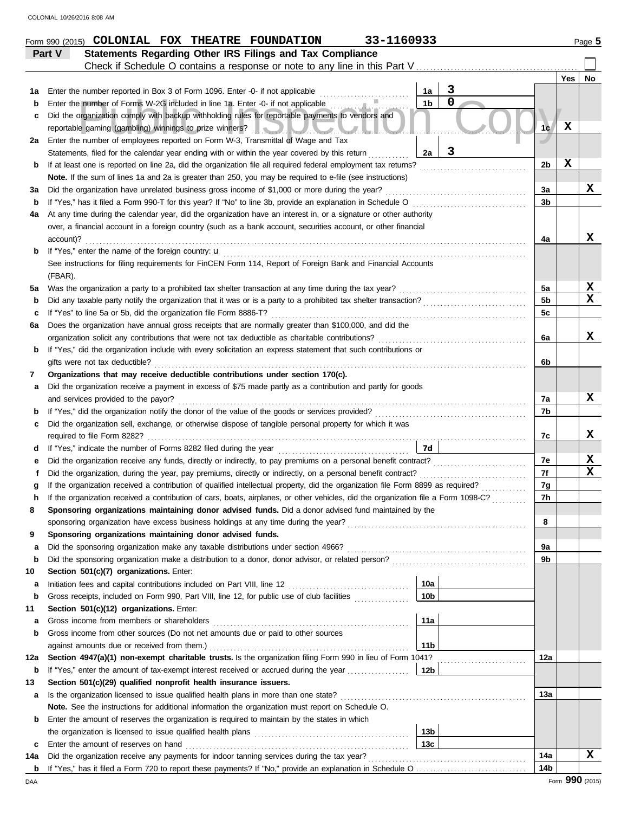|         | 33-1160933<br>Form 990 (2015) COLONIAL FOX THEATRE FOUNDATION                                                                                                                               |                |             | Page 5      |
|---------|---------------------------------------------------------------------------------------------------------------------------------------------------------------------------------------------|----------------|-------------|-------------|
|         | Statements Regarding Other IRS Filings and Tax Compliance<br>Part V                                                                                                                         |                |             |             |
|         |                                                                                                                                                                                             |                |             |             |
|         |                                                                                                                                                                                             |                | Yes         | No          |
| 1а      | 3<br>Enter the number reported in Box 3 of Form 1096. Enter -0- if not applicable<br>1a<br>$\overline{0}$                                                                                   |                |             |             |
| b       | 1 <sub>b</sub><br>Enter the number of Forms W-2G included in line 1a. Enter -0- if not applicable                                                                                           |                |             |             |
| c       | Did the organization comply with backup withholding rules for reportable payments to vendors and                                                                                            |                | $\mathbf x$ |             |
|         | reportable gaming (gambling) winnings to prize winners? New York Contract in the set of the set of the set of                                                                               | 1c             |             |             |
| 2a      | Enter the number of employees reported on Form W-3, Transmittal of Wage and Tax<br>3<br>2a<br>Statements, filed for the calendar year ending with or within the year covered by this return |                |             |             |
| b       | If at least one is reported on line 2a, did the organization file all required federal employment tax returns?                                                                              | 2b             | X           |             |
|         | Note. If the sum of lines 1a and 2a is greater than 250, you may be required to e-file (see instructions)                                                                                   |                |             |             |
| За      | Did the organization have unrelated business gross income of \$1,000 or more during the year?                                                                                               | 3a             |             | x           |
| b       | If "Yes," has it filed a Form 990-T for this year? If "No" to line 3b, provide an explanation in Schedule O                                                                                 | 3b             |             |             |
| 4а      | At any time during the calendar year, did the organization have an interest in, or a signature or other authority                                                                           |                |             |             |
|         | over, a financial account in a foreign country (such as a bank account, securities account, or other financial                                                                              |                |             |             |
|         | account)?                                                                                                                                                                                   | 4a             |             | x           |
| b       | If "Yes," enter the name of the foreign country: u                                                                                                                                          |                |             |             |
|         | See instructions for filing requirements for FinCEN Form 114, Report of Foreign Bank and Financial Accounts                                                                                 |                |             |             |
|         | (FBAR).                                                                                                                                                                                     |                |             |             |
| 5a      | Was the organization a party to a prohibited tax shelter transaction at any time during the tax year?                                                                                       | 5a             |             | X           |
| b       | Did any taxable party notify the organization that it was or is a party to a prohibited tax shelter transaction?                                                                            | 5 <sub>b</sub> |             | $\mathbf x$ |
| c       | If "Yes" to line 5a or 5b, did the organization file Form 8886-T?                                                                                                                           | 5c             |             |             |
| 6а      | Does the organization have annual gross receipts that are normally greater than \$100,000, and did the                                                                                      |                |             |             |
|         | organization solicit any contributions that were not tax deductible as charitable contributions?                                                                                            | 6a             |             | x           |
| b       | If "Yes," did the organization include with every solicitation an express statement that such contributions or                                                                              |                |             |             |
| 7       | gifts were not tax deductible?<br>Organizations that may receive deductible contributions under section 170(c).                                                                             | 6b             |             |             |
| a       | Did the organization receive a payment in excess of \$75 made partly as a contribution and partly for goods                                                                                 |                |             |             |
|         | and services provided to the payor?                                                                                                                                                         | 7a             |             | x           |
| b       | If "Yes," did the organization notify the donor of the value of the goods or services provided?                                                                                             | 7b             |             |             |
| c       | Did the organization sell, exchange, or otherwise dispose of tangible personal property for which it was                                                                                    |                |             |             |
|         | required to file Form 8282?                                                                                                                                                                 | 7c             |             | x           |
| d       | <b>7d</b>                                                                                                                                                                                   |                |             |             |
|         | Did the organization receive any funds, directly or indirectly, to pay premiums on a personal benefit contract?                                                                             | 7e             |             | X           |
|         | Did the organization, during the year, pay premiums, directly or indirectly, on a personal benefit contract?                                                                                | 7f             |             | $\mathbf x$ |
|         | If the organization received a contribution of qualified intellectual property, did the organization file Form 8899 as required?                                                            | 7g             |             |             |
|         | If the organization received a contribution of cars, boats, airplanes, or other vehicles, did the organization file a Form 1098-C?                                                          | 7h             |             |             |
| 8       | Sponsoring organizations maintaining donor advised funds. Did a donor advised fund maintained by the                                                                                        |                |             |             |
|         | sponsoring organization have excess business holdings at any time during the year?                                                                                                          | 8              |             |             |
| 9       | Sponsoring organizations maintaining donor advised funds.                                                                                                                                   |                |             |             |
| a       | Did the sponsoring organization make any taxable distributions under section 4966?                                                                                                          | 9a             |             |             |
| b       | Did the sponsoring organization make a distribution to a donor, donor advisor, or related person?                                                                                           | 9b             |             |             |
| 10      | Section 501(c)(7) organizations. Enter:                                                                                                                                                     |                |             |             |
| а       | 10a<br>10 <sub>b</sub>                                                                                                                                                                      |                |             |             |
| b       | Gross receipts, included on Form 990, Part VIII, line 12, for public use of club facilities<br>Section 501(c)(12) organizations. Enter:                                                     |                |             |             |
| 11<br>а | 11a<br>Gross income from members or shareholders                                                                                                                                            |                |             |             |
| b       | Gross income from other sources (Do not net amounts due or paid to other sources                                                                                                            |                |             |             |
|         | 11 <sub>b</sub><br>against amounts due or received from them.)                                                                                                                              |                |             |             |
| 12a     | Section 4947(a)(1) non-exempt charitable trusts. Is the organization filing Form 990 in lieu of Form 1041?                                                                                  | 12a            |             |             |
| b       | 12 <sub>b</sub><br>If "Yes," enter the amount of tax-exempt interest received or accrued during the year                                                                                    |                |             |             |
| 13      | Section 501(c)(29) qualified nonprofit health insurance issuers.                                                                                                                            |                |             |             |
| a       | Is the organization licensed to issue qualified health plans in more than one state?                                                                                                        | 13а            |             |             |
|         | Note. See the instructions for additional information the organization must report on Schedule O.                                                                                           |                |             |             |
| b       | Enter the amount of reserves the organization is required to maintain by the states in which                                                                                                |                |             |             |
|         | 13 <sub>b</sub>                                                                                                                                                                             |                |             |             |
| c       | 13c<br>Enter the amount of reserves on hand                                                                                                                                                 |                |             |             |
| 14a     | Did the organization receive any payments for indoor tanning services during the tax year?                                                                                                  | 14a            |             | $\mathbf x$ |
|         |                                                                                                                                                                                             | 14b            |             |             |

DAA Form **990** (2015)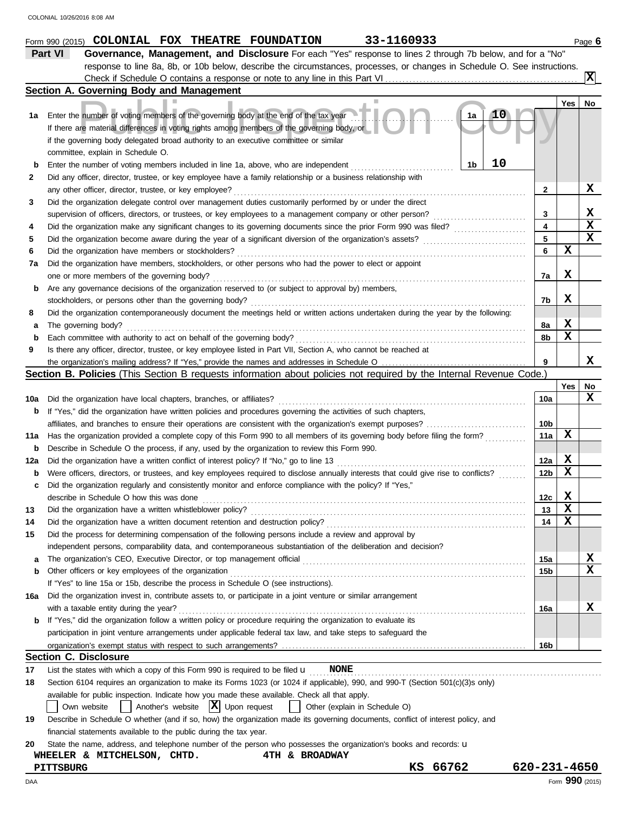|     | 33-1160933<br>Form 990 (2015) COLONIAL FOX THEATRE FOUNDATION                                                                       |                 |     | Page 6                  |
|-----|-------------------------------------------------------------------------------------------------------------------------------------|-----------------|-----|-------------------------|
|     | Part VI<br>Governance, Management, and Disclosure For each "Yes" response to lines 2 through 7b below, and for a "No"               |                 |     |                         |
|     | response to line 8a, 8b, or 10b below, describe the circumstances, processes, or changes in Schedule O. See instructions.           |                 |     |                         |
|     |                                                                                                                                     |                 |     | $\overline{\mathbf{x}}$ |
|     | Section A. Governing Body and Management                                                                                            |                 |     |                         |
|     | ٠                                                                                                                                   |                 | Yes | No                      |
| 1а  | <b>10</b><br>1a<br>Enter the number of voting members of the governing body at the end of the tax year                              |                 |     |                         |
|     | If there are material differences in voting rights among members of the governing body, or                                          |                 |     |                         |
|     | if the governing body delegated broad authority to an executive committee or similar                                                |                 |     |                         |
|     | committee, explain in Schedule O.                                                                                                   |                 |     |                         |
| b   | 10<br>1b<br>Enter the number of voting members included in line 1a, above, who are independent                                      |                 |     |                         |
| 2   | Did any officer, director, trustee, or key employee have a family relationship or a business relationship with                      |                 |     |                         |
|     | any other officer, director, trustee, or key employee?                                                                              | $\mathbf{2}$    |     | x                       |
| 3   | Did the organization delegate control over management duties customarily performed by or under the direct                           |                 |     |                         |
|     |                                                                                                                                     | 3               |     | X                       |
|     | supervision of officers, directors, or trustees, or key employees to a management company or other person?<br>.                     | 4               |     | $\mathbf x$             |
| 4   | Did the organization make any significant changes to its governing documents since the prior Form 990 was filed?                    |                 |     | X                       |
| 5   | Did the organization become aware during the year of a significant diversion of the organization's assets?                          | 5               |     |                         |
| 6   | Did the organization have members or stockholders?                                                                                  | 6               | X   |                         |
| 7a  | Did the organization have members, stockholders, or other persons who had the power to elect or appoint                             |                 |     |                         |
|     | one or more members of the governing body?                                                                                          | 7а              | X   |                         |
| b   | Are any governance decisions of the organization reserved to (or subject to approval by) members,                                   |                 |     |                         |
|     | stockholders, or persons other than the governing body?                                                                             | 7b              | x   |                         |
| 8   | Did the organization contemporaneously document the meetings held or written actions undertaken during the year by the following:   |                 |     |                         |
| а   | The governing body?                                                                                                                 | 8a              | X   |                         |
| b   | Each committee with authority to act on behalf of the governing body?                                                               | 8b              | X   |                         |
| 9   | Is there any officer, director, trustee, or key employee listed in Part VII, Section A, who cannot be reached at                    |                 |     |                         |
|     |                                                                                                                                     | 9               |     | x                       |
|     | Section B. Policies (This Section B requests information about policies not required by the Internal Revenue Code.)                 |                 |     |                         |
|     |                                                                                                                                     |                 | Yes | No                      |
| 10a | Did the organization have local chapters, branches, or affiliates?                                                                  | 10a             |     | х                       |
| b   | If "Yes," did the organization have written policies and procedures governing the activities of such chapters,                      |                 |     |                         |
|     |                                                                                                                                     | 10b             |     |                         |
| 11a | Has the organization provided a complete copy of this Form 990 to all members of its governing body before filing the form?         | 11a             | х   |                         |
|     | Describe in Schedule O the process, if any, used by the organization to review this Form 990.                                       |                 |     |                         |
| b   |                                                                                                                                     |                 | X   |                         |
| 12a | Did the organization have a written conflict of interest policy? If "No," go to line 13                                             | 12a             | X   |                         |
| b   | Were officers, directors, or trustees, and key employees required to disclose annually interests that could give rise to conflicts? | 12 <sub>b</sub> |     |                         |
| c   | Did the organization regularly and consistently monitor and enforce compliance with the policy? If "Yes,"                           |                 |     |                         |
|     | describe in Schedule O how this was done                                                                                            | 12c             | X   |                         |
| 13  | Did the organization have a written whistleblower policy?                                                                           | 13              | X   |                         |
| 14  | Did the organization have a written document retention and destruction policy?                                                      | 14              | х   |                         |
| 15  | Did the process for determining compensation of the following persons include a review and approval by                              |                 |     |                         |
|     | independent persons, comparability data, and contemporaneous substantiation of the deliberation and decision?                       |                 |     |                         |
| а   | The organization's CEO, Executive Director, or top management official                                                              | 15a             |     | X                       |
| b   | Other officers or key employees of the organization                                                                                 | 15b             |     | х                       |
|     | If "Yes" to line 15a or 15b, describe the process in Schedule O (see instructions).                                                 |                 |     |                         |
| 16a | Did the organization invest in, contribute assets to, or participate in a joint venture or similar arrangement                      |                 |     |                         |
|     | with a taxable entity during the year?                                                                                              | 16a             |     | х                       |
| b   | If "Yes," did the organization follow a written policy or procedure requiring the organization to evaluate its                      |                 |     |                         |
|     | participation in joint venture arrangements under applicable federal tax law, and take steps to safeguard the                       |                 |     |                         |
|     |                                                                                                                                     | 16b             |     |                         |
|     | <b>Section C. Disclosure</b>                                                                                                        |                 |     |                         |
| 17  | List the states with which a copy of this Form 990 is required to be filed $\mathbf u$<br><b>NONE</b>                               |                 |     |                         |
|     |                                                                                                                                     |                 |     |                         |
| 18  | Section 6104 requires an organization to make its Forms 1023 (or 1024 if applicable), 990, and 990-T (Section 501(c)(3)s only)      |                 |     |                         |
|     | available for public inspection. Indicate how you made these available. Check all that apply.                                       |                 |     |                         |
|     | Another's website $ X $ Upon request<br>Other (explain in Schedule O)<br>Own website                                                |                 |     |                         |
| 19  | Describe in Schedule O whether (and if so, how) the organization made its governing documents, conflict of interest policy, and     |                 |     |                         |
|     | financial statements available to the public during the tax year.                                                                   |                 |     |                         |
| 20  | State the name, address, and telephone number of the person who possesses the organization's books and records: <b>u</b>            |                 |     |                         |
|     | WHEELER & MITCHELSON, CHTD.<br>4TH & BROADWAY                                                                                       |                 |     |                         |
|     | 66762<br>кs<br><b>PITTSBURG</b>                                                                                                     | 620-231-4650    |     |                         |
| DAA |                                                                                                                                     |                 |     | Form 990 (2015)         |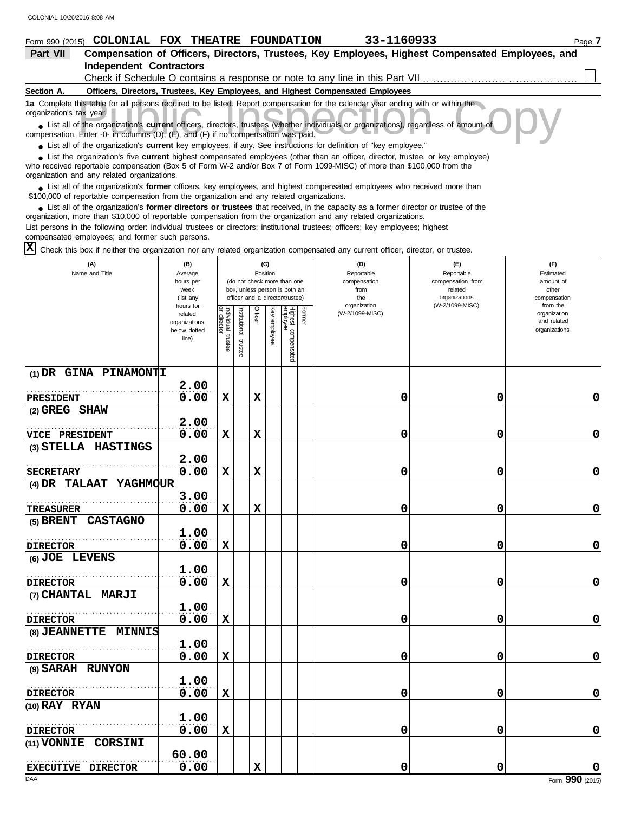### his table for all persons required to be listed. Report compensation for the calendar year ending with or within the<br>ax year.<br>Fithe organization's **current** officers, directors, trustees (whether individuals or organizatio **Section A. Independent Contractors Part VII Compensation of Officers, Directors, Trustees, Key Employees, Highest Compensated Employees, and Form 990 (2015) COLONIAL FOX THEATRE FOUNDATION** 33-1160933 **Officers, Directors, Trustees, Key Employees, and Highest Compensated Employees 1a** Complete this table for all persons required to be listed. Report compensation for the calendar year ending with or within the ■ List all of the organization's **current** officers, directors, trustees (whether individuals or organizations), regardless of amount of compensation. Enter -0- in columns (D), (E), and (F) if no compensation was paid. ● List all of the organization's **current** key employees, if any. See instructions for definition of "key employee." organization's tax year. Check if Schedule O contains a response or note to any line in this Part VII

who received reportable compensation (Box 5 of Form W-2 and/or Box 7 of Form 1099-MISC) of more than \$100,000 from the organization and any related organizations. ■ List the organization's five **current** highest compensated employees (other than an officer, director, trustee, or key employee)<br> **•** Pregiund reportable compensation (Box 5 of Ferm W 2 and/or Box 7 of Ferm 1000 MISC) o

■ List all of the organization's **former** officers, key employees, and highest compensated employees who received more than<br> **•** 00.000 of reportable compensation from the examization and any related erganizations \$100,000 of reportable compensation from the organization and any related organizations.

■ List all of the organization's **former directors or trustees** that received, in the capacity as a former director or trustee of the practization more than \$10,000 of reportable compensation from the organization and any organization, more than \$10,000 of reportable compensation from the organization and any related organizations. List persons in the following order: individual trustees or directors; institutional trustees; officers; key employees; highest

compensated employees; and former such persons.

Check this box if neither the organization nor any related organization compensated any current officer, director, or trustee. **X**

| (A)<br>Name and Title                | (B)<br>Average                |                           |                             |             | (C)<br>Position               |                                 |        | (D)<br>Reportable   | (E)<br>Reportable                | (F)<br>Estimated             |                              |                    |
|--------------------------------------|-------------------------------|---------------------------|-----------------------------|-------------|-------------------------------|---------------------------------|--------|---------------------|----------------------------------|------------------------------|------------------------------|--------------------|
|                                      | hours per<br>week             |                           | (do not check more than one |             | box, unless person is both an |                                 |        |                     |                                  | compensation<br>from         | compensation from<br>related | amount of<br>other |
|                                      | (list any                     |                           |                             |             |                               | officer and a director/trustee) |        | the<br>organization | organizations<br>(W-2/1099-MISC) | compensation<br>from the     |                              |                    |
|                                      | hours for<br>related          | Individual<br>or director |                             | Officer     |                               |                                 | Former | (W-2/1099-MISC)     |                                  | organization                 |                              |                    |
|                                      | organizations<br>below dotted |                           | nstitutional                |             |                               |                                 |        |                     |                                  | and related<br>organizations |                              |                    |
|                                      | line)                         | trustee                   |                             |             | Key employee                  |                                 |        |                     |                                  |                              |                              |                    |
|                                      |                               |                           | trustee                     |             |                               | Highest compensated<br>employee |        |                     |                                  |                              |                              |                    |
| $(1)$ DR GINA PINAMONTI              |                               |                           |                             |             |                               |                                 |        |                     |                                  |                              |                              |                    |
|                                      | 2.00                          |                           |                             |             |                               |                                 |        |                     |                                  |                              |                              |                    |
| PRESIDENT                            | 0.00                          | $\mathbf x$               |                             | $\mathbf x$ |                               |                                 |        | 0                   | 0                                | $\mathbf 0$                  |                              |                    |
| (2) GREG SHAW                        |                               |                           |                             |             |                               |                                 |        |                     |                                  |                              |                              |                    |
|                                      | 2.00                          |                           |                             |             |                               |                                 |        |                     |                                  |                              |                              |                    |
| VICE PRESIDENT                       | 0.00                          | X                         |                             | $\mathbf x$ |                               |                                 |        | 0                   | 0                                | 0                            |                              |                    |
| (3) STELLA HASTINGS                  |                               |                           |                             |             |                               |                                 |        |                     |                                  |                              |                              |                    |
|                                      | 2.00                          |                           |                             |             |                               |                                 |        |                     |                                  |                              |                              |                    |
| <b>SECRETARY</b>                     | 0.00                          | $\mathbf x$               |                             | X           |                               |                                 |        | 0                   | 0                                | 0                            |                              |                    |
| (4) DR TALAAT YAGHMOUR               |                               |                           |                             |             |                               |                                 |        |                     |                                  |                              |                              |                    |
|                                      | 3.00                          |                           |                             |             |                               |                                 |        |                     |                                  |                              |                              |                    |
| <b>TREASURER</b>                     | 0.00                          | $\mathbf x$               |                             | X           |                               |                                 |        | 0                   | 0                                | 0                            |                              |                    |
| (5) BRENT CASTAGNO                   |                               |                           |                             |             |                               |                                 |        |                     |                                  |                              |                              |                    |
|                                      | 1.00                          |                           |                             |             |                               |                                 |        |                     |                                  |                              |                              |                    |
| <b>DIRECTOR</b>                      | 0.00                          | $\mathbf x$               |                             |             |                               |                                 |        | 0                   | 0                                | 0                            |                              |                    |
| (6) JOE LEVENS                       |                               |                           |                             |             |                               |                                 |        |                     |                                  |                              |                              |                    |
|                                      | 1.00                          |                           |                             |             |                               |                                 |        |                     |                                  |                              |                              |                    |
| <b>DIRECTOR</b>                      | 0.00                          | X                         |                             |             |                               |                                 |        | 0                   | 0                                | 0                            |                              |                    |
| (7) CHANTAL MARJI                    |                               |                           |                             |             |                               |                                 |        |                     |                                  |                              |                              |                    |
|                                      | 1.00                          |                           |                             |             |                               |                                 |        |                     |                                  |                              |                              |                    |
| <b>DIRECTOR</b>                      | 0.00                          | X                         |                             |             |                               |                                 |        | 0                   | 0                                | 0                            |                              |                    |
| (8) JEANNETTE MINNIS                 |                               |                           |                             |             |                               |                                 |        |                     |                                  |                              |                              |                    |
|                                      | 1.00                          |                           |                             |             |                               |                                 |        |                     |                                  |                              |                              |                    |
| <b>DIRECTOR</b>                      | 0.00                          | $\mathbf x$               |                             |             |                               |                                 |        | 0                   | 0                                | 0                            |                              |                    |
| (9) SARAH RUNYON                     |                               |                           |                             |             |                               |                                 |        |                     |                                  |                              |                              |                    |
|                                      | 1.00                          |                           |                             |             |                               |                                 |        |                     |                                  |                              |                              |                    |
| <b>DIRECTOR</b>                      | 0.00                          | х                         |                             |             |                               |                                 |        | 0                   | 0                                | 0                            |                              |                    |
| (10) RAY RYAN                        |                               |                           |                             |             |                               |                                 |        |                     |                                  |                              |                              |                    |
|                                      | 1.00                          |                           |                             |             |                               |                                 |        |                     |                                  |                              |                              |                    |
| <b>DIRECTOR</b>                      | 0.00                          | $\mathbf x$               |                             |             |                               |                                 |        | 0                   | 0                                | 0                            |                              |                    |
| (11) <b>VONNIE</b><br><b>CORSINI</b> |                               |                           |                             |             |                               |                                 |        |                     |                                  |                              |                              |                    |
|                                      | 60.00                         |                           |                             |             |                               |                                 |        |                     |                                  |                              |                              |                    |
| EXECUTIVE DIRECTOR                   | 0.00                          |                           |                             | $\mathbf x$ |                               |                                 |        | 0                   | 0                                | 0                            |                              |                    |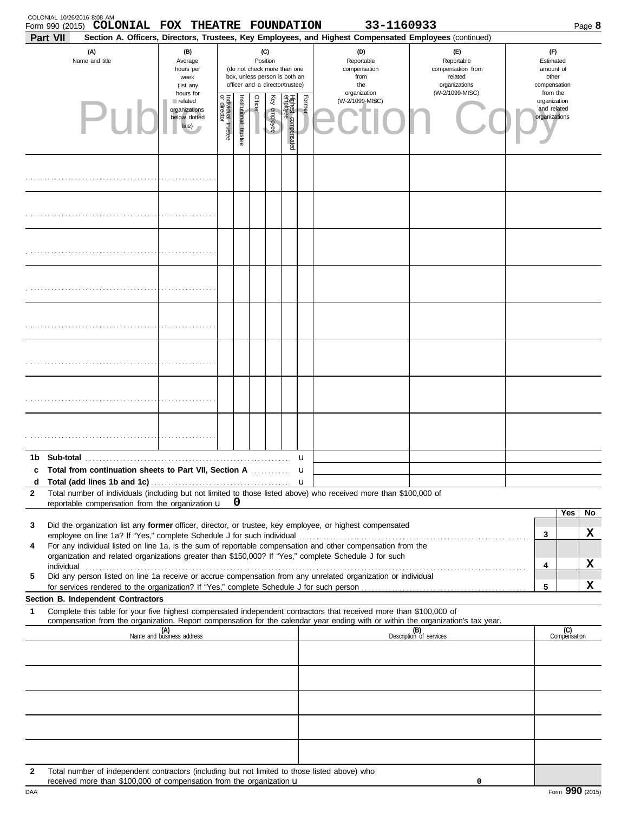|                                                                                                                                                                      | COLONIAL 10/26/2016 8:08 AM<br>Form 990 (2015) COLONIAL FOX THEATRE FOUNDATION<br>Part VII                                                                                                                                                                                                                                                                                                                                                                                                                                                                              |                                                                |                                   |                      |                |                 |                                                                                                 |                                | 33-1160933<br>Section A. Officers, Directors, Trustees, Key Employees, and Highest Compensated Employees (continued) |                                                                    |                                                          |     | Page 8       |
|----------------------------------------------------------------------------------------------------------------------------------------------------------------------|-------------------------------------------------------------------------------------------------------------------------------------------------------------------------------------------------------------------------------------------------------------------------------------------------------------------------------------------------------------------------------------------------------------------------------------------------------------------------------------------------------------------------------------------------------------------------|----------------------------------------------------------------|-----------------------------------|----------------------|----------------|-----------------|-------------------------------------------------------------------------------------------------|--------------------------------|----------------------------------------------------------------------------------------------------------------------|--------------------------------------------------------------------|----------------------------------------------------------|-----|--------------|
|                                                                                                                                                                      | (A)<br>Name and title                                                                                                                                                                                                                                                                                                                                                                                                                                                                                                                                                   | (B)<br>Average<br>hours per<br>week<br>(list any               |                                   |                      |                | (C)<br>Position | (do not check more than one<br>box, unless person is both an<br>officer and a director/trustee) |                                | (D)<br>Reportable<br>compensation<br>from<br>the                                                                     | (E)<br>Reportable<br>compensation from<br>related<br>organizations | (F)<br>Estimated<br>amount of<br>other<br>compensation   |     |              |
|                                                                                                                                                                      |                                                                                                                                                                                                                                                                                                                                                                                                                                                                                                                                                                         | hours for<br>related<br>organizations<br>below dotted<br>line) | Individual trustee<br>or director | nstitutional trustee | <b>Officer</b> | Ķey<br>employee | Highest compensated<br>employee                                                                 | Former                         | organization<br>(W-2/1099-MISC)                                                                                      | (W-2/1099-MISC)                                                    | from the<br>organization<br>and related<br>organizations |     |              |
|                                                                                                                                                                      |                                                                                                                                                                                                                                                                                                                                                                                                                                                                                                                                                                         |                                                                |                                   |                      |                |                 |                                                                                                 |                                |                                                                                                                      |                                                                    |                                                          |     |              |
|                                                                                                                                                                      |                                                                                                                                                                                                                                                                                                                                                                                                                                                                                                                                                                         |                                                                |                                   |                      |                |                 |                                                                                                 |                                |                                                                                                                      |                                                                    |                                                          |     |              |
|                                                                                                                                                                      |                                                                                                                                                                                                                                                                                                                                                                                                                                                                                                                                                                         |                                                                |                                   |                      |                |                 |                                                                                                 |                                |                                                                                                                      |                                                                    |                                                          |     |              |
|                                                                                                                                                                      |                                                                                                                                                                                                                                                                                                                                                                                                                                                                                                                                                                         |                                                                |                                   |                      |                |                 |                                                                                                 |                                |                                                                                                                      |                                                                    |                                                          |     |              |
|                                                                                                                                                                      |                                                                                                                                                                                                                                                                                                                                                                                                                                                                                                                                                                         |                                                                |                                   |                      |                |                 |                                                                                                 |                                |                                                                                                                      |                                                                    |                                                          |     |              |
|                                                                                                                                                                      |                                                                                                                                                                                                                                                                                                                                                                                                                                                                                                                                                                         |                                                                |                                   |                      |                |                 |                                                                                                 |                                |                                                                                                                      |                                                                    |                                                          |     |              |
|                                                                                                                                                                      |                                                                                                                                                                                                                                                                                                                                                                                                                                                                                                                                                                         |                                                                |                                   |                      |                |                 |                                                                                                 |                                |                                                                                                                      |                                                                    |                                                          |     |              |
|                                                                                                                                                                      |                                                                                                                                                                                                                                                                                                                                                                                                                                                                                                                                                                         |                                                                |                                   |                      |                |                 |                                                                                                 |                                |                                                                                                                      |                                                                    |                                                          |     |              |
| c<br>d                                                                                                                                                               | Total from continuation sheets to Part VII, Section A                                                                                                                                                                                                                                                                                                                                                                                                                                                                                                                   |                                                                |                                   |                      |                |                 |                                                                                                 | u<br>u<br>u                    |                                                                                                                      |                                                                    |                                                          |     |              |
| $\mathbf{2}$                                                                                                                                                         | Total number of individuals (including but not limited to those listed above) who received more than \$100,000 of<br>reportable compensation from the organization $\mathbf{u} \quad \mathbf{0}$                                                                                                                                                                                                                                                                                                                                                                        |                                                                |                                   |                      |                |                 |                                                                                                 |                                |                                                                                                                      |                                                                    |                                                          |     |              |
| 3<br>4                                                                                                                                                               | Did the organization list any former officer, director, or trustee, key employee, or highest compensated<br>For any individual listed on line 1a, is the sum of reportable compensation and other compensation from the<br>organization and related organizations greater than \$150,000? If "Yes," complete Schedule J for such<br>individual <b>construction in the construction of the construction</b> in the construction of the construction of the construction of the construction of the construction of the construction of the construction of the construct |                                                                |                                   |                      |                |                 |                                                                                                 |                                |                                                                                                                      |                                                                    | 3<br>4                                                   | Yes | No<br>x<br>x |
| 5                                                                                                                                                                    | Did any person listed on line 1a receive or accrue compensation from any unrelated organization or individual<br>for services rendered to the organization? If "Yes," complete Schedule J for such person                                                                                                                                                                                                                                                                                                                                                               |                                                                |                                   |                      |                |                 |                                                                                                 |                                |                                                                                                                      |                                                                    | 5                                                        |     | X            |
| 1                                                                                                                                                                    | Section B. Independent Contractors<br>Complete this table for your five highest compensated independent contractors that received more than \$100,000 of                                                                                                                                                                                                                                                                                                                                                                                                                |                                                                |                                   |                      |                |                 |                                                                                                 |                                |                                                                                                                      |                                                                    |                                                          |     |              |
| compensation from the organization. Report compensation for the calendar year ending with or within the organization's tax year.<br>(A)<br>Name and business address |                                                                                                                                                                                                                                                                                                                                                                                                                                                                                                                                                                         |                                                                |                                   |                      |                |                 |                                                                                                 | (B)<br>Description of services |                                                                                                                      | (C)<br>Compensation                                                |                                                          |     |              |
|                                                                                                                                                                      |                                                                                                                                                                                                                                                                                                                                                                                                                                                                                                                                                                         |                                                                |                                   |                      |                |                 |                                                                                                 |                                |                                                                                                                      |                                                                    |                                                          |     |              |
|                                                                                                                                                                      |                                                                                                                                                                                                                                                                                                                                                                                                                                                                                                                                                                         |                                                                |                                   |                      |                |                 |                                                                                                 |                                |                                                                                                                      |                                                                    |                                                          |     |              |
|                                                                                                                                                                      |                                                                                                                                                                                                                                                                                                                                                                                                                                                                                                                                                                         |                                                                |                                   |                      |                |                 |                                                                                                 |                                |                                                                                                                      |                                                                    |                                                          |     |              |
|                                                                                                                                                                      |                                                                                                                                                                                                                                                                                                                                                                                                                                                                                                                                                                         |                                                                |                                   |                      |                |                 |                                                                                                 |                                |                                                                                                                      |                                                                    |                                                          |     |              |
| 2                                                                                                                                                                    | Total number of independent contractors (including but not limited to those listed above) who<br>received more than \$100,000 of compensation from the organization u                                                                                                                                                                                                                                                                                                                                                                                                   |                                                                |                                   |                      |                |                 |                                                                                                 |                                |                                                                                                                      | 0                                                                  |                                                          |     |              |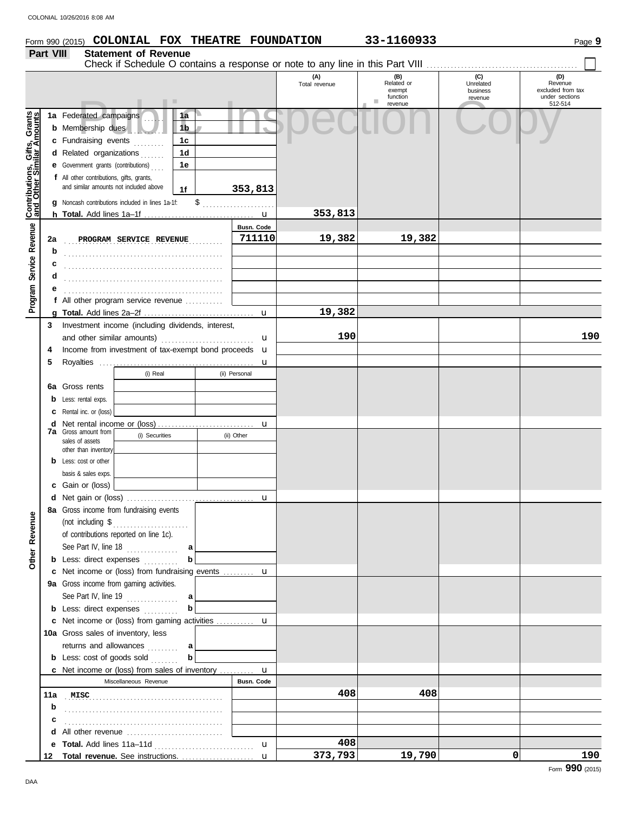# **Form 990 (2015) COLONIAL FOX THEATRE FOUNDATION** 33-1160933 Page 9 **Part VIII Statement of Revenue**<br>Check if Schedule O contains

|--|--|

|                                                           |         |                                                                                                                         |                      | (A)<br>Total revenue | (B)<br>Related or<br>exempt<br>function<br>T.<br>revenue | (C)<br>Unrelated<br>business<br>revenue | (D)<br>Revenue<br>excluded from tax<br>under sections<br>512-514 |
|-----------------------------------------------------------|---------|-------------------------------------------------------------------------------------------------------------------------|----------------------|----------------------|----------------------------------------------------------|-----------------------------------------|------------------------------------------------------------------|
| Contributions, Gifts, Grants<br>and Other Similar Amounts |         | 1a Federated campaigns<br>1a<br><b>b</b> Membership dues<br>1b<br>c Fundraising events<br>1c                            |                      |                      |                                                          |                                         |                                                                  |
|                                                           |         | d Related organizations<br>1d<br>e Government grants (contributions)<br>1е<br>f All other contributions, gifts, grants, |                      |                      |                                                          |                                         |                                                                  |
|                                                           |         | and similar amounts not included above<br>1f<br>g Noncash contributions included in lines 1a-1f:                        | 353,813              |                      |                                                          |                                         |                                                                  |
|                                                           |         |                                                                                                                         | $\mathbf{u}$         | 353,813              |                                                          |                                         |                                                                  |
| Service Revenue                                           | 2a<br>b | PROGRAM SERVICE REVENUE                                                                                                 | Busn. Code<br>711110 | 19,382               | 19,382                                                   |                                         |                                                                  |
|                                                           | с       |                                                                                                                         |                      |                      |                                                          |                                         |                                                                  |
|                                                           | d       |                                                                                                                         |                      |                      |                                                          |                                         |                                                                  |
|                                                           |         |                                                                                                                         |                      |                      |                                                          |                                         |                                                                  |
| Program <sup>s</sup>                                      |         | f All other program service revenue                                                                                     |                      |                      |                                                          |                                         |                                                                  |
|                                                           |         |                                                                                                                         |                      | 19,382               |                                                          |                                         |                                                                  |
|                                                           |         | 3 Investment income (including dividends, interest,                                                                     |                      |                      |                                                          |                                         |                                                                  |
|                                                           |         |                                                                                                                         | u                    | 190                  |                                                          |                                         | 190                                                              |
|                                                           | 4       | Income from investment of tax-exempt bond proceeds <b>u</b>                                                             |                      |                      |                                                          |                                         |                                                                  |
|                                                           | 5       |                                                                                                                         |                      |                      |                                                          |                                         |                                                                  |
|                                                           |         | (i) Real                                                                                                                | (ii) Personal        |                      |                                                          |                                         |                                                                  |
|                                                           | 6a      | Gross rents                                                                                                             |                      |                      |                                                          |                                         |                                                                  |
|                                                           | b       | Less: rental exps.                                                                                                      |                      |                      |                                                          |                                         |                                                                  |
|                                                           |         | Rental inc. or (loss)                                                                                                   |                      |                      |                                                          |                                         |                                                                  |
|                                                           | d       |                                                                                                                         | u                    |                      |                                                          |                                         |                                                                  |
|                                                           |         | <b>7a</b> Gross amount from<br>(i) Securities<br>sales of assets                                                        | (ii) Other           |                      |                                                          |                                         |                                                                  |
|                                                           |         | other than inventory                                                                                                    |                      |                      |                                                          |                                         |                                                                  |
|                                                           | b       | Less: cost or other                                                                                                     |                      |                      |                                                          |                                         |                                                                  |
|                                                           |         | basis & sales exps.                                                                                                     |                      |                      |                                                          |                                         |                                                                  |
|                                                           |         | c Gain or (loss)                                                                                                        |                      |                      |                                                          |                                         |                                                                  |
|                                                           |         |                                                                                                                         | u                    |                      |                                                          |                                         |                                                                  |
| $\omega$                                                  |         | 8a Gross income from fundraising events                                                                                 |                      |                      |                                                          |                                         |                                                                  |
| Other Revenu                                              |         | (not including \$                                                                                                       |                      |                      |                                                          |                                         |                                                                  |
|                                                           |         | of contributions reported on line 1c).                                                                                  |                      |                      |                                                          |                                         |                                                                  |
|                                                           |         | See Part IV, line $18$<br>a                                                                                             |                      |                      |                                                          |                                         |                                                                  |
|                                                           |         | <b>b</b> Less: direct expenses $\ldots$<br>b                                                                            |                      |                      |                                                          |                                         |                                                                  |
|                                                           |         | c Net income or (loss) from fundraising events  u                                                                       |                      |                      |                                                          |                                         |                                                                  |
|                                                           |         | 9a Gross income from gaming activities.                                                                                 |                      |                      |                                                          |                                         |                                                                  |
|                                                           |         | See Part IV, line $19$<br>a                                                                                             |                      |                      |                                                          |                                         |                                                                  |
|                                                           |         | <b>b</b> Less: direct expenses<br>b                                                                                     |                      |                      |                                                          |                                         |                                                                  |
|                                                           |         | c Net income or (loss) from gaming activities  u                                                                        |                      |                      |                                                          |                                         |                                                                  |
|                                                           |         | 10a Gross sales of inventory, less                                                                                      |                      |                      |                                                          |                                         |                                                                  |
|                                                           |         | returns and allowances<br>a                                                                                             |                      |                      |                                                          |                                         |                                                                  |
|                                                           |         | <b>b</b> Less: cost of goods sold<br>b                                                                                  |                      |                      |                                                          |                                         |                                                                  |
|                                                           |         | <b>c</b> Net income or (loss) from sales of inventory <b>u</b>                                                          |                      |                      |                                                          |                                         |                                                                  |
|                                                           |         | Miscellaneous Revenue                                                                                                   | <b>Busn. Code</b>    |                      |                                                          |                                         |                                                                  |
|                                                           |         | 11a $MISC$                                                                                                              |                      | 408                  | 408                                                      |                                         |                                                                  |
|                                                           | b       |                                                                                                                         |                      |                      |                                                          |                                         |                                                                  |
|                                                           | c       |                                                                                                                         |                      |                      |                                                          |                                         |                                                                  |
|                                                           |         | d All other revenue                                                                                                     |                      | 408                  |                                                          |                                         |                                                                  |
|                                                           |         |                                                                                                                         | $\mathbf{u}$         | 373,793              | 19,790                                                   | 0                                       | 190                                                              |
|                                                           |         |                                                                                                                         | $\mathbf{u}$         |                      |                                                          |                                         |                                                                  |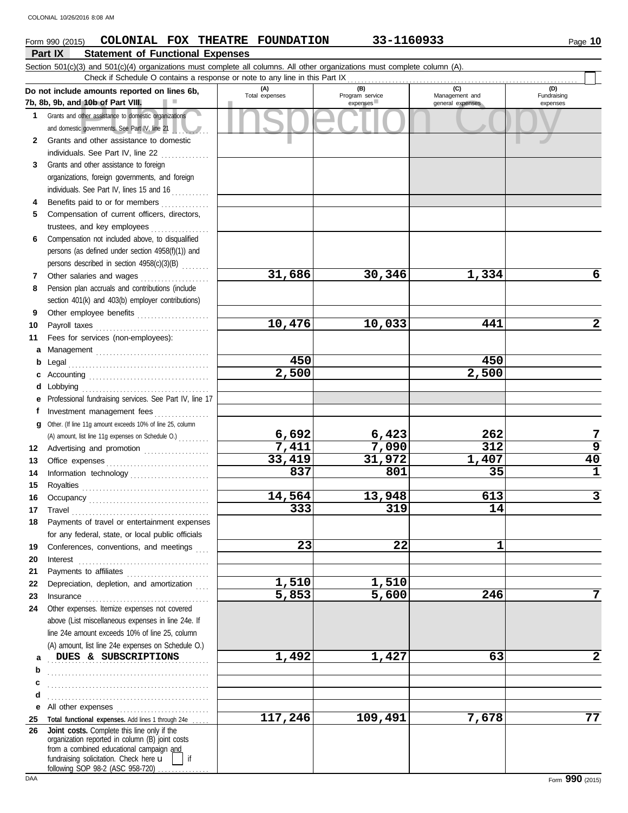### d 10b of Part VIII.<br>
expenses expenses and other assistance to domestic organizations<br>
Inspection Copyrighten Copyrighten Copyrighten Copyrighten Copyrighten Copyrighten Copyrighten Copyrighten Copyrighten Copyrighten Copy **Part IX Statement of Functional Expenses** Form 990 (2015) **COLONIAL FOX THEATRE FOUNDATION** 33-1160933 Section 501(c)(3) and 501(c)(4) organizations must complete all columns. All other organizations must complete column (A). **Do not include amounts reported on lines 6b, 7b, 8b, 9b, and 10b of Part VIII. 1 2 3 4 5 6 7 8 9 10 11 a** Management . . . . . . . . . . . . . . . . . . . . . . . . . . . . . . . . . **b** Grants and other assistance to domestic organizations and domestic governments. See Part IV, line 21 Grants and other assistance to domestic individuals. See Part IV, line 22 . . . . . . . . . . . . . Grants and other assistance to foreign organizations, foreign governments, and foreign individuals. See Part IV, lines 15 and 16 Benefits paid to or for members . . . . . . . . . . . . . . . . Compensation of current officers, directors, trustees, and key employees . . . . . . . . . . . . . . . . . Compensation not included above, to disqualified persons (as defined under section 4958(f)(1)) and persons described in section 4958(c)(3)(B) . . . . . . . . Other salaries and wages . . . . . . . . . . . . . . . . . . . . Pension plan accruals and contributions (include section 401(k) and 403(b) employer contributions) Other employee benefits ..................... Payroll taxes . . . . . . . . . . . . . . . . . . . . . . . . . . . . . . . . . Fees for services (non-employees): Legal . . . . . . . . . . . . . . . . . . . . . . . . . . . . . . . . . . . . . . . . . **(A) (B) (C) (D)** Total expenses **Program service** Management and expenses expenses Fundraising expenses Check if Schedule O contains a response or note to any line in this Part IX **31,686 30,346 1,334 6 10,476 10,033 441 2 450 450 2,500 2,500** COLONIAL 10/26/2016 8:08 AM

**6,692 6,423 262 7 7,411 7,090 312 9 33,419 31,972 1,407 40 837 801 35 1**

**14,564 13,948 613 3**

**5,853 5,600 246 7**

**117,246 109,491 7,678 77**

**333 319 14**

**23 22 1**

**1,510 1,510**

**c** Accounting . . . . . . . . . . . . . . . . . . . . . . . . . . . . . . . . . . .

Lobbying . . . . . . . . . . . . . . . . . . . . . . . . . . . . . . . . . . . . . Professional fundraising services. See Part IV, line 17 Investment management fees ................

**g** Other. (If line 11g amount exceeds 10% of line 25, column

**12** Advertising and promotion . . . . . . . . . . . . . . . . . . .

Office expenses . . . . . . . . . . . . . . . . . . . . . . . . . . . . . . Information technology . . . . . . . . . . . . . . . . . . . . . . . Royalties . . . . . . . . . . . . . . . . . . . . . . . . . . . . . . . . . . . . . Occupancy . . . . . . . . . . . . . . . . . . . . . . . . . . . . . . . . . . . Travel . . . . . . . . . . . . . . . . . . . . . . . . . . . . . . . . . . . . . . . . Payments of travel or entertainment expenses for any federal, state, or local public officials Conferences, conventions, and meetings Interest . . . . . . . . . . . . . . . . . . . . . . . . . . . . . . . . . . . . . . Payments to affiliates . . . . . . . . . . . . . . . . . . . . . . . . Depreciation, depletion, and amortization Insurance . . . . . . . . . . . . . . . . . . . . . . . . . . . . . . . . . . . . Other expenses. Itemize expenses not covered above (List miscellaneous expenses in line 24e. If line 24e amount exceeds 10% of line 25, column (A) amount, list line 24e expenses on Schedule O.)

(A) amount, list line 11g expenses on Schedule O.) . . . . . . . . .

**d e f**

**a**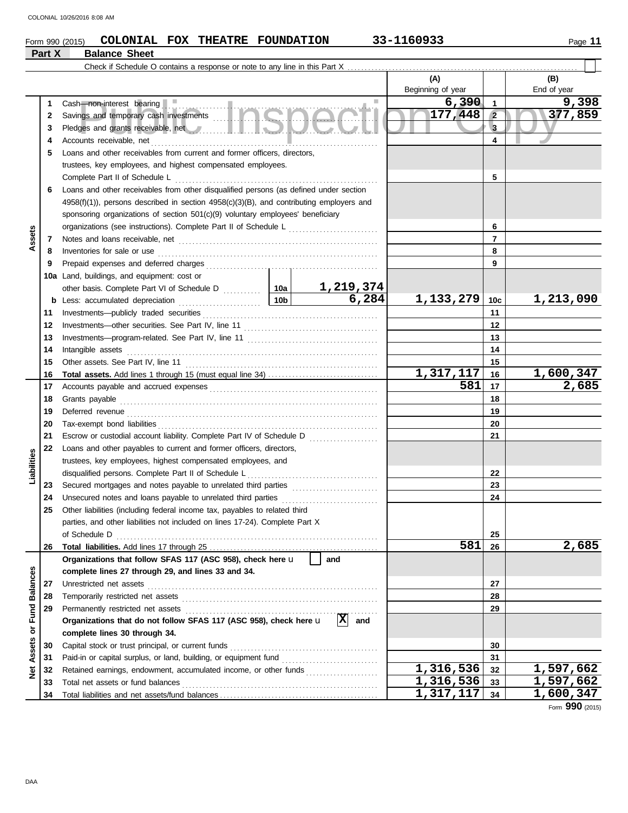## Form 990 (2015) **COLONIAL FOX THEATRE FOUNDATION** 33-1160933

|                 | Part X   | <b>Balance Sheet</b>                                                                                                                                                                                                                                                                    |     |                 |                          |                         |             |
|-----------------|----------|-----------------------------------------------------------------------------------------------------------------------------------------------------------------------------------------------------------------------------------------------------------------------------------------|-----|-----------------|--------------------------|-------------------------|-------------|
|                 |          |                                                                                                                                                                                                                                                                                         |     |                 |                          |                         |             |
|                 |          |                                                                                                                                                                                                                                                                                         |     |                 | (A)                      |                         | (B)         |
|                 |          |                                                                                                                                                                                                                                                                                         |     |                 | Beginning of year        |                         | End of year |
|                 | 1        | Cash-non-interest bearing                                                                                                                                                                                                                                                               |     | <b>Includes</b> | 6,390                    | 1                       | 9,398       |
|                 | 2        | Cash—non-interest bearing<br>Savings and temporary cash investments                                                                                                                                                                                                                     |     |                 | 177,448                  | $\overline{2}$          | 377,859     |
|                 | 3        | Pledges and grants receivable, net <b>with a set of the set of the set of the set of the set of the set of the set of the set of the set of the set of the set of the set of the set of the set of the set of the set of the set</b>                                                    |     |                 |                          | $\overline{\mathbf{3}}$ |             |
|                 | 4        |                                                                                                                                                                                                                                                                                         |     |                 |                          | 4                       |             |
|                 | 5        | Loans and other receivables from current and former officers, directors,                                                                                                                                                                                                                |     |                 |                          |                         |             |
|                 |          | trustees, key employees, and highest compensated employees.                                                                                                                                                                                                                             |     |                 |                          |                         |             |
|                 |          | Complete Part II of Schedule L                                                                                                                                                                                                                                                          |     |                 |                          | 5                       |             |
|                 | 6        | Loans and other receivables from other disqualified persons (as defined under section                                                                                                                                                                                                   |     |                 |                          |                         |             |
|                 |          | $4958(f)(1)$ , persons described in section $4958(c)(3)(B)$ , and contributing employers and                                                                                                                                                                                            |     |                 |                          |                         |             |
|                 |          | sponsoring organizations of section 501(c)(9) voluntary employees' beneficiary                                                                                                                                                                                                          |     |                 |                          |                         |             |
|                 |          | organizations (see instructions). Complete Part II of Schedule L [1111111111111111111111111111111111                                                                                                                                                                                    |     |                 | 6                        |                         |             |
| ssets           | 7        |                                                                                                                                                                                                                                                                                         |     |                 |                          | $\overline{7}$          |             |
| ⋖               | 8        |                                                                                                                                                                                                                                                                                         |     |                 |                          | 8                       |             |
|                 | 9        |                                                                                                                                                                                                                                                                                         |     |                 |                          | 9                       |             |
|                 |          | 10a Land, buildings, and equipment: cost or                                                                                                                                                                                                                                             |     |                 |                          |                         |             |
|                 |          | other basis. Complete Part VI of Schedule D<br>b Less: accumulated depreciation<br>$\begin{array}{ c c c c c }\n\hline\n\text{10a} & \text{1,219,374} \\ \hline\n\text{10b} & \text{6,284}\n\end{array}$                                                                                |     |                 |                          |                         |             |
|                 |          |                                                                                                                                                                                                                                                                                         |     |                 | 1,133,279                | 10 <sub>c</sub>         | 1,213,090   |
|                 | 11       |                                                                                                                                                                                                                                                                                         |     |                 |                          | 11                      |             |
|                 | 12       |                                                                                                                                                                                                                                                                                         |     |                 | 12                       |                         |             |
|                 | 13       |                                                                                                                                                                                                                                                                                         |     |                 | 13                       |                         |             |
|                 | 14       | Intangible assets                                                                                                                                                                                                                                                                       |     |                 | 14                       |                         |             |
|                 | 15       |                                                                                                                                                                                                                                                                                         |     |                 |                          | 15                      |             |
|                 | 16       |                                                                                                                                                                                                                                                                                         |     |                 | 1,317,117                | 16                      | 1,600,347   |
|                 | 17       |                                                                                                                                                                                                                                                                                         | 581 | 17              | 2,685                    |                         |             |
|                 | 18       |                                                                                                                                                                                                                                                                                         |     |                 | 18                       |                         |             |
|                 | 19       | Deferred revenue contains and all the container and all the container and all the container and all the containing of the containing of the containing of the containing of the containing of the containing of the containing                                                          |     |                 | 19                       |                         |             |
|                 | 20       |                                                                                                                                                                                                                                                                                         |     |                 |                          | 20<br>21                |             |
|                 | 21<br>22 | Escrow or custodial account liability. Complete Part IV of Schedule D<br>Loans and other payables to current and former officers, directors,                                                                                                                                            |     |                 |                          |                         |             |
|                 |          | trustees, key employees, highest compensated employees, and                                                                                                                                                                                                                             |     |                 |                          |                         |             |
| Liabilities     |          | disqualified persons. Complete Part II of Schedule L                                                                                                                                                                                                                                    |     |                 |                          | 22                      |             |
|                 | 23       | Secured mortgages and notes payable to unrelated third parties                                                                                                                                                                                                                          |     |                 |                          | 23                      |             |
|                 | 24       | Unsecured notes and loans payable to unrelated third parties [[[[[[[[[[[[[[[[[[[[[[[[[]]]]]]]]]]]                                                                                                                                                                                       |     |                 |                          | 24                      |             |
|                 | 25       | Other liabilities (including federal income tax, payables to related third                                                                                                                                                                                                              |     |                 |                          |                         |             |
|                 |          | parties, and other liabilities not included on lines 17-24). Complete Part X                                                                                                                                                                                                            |     |                 |                          |                         |             |
|                 |          | of Schedule D                                                                                                                                                                                                                                                                           |     |                 |                          | 25                      |             |
|                 | 26       |                                                                                                                                                                                                                                                                                         |     |                 | 581                      | 26                      | 2,685       |
|                 |          | Organizations that follow SFAS 117 (ASC 958), check here u                                                                                                                                                                                                                              |     | and             |                          |                         |             |
|                 |          | complete lines 27 through 29, and lines 33 and 34.                                                                                                                                                                                                                                      |     |                 |                          |                         |             |
| <b>Balances</b> | 27       |                                                                                                                                                                                                                                                                                         |     |                 |                          | 27                      |             |
|                 | 28       |                                                                                                                                                                                                                                                                                         |     |                 |                          | 28                      |             |
| Fund            | 29       | Permanently restricted net assets<br>$\frac{1}{2}$ and $\frac{1}{2}$ and $\frac{1}{2}$ and $\frac{1}{2}$ and $\frac{1}{2}$ and $\frac{1}{2}$ and $\frac{1}{2}$ and $\frac{1}{2}$ and $\frac{1}{2}$ and $\frac{1}{2}$ and $\frac{1}{2}$ and $\frac{1}{2}$ and $\frac{1}{2}$ and $\frac{$ |     |                 |                          | 29                      |             |
|                 |          |                                                                                                                                                                                                                                                                                         |     |                 |                          |                         |             |
| ð               |          | complete lines 30 through 34.                                                                                                                                                                                                                                                           |     |                 |                          |                         |             |
| Assets          | 30       | Capital stock or trust principal, or current funds                                                                                                                                                                                                                                      |     |                 | 30                       |                         |             |
|                 | 31       | Paid-in or capital surplus, or land, building, or equipment fund                                                                                                                                                                                                                        |     |                 |                          | 31                      |             |
| ğ               | 32       | Retained earnings, endowment, accumulated income, or other funds                                                                                                                                                                                                                        |     |                 | 1,316,536                | 32                      | 1,597,662   |
|                 | 33       | Total net assets or fund balances                                                                                                                                                                                                                                                       |     |                 | $\overline{1,}$ 316, 536 | 33                      | 1,597,662   |
|                 | 34       |                                                                                                                                                                                                                                                                                         |     | 1,317,117       | 34                       | 1,600,347               |             |

Form **990** (2015)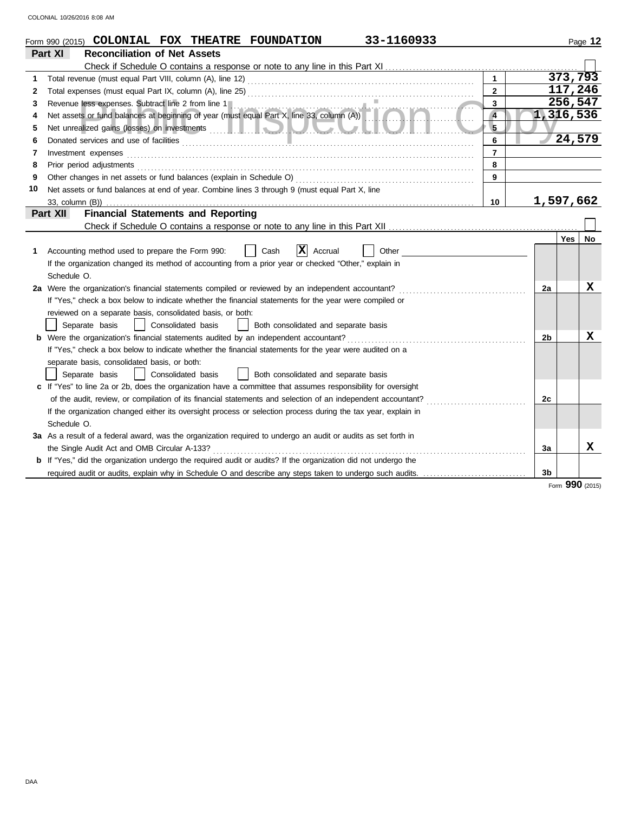|          |                                                                                                                       |                    | Form 990 (2015) COLONIAL FOX THEATRE FOUNDATION | 33-1160933                                                                                                                                      |                |           |         | Page 12   |
|----------|-----------------------------------------------------------------------------------------------------------------------|--------------------|-------------------------------------------------|-------------------------------------------------------------------------------------------------------------------------------------------------|----------------|-----------|---------|-----------|
| Part XI  | <b>Reconciliation of Net Assets</b>                                                                                   |                    |                                                 |                                                                                                                                                 |                |           |         |           |
|          |                                                                                                                       |                    |                                                 |                                                                                                                                                 |                |           |         |           |
| 1        |                                                                                                                       |                    |                                                 |                                                                                                                                                 | $\mathbf{1}$   |           | 373,793 |           |
| 2        |                                                                                                                       |                    |                                                 |                                                                                                                                                 | $\overline{2}$ |           | 117,246 |           |
| 3        |                                                                                                                       |                    |                                                 | Revenue less expenses. Subtract line 2 from line 1<br>Net assets or fund balances at beginning of year (must equal Part X, line 33, column (A)) | 3              |           | 256,547 |           |
| 4        |                                                                                                                       |                    |                                                 |                                                                                                                                                 | $\overline{4}$ | 1,316,536 |         |           |
| 5        |                                                                                                                       |                    |                                                 |                                                                                                                                                 | 5              |           |         |           |
| 6        |                                                                                                                       |                    |                                                 | Donated services and use of facilities <b>constructs</b> and the service of facilities <b>constructs</b> and use of facilities                  | 6              |           | 24,579  |           |
| 7        | Investment expenses                                                                                                   |                    |                                                 |                                                                                                                                                 | $\overline{7}$ |           |         |           |
| 8        | Prior period adjustments                                                                                              |                    |                                                 |                                                                                                                                                 | 8              |           |         |           |
| 9        |                                                                                                                       |                    |                                                 |                                                                                                                                                 | 9              |           |         |           |
| 10       | Net assets or fund balances at end of year. Combine lines 3 through 9 (must equal Part X, line                        |                    |                                                 |                                                                                                                                                 |                |           |         |           |
|          |                                                                                                                       |                    |                                                 |                                                                                                                                                 | 10             | 1,597,662 |         |           |
| Part XII | <b>Financial Statements and Reporting</b>                                                                             |                    |                                                 |                                                                                                                                                 |                |           |         |           |
|          |                                                                                                                       |                    |                                                 |                                                                                                                                                 |                |           |         |           |
|          |                                                                                                                       |                    |                                                 |                                                                                                                                                 |                |           | Yes     | <b>No</b> |
| 1        | Accounting method used to prepare the Form 990:                                                                       |                    | ΙX<br>Cash<br>Accrual                           | Other                                                                                                                                           |                |           |         |           |
|          | If the organization changed its method of accounting from a prior year or checked "Other," explain in                 |                    |                                                 |                                                                                                                                                 |                |           |         |           |
|          | Schedule O.                                                                                                           |                    |                                                 |                                                                                                                                                 |                |           |         |           |
|          | 2a Were the organization's financial statements compiled or reviewed by an independent accountant?                    |                    |                                                 |                                                                                                                                                 |                | 2a        |         | x         |
|          | If "Yes," check a box below to indicate whether the financial statements for the year were compiled or                |                    |                                                 |                                                                                                                                                 |                |           |         |           |
|          | reviewed on a separate basis, consolidated basis, or both:                                                            |                    |                                                 |                                                                                                                                                 |                |           |         |           |
|          | Separate basis                                                                                                        | Consolidated basis | Both consolidated and separate basis            |                                                                                                                                                 |                |           |         |           |
|          | <b>b</b> Were the organization's financial statements audited by an independent accountant?                           |                    |                                                 |                                                                                                                                                 |                | 2b        |         | x         |
|          | If "Yes," check a box below to indicate whether the financial statements for the year were audited on a               |                    |                                                 |                                                                                                                                                 |                |           |         |           |
|          | separate basis, consolidated basis, or both:                                                                          |                    |                                                 |                                                                                                                                                 |                |           |         |           |
|          | Separate basis                                                                                                        | Consolidated basis | Both consolidated and separate basis            |                                                                                                                                                 |                |           |         |           |
|          | c If "Yes" to line 2a or 2b, does the organization have a committee that assumes responsibility for oversight         |                    |                                                 |                                                                                                                                                 |                |           |         |           |
|          | of the audit, review, or compilation of its financial statements and selection of an independent accountant?          |                    |                                                 |                                                                                                                                                 |                | 2c        |         |           |
|          | If the organization changed either its oversight process or selection process during the tax year, explain in         |                    |                                                 |                                                                                                                                                 |                |           |         |           |
|          | Schedule O.                                                                                                           |                    |                                                 |                                                                                                                                                 |                |           |         |           |
|          | 3a As a result of a federal award, was the organization required to undergo an audit or audits as set forth in        |                    |                                                 |                                                                                                                                                 |                |           |         |           |
|          | the Single Audit Act and OMB Circular A-133?                                                                          |                    |                                                 |                                                                                                                                                 |                | За        |         | x         |
|          | <b>b</b> If "Yes," did the organization undergo the required audit or audits? If the organization did not undergo the |                    |                                                 |                                                                                                                                                 |                |           |         |           |
|          |                                                                                                                       |                    |                                                 | required audit or audits, explain why in Schedule O and describe any steps taken to undergo such audits.                                        |                | 3b        |         |           |

Form **990** (2015)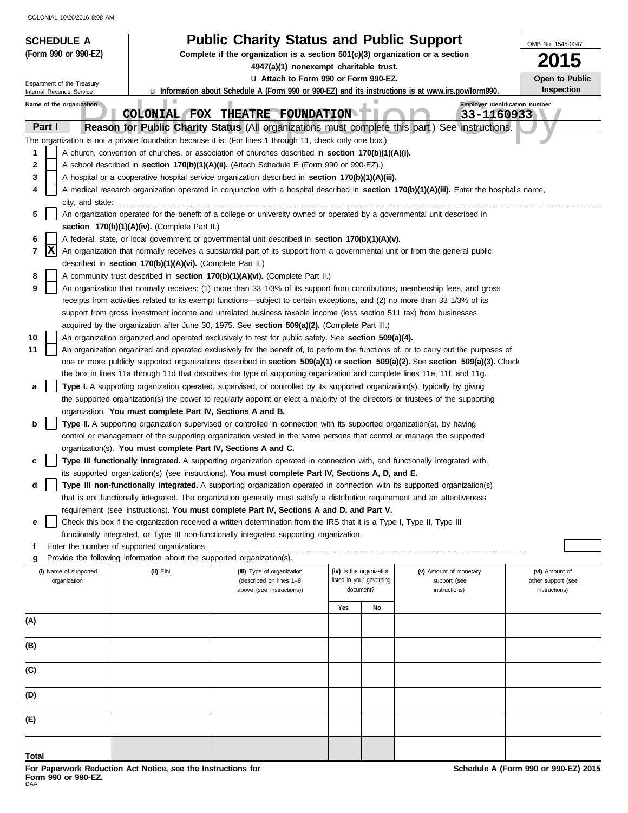| <b>SCHEDULE A</b>                                      |                                                                                                                                                   | <b>Public Charity Status and Public Support</b>                                                                                                                                                                                                                       |                          |                          |                                | OMB No. 1545-0047                   |  |  |  |  |
|--------------------------------------------------------|---------------------------------------------------------------------------------------------------------------------------------------------------|-----------------------------------------------------------------------------------------------------------------------------------------------------------------------------------------------------------------------------------------------------------------------|--------------------------|--------------------------|--------------------------------|-------------------------------------|--|--|--|--|
| (Form 990 or 990-EZ)                                   |                                                                                                                                                   | Complete if the organization is a section $501(c)(3)$ organization or a section                                                                                                                                                                                       |                          |                          |                                |                                     |  |  |  |  |
|                                                        |                                                                                                                                                   | 4947(a)(1) nonexempt charitable trust.                                                                                                                                                                                                                                |                          |                          |                                |                                     |  |  |  |  |
| Department of the Treasury<br>Internal Revenue Service |                                                                                                                                                   | u Attach to Form 990 or Form 990-EZ.<br><b>u</b> Information about Schedule A (Form 990 or 990-EZ) and its instructions is at www.irs.gov/form990.                                                                                                                    |                          |                          |                                | Open to Public<br><b>Inspection</b> |  |  |  |  |
| Name of the organization                               |                                                                                                                                                   |                                                                                                                                                                                                                                                                       |                          |                          | Employer identification number |                                     |  |  |  |  |
|                                                        |                                                                                                                                                   | COLONIAL FOX THEATRE FOUNDATION                                                                                                                                                                                                                                       |                          |                          | 33-1160933                     |                                     |  |  |  |  |
| Part I                                                 |                                                                                                                                                   | Reason for Public Charity Status (All organizations must complete this part.)                                                                                                                                                                                         |                          |                          | See instructions.              |                                     |  |  |  |  |
| 1                                                      |                                                                                                                                                   | The organization is not a private foundation because it is: (For lines 1 through 11, check only one box.)<br>A church, convention of churches, or association of churches described in section 170(b)(1)(A)(i).                                                       |                          |                          |                                |                                     |  |  |  |  |
| 2                                                      |                                                                                                                                                   | A school described in <b>section 170(b)(1)(A)(ii).</b> (Attach Schedule E (Form 990 or 990-EZ).)                                                                                                                                                                      |                          |                          |                                |                                     |  |  |  |  |
| 3                                                      |                                                                                                                                                   | A hospital or a cooperative hospital service organization described in section 170(b)(1)(A)(iii).                                                                                                                                                                     |                          |                          |                                |                                     |  |  |  |  |
| 4                                                      |                                                                                                                                                   | A medical research organization operated in conjunction with a hospital described in section 170(b)(1)(A)(iii). Enter the hospital's name,                                                                                                                            |                          |                          |                                |                                     |  |  |  |  |
| city, and state:                                       |                                                                                                                                                   |                                                                                                                                                                                                                                                                       |                          |                          |                                |                                     |  |  |  |  |
|                                                        | 5<br>An organization operated for the benefit of a college or university owned or operated by a governmental unit described in                    |                                                                                                                                                                                                                                                                       |                          |                          |                                |                                     |  |  |  |  |
| 6                                                      | section 170(b)(1)(A)(iv). (Complete Part II.)<br>A federal, state, or local government or governmental unit described in section 170(b)(1)(A)(v). |                                                                                                                                                                                                                                                                       |                          |                          |                                |                                     |  |  |  |  |
| x<br>7                                                 |                                                                                                                                                   | An organization that normally receives a substantial part of its support from a governmental unit or from the general public                                                                                                                                          |                          |                          |                                |                                     |  |  |  |  |
|                                                        | described in section 170(b)(1)(A)(vi). (Complete Part II.)                                                                                        |                                                                                                                                                                                                                                                                       |                          |                          |                                |                                     |  |  |  |  |
| 8<br>9                                                 |                                                                                                                                                   | A community trust described in section 170(b)(1)(A)(vi). (Complete Part II.)<br>An organization that normally receives: (1) more than 33 1/3% of its support from contributions, membership fees, and gross                                                           |                          |                          |                                |                                     |  |  |  |  |
|                                                        |                                                                                                                                                   | receipts from activities related to its exempt functions—subject to certain exceptions, and (2) no more than 33 1/3% of its                                                                                                                                           |                          |                          |                                |                                     |  |  |  |  |
|                                                        |                                                                                                                                                   | support from gross investment income and unrelated business taxable income (less section 511 tax) from businesses                                                                                                                                                     |                          |                          |                                |                                     |  |  |  |  |
|                                                        |                                                                                                                                                   | acquired by the organization after June 30, 1975. See section 509(a)(2). (Complete Part III.)                                                                                                                                                                         |                          |                          |                                |                                     |  |  |  |  |
| 10                                                     |                                                                                                                                                   | An organization organized and operated exclusively to test for public safety. See section 509(a)(4).                                                                                                                                                                  |                          |                          |                                |                                     |  |  |  |  |
| 11                                                     |                                                                                                                                                   | An organization organized and operated exclusively for the benefit of, to perform the functions of, or to carry out the purposes of<br>one or more publicly supported organizations described in section 509(a)(1) or section 509(a)(2). See section 509(a)(3). Check |                          |                          |                                |                                     |  |  |  |  |
|                                                        |                                                                                                                                                   | the box in lines 11a through 11d that describes the type of supporting organization and complete lines 11e, 11f, and 11g.                                                                                                                                             |                          |                          |                                |                                     |  |  |  |  |
| a                                                      |                                                                                                                                                   | Type I. A supporting organization operated, supervised, or controlled by its supported organization(s), typically by giving                                                                                                                                           |                          |                          |                                |                                     |  |  |  |  |
|                                                        |                                                                                                                                                   | the supported organization(s) the power to regularly appoint or elect a majority of the directors or trustees of the supporting                                                                                                                                       |                          |                          |                                |                                     |  |  |  |  |
|                                                        | organization. You must complete Part IV, Sections A and B.                                                                                        |                                                                                                                                                                                                                                                                       |                          |                          |                                |                                     |  |  |  |  |
| b                                                      |                                                                                                                                                   | Type II. A supporting organization supervised or controlled in connection with its supported organization(s), by having<br>control or management of the supporting organization vested in the same persons that control or manage the supported                       |                          |                          |                                |                                     |  |  |  |  |
|                                                        | organization(s). You must complete Part IV, Sections A and C.                                                                                     |                                                                                                                                                                                                                                                                       |                          |                          |                                |                                     |  |  |  |  |
| c                                                      |                                                                                                                                                   | Type III functionally integrated. A supporting organization operated in connection with, and functionally integrated with,                                                                                                                                            |                          |                          |                                |                                     |  |  |  |  |
|                                                        |                                                                                                                                                   | its supported organization(s) (see instructions). You must complete Part IV, Sections A, D, and E.                                                                                                                                                                    |                          |                          |                                |                                     |  |  |  |  |
| d                                                      |                                                                                                                                                   | Type III non-functionally integrated. A supporting organization operated in connection with its supported organization(s)<br>that is not functionally integrated. The organization generally must satisfy a distribution requirement and an attentiveness             |                          |                          |                                |                                     |  |  |  |  |
|                                                        |                                                                                                                                                   | requirement (see instructions). You must complete Part IV, Sections A and D, and Part V.                                                                                                                                                                              |                          |                          |                                |                                     |  |  |  |  |
| е                                                      |                                                                                                                                                   | Check this box if the organization received a written determination from the IRS that it is a Type I, Type II, Type III                                                                                                                                               |                          |                          |                                |                                     |  |  |  |  |
|                                                        |                                                                                                                                                   | functionally integrated, or Type III non-functionally integrated supporting organization.                                                                                                                                                                             |                          |                          |                                |                                     |  |  |  |  |
| g                                                      | Enter the number of supported organizations<br>Provide the following information about the supported organization(s).                             |                                                                                                                                                                                                                                                                       |                          |                          |                                |                                     |  |  |  |  |
| (i) Name of supported                                  | (ii) EIN                                                                                                                                          | (iii) Type of organization                                                                                                                                                                                                                                            | (iv) Is the organization |                          | (v) Amount of monetary         | (vi) Amount of                      |  |  |  |  |
| organization                                           |                                                                                                                                                   | (described on lines 1-9                                                                                                                                                                                                                                               | document?                | listed in your governing | support (see                   | other support (see                  |  |  |  |  |
|                                                        |                                                                                                                                                   | above (see instructions))                                                                                                                                                                                                                                             |                          |                          | instructions)                  | instructions)                       |  |  |  |  |
|                                                        |                                                                                                                                                   |                                                                                                                                                                                                                                                                       | Yes                      | No                       |                                |                                     |  |  |  |  |
| (A)                                                    |                                                                                                                                                   |                                                                                                                                                                                                                                                                       |                          |                          |                                |                                     |  |  |  |  |
| (B)                                                    |                                                                                                                                                   |                                                                                                                                                                                                                                                                       |                          |                          |                                |                                     |  |  |  |  |
|                                                        |                                                                                                                                                   |                                                                                                                                                                                                                                                                       |                          |                          |                                |                                     |  |  |  |  |
| (C)                                                    |                                                                                                                                                   |                                                                                                                                                                                                                                                                       |                          |                          |                                |                                     |  |  |  |  |
| (D)                                                    |                                                                                                                                                   |                                                                                                                                                                                                                                                                       |                          |                          |                                |                                     |  |  |  |  |
| (E)                                                    |                                                                                                                                                   |                                                                                                                                                                                                                                                                       |                          |                          |                                |                                     |  |  |  |  |
|                                                        |                                                                                                                                                   |                                                                                                                                                                                                                                                                       |                          |                          |                                |                                     |  |  |  |  |
| Total                                                  |                                                                                                                                                   |                                                                                                                                                                                                                                                                       |                          |                          |                                |                                     |  |  |  |  |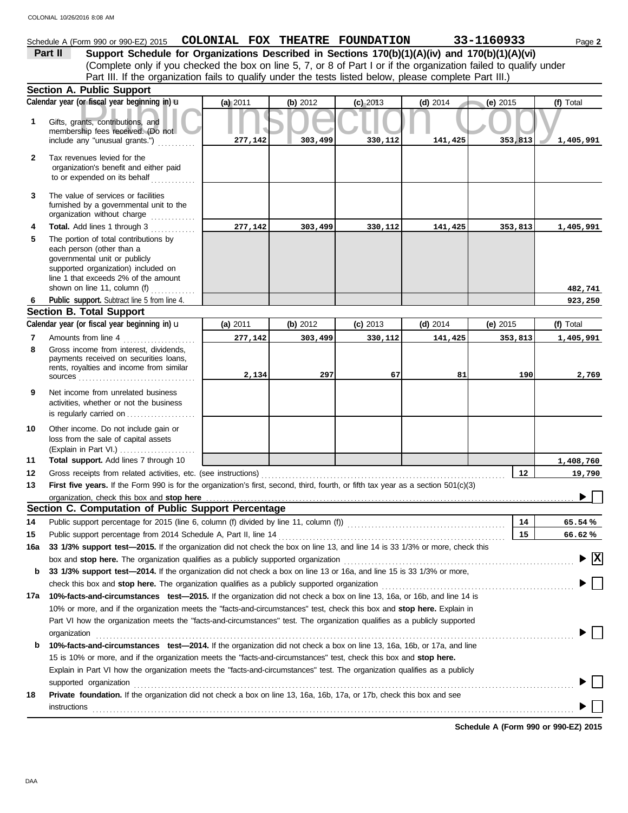### Schedule A (Form 990 or 990-EZ) 2015 **COLONIAL FOX THEATRE FOUNDATION** 33-1160933 Page 2 **Part II Support Schedule for Organizations Described in Sections 170(b)(1)(A)(iv) and 170(b)(1)(A)(vi)** (Complete only if you checked the box on line 5, 7, or 8 of Part I or if the organization failed to qualify under Part III. If the organization fails to qualify under the tests listed below, please complete Part III.) **Section A. Public Support** (or fiscal year beginning in) **u** (a) 2011 (b) 2012 (c) 2013 (d) 2014 (e) 2015 (f)<br>ants, contributions, and<br>ship fees received. (Do not 277, 142 303, 499 330, 112 141, 425 353, 813 1 **Calendar year (or fiscal year beginning in)** u **(f)** Total **(a)** 2011 **(b)** 2012 **(c)** 2013 **(d)** 2014 **(e)** 2015 Gifts, grants, contributions, and **1** membership fees received. (Do not include any "unusual grants.") . . . . . . . . . . . **277,142 303,499 330,112 141,425 353,813 1,405,991 2** Tax revenues levied for the organization's benefit and either paid to or expended on its behalf ............. **3** The value of services or facilities furnished by a governmental unit to the organization without charge .............. **Total.** Add lines 1 through 3 **4 277,142 303,499 330,112 141,425 353,813 1,405,991 5** The portion of total contributions by each person (other than a governmental unit or publicly supported organization) included on line 1 that exceeds 2% of the amount shown on line 11, column  $(f)$   $\ldots$   $\ldots$  . . . . . . . **482,741 Public support.** Subtract line 5 from line 4. **923,250 6 Section B. Total Support Calendar year (or fiscal year beginning in)** u **(f)** Total **(a)** 2011 **(b)** 2012 **(c)** 2013 **(d)** 2014 **(e)** 2015 Amounts from line 4 . . . . . . . . . . . . . . . . . . . . . **7 277,142 303,499 330,112 141,425 353,813 1,405,991** Gross income from interest, dividends, **8** payments received on securities loans. rents, royalties and income from similar sources . . . . . . . . . . . . . . . . . . . . . . . . . . . . . . . . . . **2,134 297 67 81 190 2,769 9** Net income from unrelated business activities, whether or not the business is regularly carried on . . . . . . . . . . . . . . . . . . . . **10** Other income. Do not include gain or loss from the sale of capital assets (Explain in Part VI.) . . . . . . . . . . . . . . . . . . . . . . **11 Total support.** Add lines 7 through 10 **1,408,760 12 12 19,790** Gross receipts from related activities, etc. (see instructions) . . . . . . . . . . . . . . . . . . . . . . . . . . . . . . . . . . . . . . . . . . . . . . . . . . . . . . . . . . . . . . . . . . . . . . . **13 First five years.** If the Form 990 is for the organization's first, second, third, fourth, or fifth tax year as a section 501(c)(3) organization, check this box and stop here ▶ **Section C. Computation of Public Support Percentage 14** Public support percentage for 2015 (line 6, column (f) divided by line 11, column (f)) . . . . . . . . . . . . . . . . . . . . . . . . . . . . . . . . . . . . . . . . . . . . . . **14 % 65.54** Public support percentage from 2014 Schedule A, Part II, line 14 . . . . . . . . . . . . . . . . . . . . . . . . . . . . . . . . . . . . . . . . . . . . . . . . . . . . . . . . . . . . . . . . . . **15 15 % 66.62 16a 33 1/3% support test—2015.** If the organization did not check the box on line 13, and line 14 is 33 1/3% or more, check this box and **stop here.** The organization qualifies as a publicly supported organization . . . . . . . . . . . . . . . . . . . . . . . . . . . . . . . . . . . . . . . . . . . . . . . . . . . . . . . . . . . . . . . . . . . **X b 33 1/3% support test—2014.** If the organization did not check a box on line 13 or 16a, and line 15 is 33 1/3% or more, check this box and **stop here.** The organization qualifies as a publicly supported organization . . . . . . . . . . . . . . . . . . . . . . . . . . . . . . . . . . . . . . . . . . . . . . . . . . . . . . . . **17a 10%-facts-and-circumstances test—2015.** If the organization did not check a box on line 13, 16a, or 16b, and line 14 is 10% or more, and if the organization meets the "facts-and-circumstances" test, check this box and **stop here.** Explain in Part VI how the organization meets the "facts-and-circumstances" test. The organization qualifies as a publicly supported organization . . . . . . . . . . . . . . . . . . . . . . . . . . . . . . . . . . . . . . . . . . . . . . . . . . . . . . . . . . . . . . . . . . . . . . . . . . . . . . . . . . . . . . . . . . . . . . . . . . . . . . . . . . . . . . . . . . . . . . . . . . . . . . . . . . . . . . . . . . . **b 10%-facts-and-circumstances test—2014.** If the organization did not check a box on line 13, 16a, 16b, or 17a, and line 15 is 10% or more, and if the organization meets the "facts-and-circumstances" test, check this box and **stop here.**

**18 Private foundation.** If the organization did not check a box on line 13, 16a, 16b, 17a, or 17b, check this box and see supported organization with the contract of the contract of the contract of the contract of the contract of the contract of the contract of the contract of the contract of the contract of the contract of the contract of th **instructions** 

Explain in Part VI how the organization meets the "facts-and-circumstances" test. The organization qualifies as a publicly

**Schedule A (Form 990 or 990-EZ) 2015**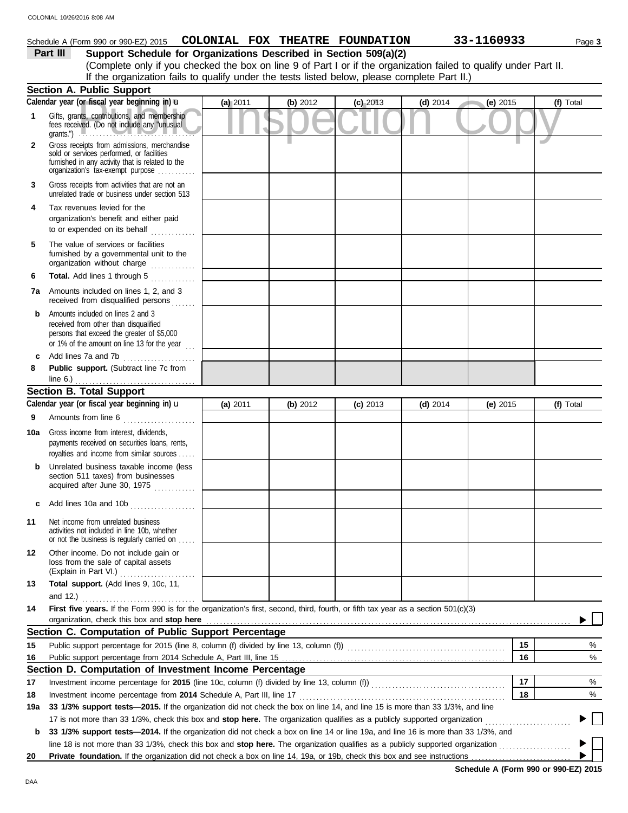## Schedule A (Form 990 or 990-EZ) 2015 COLONIAL FOX THEATRE FOUNDATION 33-1160933 Page 3

## **Part III Support Schedule for Organizations Described in Section 509(a)(2)**

(Complete only if you checked the box on line 9 of Part I or if the organization failed to qualify under Part II. If the organization fails to qualify under the tests listed below, please complete Part II.)

|              | <b>Section A. Public Support</b>                                                                                                                                                                                                     |          |          |            |            |            |           |
|--------------|--------------------------------------------------------------------------------------------------------------------------------------------------------------------------------------------------------------------------------------|----------|----------|------------|------------|------------|-----------|
|              | Calendar year (or fiscal year beginning in) u                                                                                                                                                                                        | (a) 2011 | (b) 2012 | $(c)$ 2013 | $(d)$ 2014 | (e) 2015   | (f) Total |
| $\mathbf 1$  | Gifts, grants, contributions, and membership<br>fees received. (Do not include any "unusual<br>grants.") $\frac{1}{2}$                                                                                                               |          |          |            |            |            |           |
| $\mathbf{2}$ | Gross receipts from admissions, merchandise<br>sold or services performed, or facilities<br>furnished in any activity that is related to the<br>organization's tax-exempt purpose                                                    |          |          |            |            |            |           |
| 3            | Gross receipts from activities that are not an<br>unrelated trade or business under section 513                                                                                                                                      |          |          |            |            |            |           |
| 4            | Tax revenues levied for the<br>organization's benefit and either paid<br>to or expended on its behalf                                                                                                                                |          |          |            |            |            |           |
| 5            | The value of services or facilities<br>furnished by a governmental unit to the<br>organization without charge                                                                                                                        |          |          |            |            |            |           |
| 6            | Total. Add lines 1 through 5                                                                                                                                                                                                         |          |          |            |            |            |           |
| 7а           | Amounts included on lines 1, 2, and 3<br>received from disqualified persons                                                                                                                                                          |          |          |            |            |            |           |
| b            | Amounts included on lines 2 and 3<br>received from other than disqualified<br>persons that exceed the greater of \$5,000<br>or 1% of the amount on line 13 for the year $\ldots$                                                     |          |          |            |            |            |           |
| c            | Add lines 7a and 7b                                                                                                                                                                                                                  |          |          |            |            |            |           |
| 8            | Public support. (Subtract line 7c from                                                                                                                                                                                               |          |          |            |            |            |           |
|              | <b>Section B. Total Support</b>                                                                                                                                                                                                      |          |          |            |            |            |           |
|              | Calendar year (or fiscal year beginning in) $\mathbf u$                                                                                                                                                                              |          |          |            |            |            | (f) Total |
|              |                                                                                                                                                                                                                                      | (a) 2011 | (b) 2012 | $(c)$ 2013 | $(d)$ 2014 | (e) $2015$ |           |
| 9            | Amounts from line 6                                                                                                                                                                                                                  |          |          |            |            |            |           |
| 10a          | Gross income from interest, dividends,<br>payments received on securities loans, rents,<br>royalties and income from similar sources                                                                                                 |          |          |            |            |            |           |
| b            | Unrelated business taxable income (less<br>section 511 taxes) from businesses<br>acquired after June 30, 1975                                                                                                                        |          |          |            |            |            |           |
| c            | Add lines 10a and 10b                                                                                                                                                                                                                |          |          |            |            |            |           |
| 11           | Net income from unrelated business<br>activities not included in line 10b, whether<br>or not the business is regularly carried on                                                                                                    |          |          |            |            |            |           |
| 12           | Other income. Do not include gain or<br>loss from the sale of capital assets<br>(Explain in Part VI.)                                                                                                                                |          |          |            |            |            |           |
| 13           | Total support. (Add lines 9, 10c, 11,<br>and 12.)                                                                                                                                                                                    |          |          |            |            |            |           |
| 14           | First five years. If the Form 990 is for the organization's first, second, third, fourth, or fifth tax year as a section 501(c)(3)                                                                                                   |          |          |            |            |            |           |
|              | organization, check this box and stop here <i>manual content of the content of the set of the content of the set of the content of the content of the set of the content of the content of the content of the content of the con</i> |          |          |            |            |            |           |
|              | Section C. Computation of Public Support Percentage                                                                                                                                                                                  |          |          |            |            |            |           |
| 15           |                                                                                                                                                                                                                                      |          |          |            |            | 15         | %         |
| 16           |                                                                                                                                                                                                                                      |          |          |            |            | 16         | %         |
|              | Section D. Computation of Investment Income Percentage                                                                                                                                                                               |          |          |            |            |            |           |
| 17           |                                                                                                                                                                                                                                      |          |          |            |            | 17         | %         |
| 18           | Investment income percentage from 2014 Schedule A, Part III, line 17                                                                                                                                                                 |          |          |            |            | 18         | %         |
| 19a          | 33 1/3% support tests-2015. If the organization did not check the box on line 14, and line 15 is more than 33 1/3%, and line                                                                                                         |          |          |            |            |            |           |
|              | 17 is not more than 33 1/3%, check this box and stop here. The organization qualifies as a publicly supported organization                                                                                                           |          |          |            |            |            |           |
| b            | 33 1/3% support tests—2014. If the organization did not check a box on line 14 or line 19a, and line 16 is more than 33 1/3%, and                                                                                                    |          |          |            |            |            |           |
|              | line 18 is not more than 33 1/3%, check this box and stop here. The organization qualifies as a publicly supported organization                                                                                                      |          |          |            |            |            |           |
| 20           | Private foundation. If the organization did not check a box on line 14, 19a, or 19b, check this box and see instructions                                                                                                             |          |          |            |            |            |           |

**Schedule A (Form 990 or 990-EZ) 2015**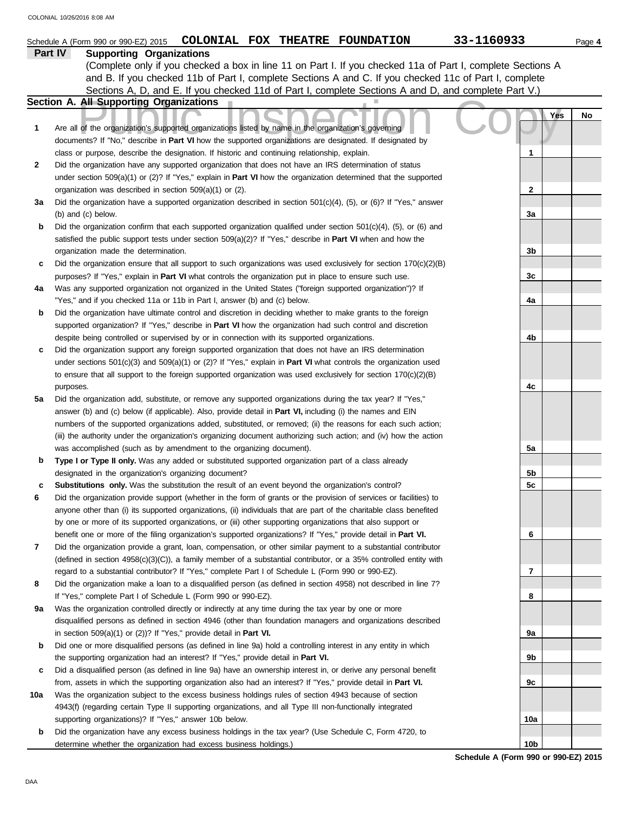|     | Schedule A (Form 990 or 990-EZ) 2015 COLONIAL FOX THEATRE FOUNDATION                                                                                                                                    | 33-1160933      | Page 4 |
|-----|---------------------------------------------------------------------------------------------------------------------------------------------------------------------------------------------------------|-----------------|--------|
|     | Part IV<br><b>Supporting Organizations</b>                                                                                                                                                              |                 |        |
|     | (Complete only if you checked a box in line 11 on Part I. If you checked 11a of Part I, complete Sections A                                                                                             |                 |        |
|     | and B. If you checked 11b of Part I, complete Sections A and C. If you checked 11c of Part I, complete                                                                                                  |                 |        |
|     | Sections A, D, and E. If you checked 11d of Part I, complete Sections A and D, and complete Part V.)                                                                                                    |                 |        |
|     | Section A. All Supporting Organizations                                                                                                                                                                 |                 |        |
|     |                                                                                                                                                                                                         | Yes             | No     |
| 1   | Are all of the organization's supported organizations listed by name in the organization's governing                                                                                                    |                 |        |
|     | documents? If "No," describe in Part VI how the supported organizations are designated. If designated by                                                                                                |                 |        |
|     | class or purpose, describe the designation. If historic and continuing relationship, explain.                                                                                                           | 1               |        |
| 2   | Did the organization have any supported organization that does not have an IRS determination of status                                                                                                  |                 |        |
|     | under section 509(a)(1) or (2)? If "Yes," explain in <b>Part VI</b> how the organization determined that the supported                                                                                  |                 |        |
|     | organization was described in section 509(a)(1) or (2).                                                                                                                                                 | $\mathbf{2}$    |        |
| За  | Did the organization have a supported organization described in section $501(c)(4)$ , $(5)$ , or $(6)$ ? If "Yes," answer                                                                               |                 |        |
|     | (b) and (c) below.                                                                                                                                                                                      | За              |        |
| b   | Did the organization confirm that each supported organization qualified under section $501(c)(4)$ , (5), or (6) and                                                                                     |                 |        |
|     | satisfied the public support tests under section $509(a)(2)$ ? If "Yes," describe in <b>Part VI</b> when and how the                                                                                    |                 |        |
|     | organization made the determination.                                                                                                                                                                    | 3b              |        |
| c   | Did the organization ensure that all support to such organizations was used exclusively for section $170(c)(2)(B)$                                                                                      |                 |        |
|     | purposes? If "Yes," explain in Part VI what controls the organization put in place to ensure such use.                                                                                                  | 3c              |        |
| 4a  | Was any supported organization not organized in the United States ("foreign supported organization")? If                                                                                                |                 |        |
|     | "Yes," and if you checked 11a or 11b in Part I, answer (b) and (c) below.                                                                                                                               | 4a              |        |
| b   | Did the organization have ultimate control and discretion in deciding whether to make grants to the foreign                                                                                             |                 |        |
|     | supported organization? If "Yes," describe in Part VI how the organization had such control and discretion                                                                                              |                 |        |
| c   | despite being controlled or supervised by or in connection with its supported organizations.<br>Did the organization support any foreign supported organization that does not have an IRS determination | 4b              |        |
|     | under sections $501(c)(3)$ and $509(a)(1)$ or (2)? If "Yes," explain in Part VI what controls the organization used                                                                                     |                 |        |
|     | to ensure that all support to the foreign supported organization was used exclusively for section $170(c)(2)(B)$                                                                                        |                 |        |
|     | purposes.                                                                                                                                                                                               | 4c              |        |
| 5a  | Did the organization add, substitute, or remove any supported organizations during the tax year? If "Yes,"                                                                                              |                 |        |
|     | answer (b) and (c) below (if applicable). Also, provide detail in Part VI, including (i) the names and EIN                                                                                              |                 |        |
|     | numbers of the supported organizations added, substituted, or removed; (ii) the reasons for each such action;                                                                                           |                 |        |
|     | (iii) the authority under the organization's organizing document authorizing such action; and (iv) how the action                                                                                       |                 |        |
|     | was accomplished (such as by amendment to the organizing document).                                                                                                                                     | 5a              |        |
| b   | Type I or Type II only. Was any added or substituted supported organization part of a class already                                                                                                     |                 |        |
|     | designated in the organization's organizing document?                                                                                                                                                   | 5b              |        |
| c   | Substitutions only. Was the substitution the result of an event beyond the organization's control?                                                                                                      | 5c              |        |
| 6   | Did the organization provide support (whether in the form of grants or the provision of services or facilities) to                                                                                      |                 |        |
|     | anyone other than (i) its supported organizations, (ii) individuals that are part of the charitable class benefited                                                                                     |                 |        |
|     | by one or more of its supported organizations, or (iii) other supporting organizations that also support or                                                                                             |                 |        |
|     | benefit one or more of the filing organization's supported organizations? If "Yes," provide detail in Part VI.                                                                                          | 6               |        |
| 7   | Did the organization provide a grant, loan, compensation, or other similar payment to a substantial contributor                                                                                         |                 |        |
|     | (defined in section 4958(c)(3)(C)), a family member of a substantial contributor, or a 35% controlled entity with                                                                                       |                 |        |
| 8   | regard to a substantial contributor? If "Yes," complete Part I of Schedule L (Form 990 or 990-EZ).                                                                                                      | 7               |        |
|     | Did the organization make a loan to a disqualified person (as defined in section 4958) not described in line 7?<br>If "Yes," complete Part I of Schedule L (Form 990 or 990-EZ).                        | 8               |        |
| 9a  | Was the organization controlled directly or indirectly at any time during the tax year by one or more                                                                                                   |                 |        |
|     | disqualified persons as defined in section 4946 (other than foundation managers and organizations described                                                                                             |                 |        |
|     | in section $509(a)(1)$ or $(2)$ ? If "Yes," provide detail in <b>Part VI.</b>                                                                                                                           | 9а              |        |
| b   | Did one or more disqualified persons (as defined in line 9a) hold a controlling interest in any entity in which                                                                                         |                 |        |
|     | the supporting organization had an interest? If "Yes," provide detail in Part VI.                                                                                                                       | 9b              |        |
| c   | Did a disqualified person (as defined in line 9a) have an ownership interest in, or derive any personal benefit                                                                                         |                 |        |
|     | from, assets in which the supporting organization also had an interest? If "Yes," provide detail in Part VI.                                                                                            | 9c              |        |
| 10a | Was the organization subject to the excess business holdings rules of section 4943 because of section                                                                                                   |                 |        |
|     | 4943(f) (regarding certain Type II supporting organizations, and all Type III non-functionally integrated                                                                                               |                 |        |
|     | supporting organizations)? If "Yes," answer 10b below.                                                                                                                                                  | 10a             |        |
| b   | Did the organization have any excess business holdings in the tax year? (Use Schedule C, Form 4720, to                                                                                                  |                 |        |
|     | determine whether the organization had excess business holdings.)                                                                                                                                       | 10 <sub>b</sub> |        |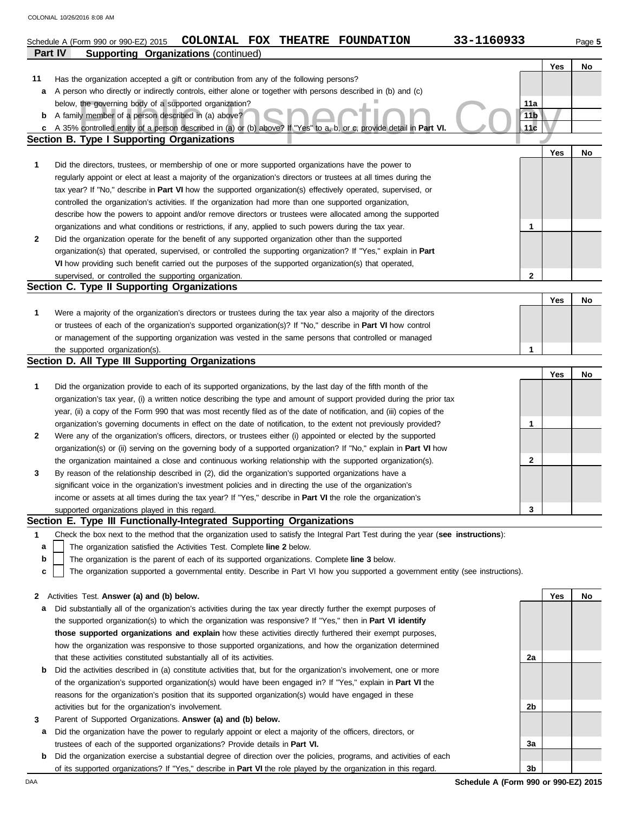|         | 33-1160933<br>Schedule A (Form 990 or 990-EZ) 2015 COLONIAL FOX THEATRE FOUNDATION                                                                                                                                        |                 |     | Page 5 |
|---------|---------------------------------------------------------------------------------------------------------------------------------------------------------------------------------------------------------------------------|-----------------|-----|--------|
| Part IV | <b>Supporting Organizations (continued)</b>                                                                                                                                                                               |                 |     |        |
|         |                                                                                                                                                                                                                           |                 | Yes | No     |
| 11      | Has the organization accepted a gift or contribution from any of the following persons?                                                                                                                                   |                 |     |        |
| а       | A person who directly or indirectly controls, either alone or together with persons described in (b) and (c)                                                                                                              |                 |     |        |
|         | below, the governing body of a supported organization?                                                                                                                                                                    | 11a             |     |        |
| b       | A family member of a person described in (a) above?                                                                                                                                                                       | 11 <sub>b</sub> |     |        |
| c       | A 35% controlled entity of a person described in (a) or (b) above? If "Yes" to a, b, or c, provide detail in Part VI.                                                                                                     | 11 <sub>c</sub> |     |        |
|         | Section B. Type I Supporting Organizations                                                                                                                                                                                |                 |     |        |
|         |                                                                                                                                                                                                                           |                 | Yes | No     |
| 1       | Did the directors, trustees, or membership of one or more supported organizations have the power to                                                                                                                       |                 |     |        |
|         | regularly appoint or elect at least a majority of the organization's directors or trustees at all times during the                                                                                                        |                 |     |        |
|         | tax year? If "No," describe in <b>Part VI</b> how the supported organization(s) effectively operated, supervised, or                                                                                                      |                 |     |        |
|         | controlled the organization's activities. If the organization had more than one supported organization,                                                                                                                   |                 |     |        |
|         | describe how the powers to appoint and/or remove directors or trustees were allocated among the supported                                                                                                                 |                 |     |        |
|         | organizations and what conditions or restrictions, if any, applied to such powers during the tax year.                                                                                                                    | 1               |     |        |
| 2       | Did the organization operate for the benefit of any supported organization other than the supported                                                                                                                       |                 |     |        |
|         | organization(s) that operated, supervised, or controlled the supporting organization? If "Yes," explain in Part<br>VI how providing such benefit carried out the purposes of the supported organization(s) that operated, |                 |     |        |
|         | supervised, or controlled the supporting organization.                                                                                                                                                                    | $\mathbf{2}$    |     |        |
|         | Section C. Type II Supporting Organizations                                                                                                                                                                               |                 |     |        |
|         |                                                                                                                                                                                                                           |                 | Yes | No     |
| 1       | Were a majority of the organization's directors or trustees during the tax year also a majority of the directors                                                                                                          |                 |     |        |
|         | or trustees of each of the organization's supported organization(s)? If "No," describe in <b>Part VI</b> how control                                                                                                      |                 |     |        |
|         | or management of the supporting organization was vested in the same persons that controlled or managed                                                                                                                    |                 |     |        |
|         | the supported organization(s).                                                                                                                                                                                            | 1               |     |        |
|         | Section D. All Type III Supporting Organizations                                                                                                                                                                          |                 |     |        |
|         |                                                                                                                                                                                                                           |                 | Yes | No     |
| 1       | Did the organization provide to each of its supported organizations, by the last day of the fifth month of the                                                                                                            |                 |     |        |
|         | organization's tax year, (i) a written notice describing the type and amount of support provided during the prior tax                                                                                                     |                 |     |        |
|         | year, (ii) a copy of the Form 990 that was most recently filed as of the date of notification, and (iii) copies of the                                                                                                    |                 |     |        |
|         | organization's governing documents in effect on the date of notification, to the extent not previously provided?                                                                                                          | 1               |     |        |
| 2       | Were any of the organization's officers, directors, or trustees either (i) appointed or elected by the supported                                                                                                          |                 |     |        |
|         | organization(s) or (ii) serving on the governing body of a supported organization? If "No," explain in <b>Part VI</b> how                                                                                                 |                 |     |        |
|         | the organization maintained a close and continuous working relationship with the supported organization(s).                                                                                                               | $\mathbf{2}$    |     |        |
| 3       | By reason of the relationship described in (2), did the organization's supported organizations have a                                                                                                                     |                 |     |        |
|         | significant voice in the organization's investment policies and in directing the use of the organization's                                                                                                                |                 |     |        |
|         | income or assets at all times during the tax year? If "Yes," describe in Part VI the role the organization's                                                                                                              |                 |     |        |
|         | supported organizations played in this regard.                                                                                                                                                                            | 3               |     |        |
|         | Section E. Type III Functionally-Integrated Supporting Organizations                                                                                                                                                      |                 |     |        |
| 1       | Check the box next to the method that the organization used to satisfy the Integral Part Test during the year (see instructions):                                                                                         |                 |     |        |
| a       | The organization satisfied the Activities Test. Complete line 2 below.                                                                                                                                                    |                 |     |        |
| b       | The organization is the parent of each of its supported organizations. Complete line 3 below.                                                                                                                             |                 |     |        |
| c       | The organization supported a governmental entity. Describe in Part VI how you supported a government entity (see instructions).                                                                                           |                 |     |        |
|         |                                                                                                                                                                                                                           |                 |     |        |
| 2       | Activities Test. Answer (a) and (b) below.                                                                                                                                                                                |                 | Yes | No     |
| а       | Did substantially all of the organization's activities during the tax year directly further the exempt purposes of                                                                                                        |                 |     |        |
|         | the supported organization(s) to which the organization was responsive? If "Yes," then in Part VI identify                                                                                                                |                 |     |        |
|         | those supported organizations and explain how these activities directly furthered their exempt purposes,                                                                                                                  |                 |     |        |
|         | how the organization was responsive to those supported organizations, and how the organization determined                                                                                                                 |                 |     |        |
|         | that these activities constituted substantially all of its activities.                                                                                                                                                    | 2a              |     |        |
| b       | Did the activities described in (a) constitute activities that, but for the organization's involvement, one or more                                                                                                       |                 |     |        |
|         | of the organization's supported organization(s) would have been engaged in? If "Yes," explain in Part VI the                                                                                                              |                 |     |        |
|         | reasons for the organization's position that its supported organization(s) would have engaged in these                                                                                                                    |                 |     |        |
|         | activities but for the organization's involvement.                                                                                                                                                                        | 2b              |     |        |
| 3       | Parent of Supported Organizations. Answer (a) and (b) below.                                                                                                                                                              |                 |     |        |
| а       | Did the organization have the power to regularly appoint or elect a majority of the officers, directors, or                                                                                                               |                 |     |        |
| b       | trustees of each of the supported organizations? Provide details in Part VI.<br>Did the organization exercise a substantial degree of direction over the policies, programs, and activities of each                       | За              |     |        |
|         | of its supported organizations? If "Yes," describe in Part VI the role played by the organization in this regard.                                                                                                         | 3b              |     |        |
|         |                                                                                                                                                                                                                           |                 |     |        |

DAA **Schedule A (Form 990 or 990-EZ) 2015**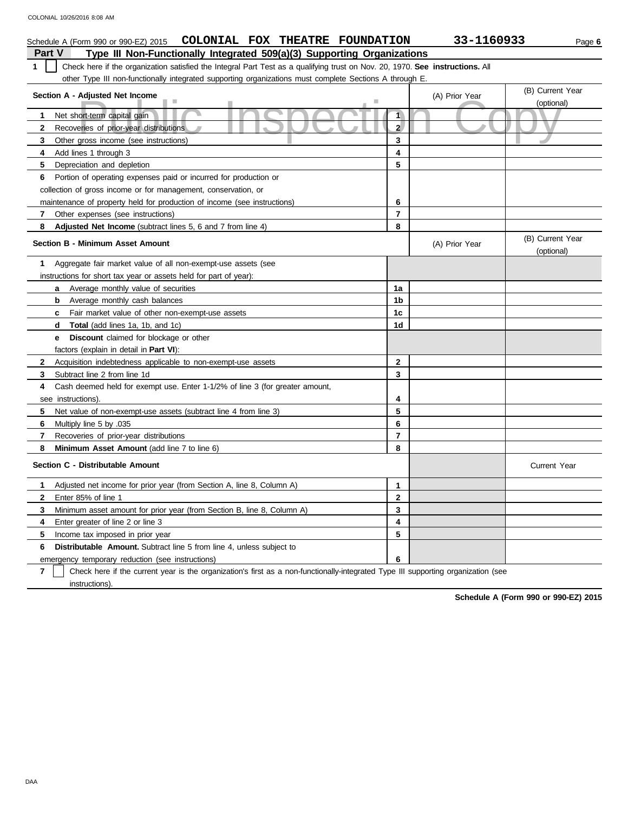| Schedule A (Form 990 or 990-EZ) 2015 COLONIAL FOX THEATRE FOUNDATION                                                               |                | 33-1160933     | Page 6                         |
|------------------------------------------------------------------------------------------------------------------------------------|----------------|----------------|--------------------------------|
| Type III Non-Functionally Integrated 509(a)(3) Supporting Organizations<br><b>Part V</b>                                           |                |                |                                |
| Check here if the organization satisfied the Integral Part Test as a qualifying trust on Nov. 20, 1970. See instructions. All<br>1 |                |                |                                |
| other Type III non-functionally integrated supporting organizations must complete Sections A through E.                            |                |                |                                |
| Section A - Adjusted Net Income<br>٠                                                                                               |                | (A) Prior Year | (B) Current Year<br>(optional) |
| Net short-term capital gain<br>1                                                                                                   | $\overline{1}$ |                |                                |
| $\mathbf{2}$<br>Recoveries of prior-year distributions                                                                             | $\mathbf{2}$   |                |                                |
| 3<br>Other gross income (see instructions)                                                                                         | 3              |                |                                |
| 4<br>Add lines 1 through 3                                                                                                         | 4              |                |                                |
| 5<br>Depreciation and depletion                                                                                                    | 5              |                |                                |
| 6<br>Portion of operating expenses paid or incurred for production or                                                              |                |                |                                |
| collection of gross income or for management, conservation, or                                                                     |                |                |                                |
| maintenance of property held for production of income (see instructions)                                                           | 6              |                |                                |
| Other expenses (see instructions)<br>$\mathbf{7}$                                                                                  | $\overline{7}$ |                |                                |
| 8<br>Adjusted Net Income (subtract lines 5, 6 and 7 from line 4)                                                                   | 8              |                |                                |
| Section B - Minimum Asset Amount                                                                                                   |                | (A) Prior Year | (B) Current Year<br>(optional) |
| Aggregate fair market value of all non-exempt-use assets (see<br>1                                                                 |                |                |                                |
| instructions for short tax year or assets held for part of year):                                                                  |                |                |                                |
| Average monthly value of securities<br>a                                                                                           | 1a             |                |                                |
| b<br>Average monthly cash balances                                                                                                 | 1 <sub>b</sub> |                |                                |
| Fair market value of other non-exempt-use assets<br>C                                                                              | 1c             |                |                                |
| <b>Total</b> (add lines 1a, 1b, and 1c)<br>d                                                                                       | 1d             |                |                                |
| <b>Discount</b> claimed for blockage or other<br>е                                                                                 |                |                |                                |
| factors (explain in detail in <b>Part VI)</b> :                                                                                    |                |                |                                |
| $\mathbf{2}$<br>Acquisition indebtedness applicable to non-exempt-use assets                                                       | $\mathbf{2}$   |                |                                |
| Subtract line 2 from line 1d<br>3                                                                                                  | 3              |                |                                |
| Cash deemed held for exempt use. Enter 1-1/2% of line 3 (for greater amount,<br>4                                                  |                |                |                                |
| see instructions).                                                                                                                 | 4              |                |                                |
| 5<br>Net value of non-exempt-use assets (subtract line 4 from line 3)                                                              | 5              |                |                                |
| 6<br>035. Multiply line 5 by                                                                                                       | 6              |                |                                |
| $\overline{7}$<br>Recoveries of prior-year distributions                                                                           | $\overline{7}$ |                |                                |
| Minimum Asset Amount (add line 7 to line 6)<br>8                                                                                   | 8              |                |                                |
| Section C - Distributable Amount                                                                                                   |                |                | <b>Current Year</b>            |
| Adjusted net income for prior year (from Section A, line 8, Column A)<br>1                                                         | $\mathbf{1}$   |                |                                |
| $\mathbf{2}$<br>Enter 85% of line 1                                                                                                | $\mathbf{2}$   |                |                                |
| 3<br>Minimum asset amount for prior year (from Section B, line 8, Column A)                                                        | 3              |                |                                |
| 4<br>Enter greater of line 2 or line 3                                                                                             | 4              |                |                                |
| 5<br>Income tax imposed in prior year                                                                                              | 5              |                |                                |
| Distributable Amount. Subtract line 5 from line 4, unless subject to<br>6                                                          |                |                |                                |
| emergency temporary reduction (see instructions)                                                                                   | 6              |                |                                |

**7** instructions). Check here if the current year is the organization's first as a non-functionally-integrated Type III supporting organization (see

**Schedule A (Form 990 or 990-EZ) 2015**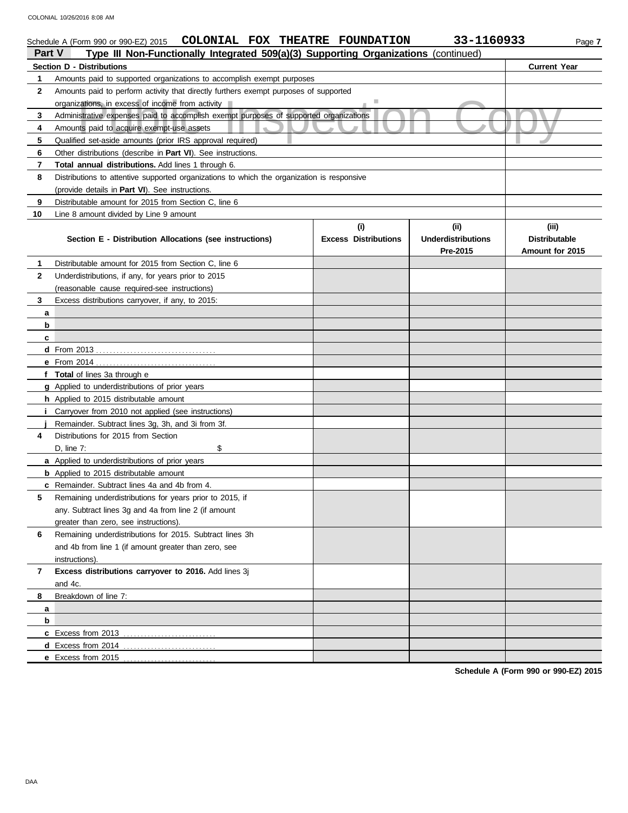|               | COLONIAL FOX THEATRE FOUNDATION<br>Schedule A (Form 990 or 990-EZ) 2015                    |                             | 33-1160933                | Page 7               |
|---------------|--------------------------------------------------------------------------------------------|-----------------------------|---------------------------|----------------------|
| <b>Part V</b> | Type III Non-Functionally Integrated 509(a)(3) Supporting Organizations (continued)        |                             |                           |                      |
|               | <b>Section D - Distributions</b>                                                           |                             |                           | <b>Current Year</b>  |
| 1             | Amounts paid to supported organizations to accomplish exempt purposes                      |                             |                           |                      |
| 2             | Amounts paid to perform activity that directly furthers exempt purposes of supported       |                             |                           |                      |
|               | organizations, in excess of income from activity                                           |                             |                           |                      |
| 3             | Administrative expenses paid to accomplish exempt purposes of supported organizations      |                             |                           |                      |
| 4             | Amounts paid to acquire exempt-use assets                                                  |                             |                           |                      |
| 5             | Qualified set-aside amounts (prior IRS approval required)                                  |                             |                           |                      |
| 6             | Other distributions (describe in Part VI). See instructions.                               |                             |                           |                      |
| 7             | Total annual distributions. Add lines 1 through 6.                                         |                             |                           |                      |
| 8             | Distributions to attentive supported organizations to which the organization is responsive |                             |                           |                      |
|               | (provide details in Part VI). See instructions.                                            |                             |                           |                      |
| 9             | Distributable amount for 2015 from Section C, line 6                                       |                             |                           |                      |
| 10            | Line 8 amount divided by Line 9 amount                                                     |                             |                           |                      |
|               |                                                                                            | (i)                         | (iii)                     | (iii)                |
|               | Section E - Distribution Allocations (see instructions)                                    | <b>Excess Distributions</b> | <b>Underdistributions</b> | <b>Distributable</b> |
|               |                                                                                            |                             | Pre-2015                  | Amount for 2015      |
| 1.            | Distributable amount for 2015 from Section C, line 6                                       |                             |                           |                      |
| $\mathbf{2}$  | Underdistributions, if any, for years prior to 2015                                        |                             |                           |                      |
|               | (reasonable cause required-see instructions)                                               |                             |                           |                      |
| 3             | Excess distributions carryover, if any, to 2015:                                           |                             |                           |                      |
| a             |                                                                                            |                             |                           |                      |
| b             |                                                                                            |                             |                           |                      |
| c             |                                                                                            |                             |                           |                      |
|               |                                                                                            |                             |                           |                      |
|               |                                                                                            |                             |                           |                      |
|               | f Total of lines 3a through e                                                              |                             |                           |                      |
|               | g Applied to underdistributions of prior years                                             |                             |                           |                      |
|               | h Applied to 2015 distributable amount                                                     |                             |                           |                      |
|               | <i>i</i> Carryover from 2010 not applied (see instructions)                                |                             |                           |                      |
|               | Remainder. Subtract lines 3g, 3h, and 3i from 3f.                                          |                             |                           |                      |
| 4             | Distributions for 2015 from Section                                                        |                             |                           |                      |
|               | \$<br>$D.$ line $7:$                                                                       |                             |                           |                      |
|               | a Applied to underdistributions of prior years                                             |                             |                           |                      |
|               | <b>b</b> Applied to 2015 distributable amount                                              |                             |                           |                      |
|               | c Remainder. Subtract lines 4a and 4b from 4.                                              |                             |                           |                      |
| 5             | Remaining underdistributions for years prior to 2015, if                                   |                             |                           |                      |
|               | any. Subtract lines 3g and 4a from line 2 (if amount                                       |                             |                           |                      |
|               | greater than zero, see instructions).                                                      |                             |                           |                      |
| 6             | Remaining underdistributions for 2015. Subtract lines 3h                                   |                             |                           |                      |
|               | and 4b from line 1 (if amount greater than zero, see                                       |                             |                           |                      |
|               | instructions).                                                                             |                             |                           |                      |
| 7             | Excess distributions carryover to 2016. Add lines 3j                                       |                             |                           |                      |
|               | and 4c.                                                                                    |                             |                           |                      |
| 8             | Breakdown of line 7:                                                                       |                             |                           |                      |
| a             |                                                                                            |                             |                           |                      |
| b             |                                                                                            |                             |                           |                      |
|               |                                                                                            |                             |                           |                      |
|               |                                                                                            |                             |                           |                      |
|               |                                                                                            |                             |                           |                      |

**Schedule A (Form 990 or 990-EZ) 2015**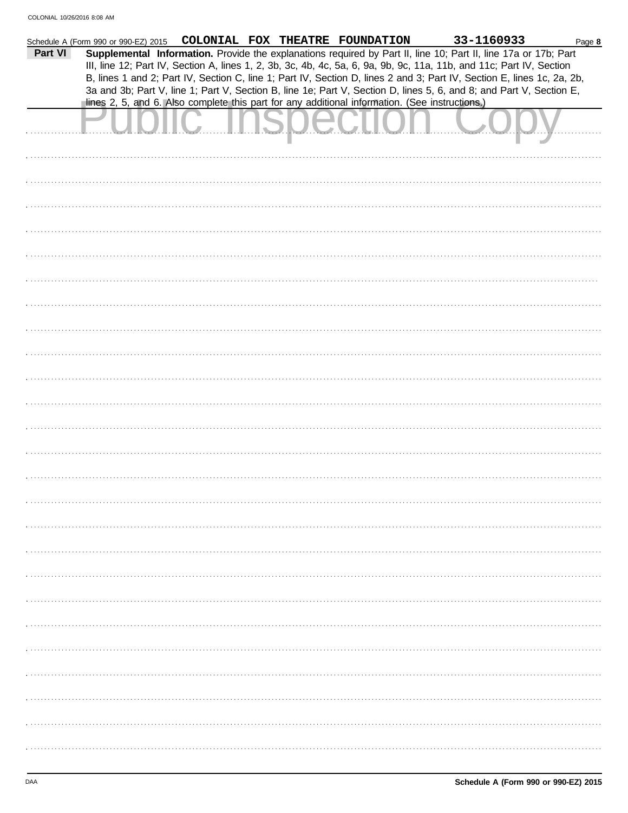|         | Schedule A (Form 990 or 990-EZ) 2015 COLONIAL FOX THEATRE FOUNDATION |  |  |                                                                                                | 33-1160933                                                                                                             | Page 8 |
|---------|----------------------------------------------------------------------|--|--|------------------------------------------------------------------------------------------------|------------------------------------------------------------------------------------------------------------------------|--------|
| Part VI |                                                                      |  |  |                                                                                                | Supplemental Information. Provide the explanations required by Part II, line 10; Part II, line 17a or 17b; Part        |        |
|         |                                                                      |  |  |                                                                                                | III, line 12; Part IV, Section A, lines 1, 2, 3b, 3c, 4b, 4c, 5a, 6, 9a, 9b, 9c, 11a, 11b, and 11c; Part IV, Section   |        |
|         |                                                                      |  |  |                                                                                                | B, lines 1 and 2; Part IV, Section C, line 1; Part IV, Section D, lines 2 and 3; Part IV, Section E, lines 1c, 2a, 2b, |        |
|         |                                                                      |  |  |                                                                                                | 3a and 3b; Part V, line 1; Part V, Section B, line 1e; Part V, Section D, lines 5, 6, and 8; and Part V, Section E,    |        |
|         |                                                                      |  |  | lines 2, 5, and 6. Also complete this part for any additional information. (See instructions.) |                                                                                                                        |        |
|         |                                                                      |  |  |                                                                                                |                                                                                                                        |        |
|         |                                                                      |  |  |                                                                                                |                                                                                                                        |        |
|         |                                                                      |  |  |                                                                                                |                                                                                                                        |        |
|         |                                                                      |  |  |                                                                                                |                                                                                                                        |        |
|         |                                                                      |  |  |                                                                                                |                                                                                                                        |        |
|         |                                                                      |  |  |                                                                                                |                                                                                                                        |        |
|         |                                                                      |  |  |                                                                                                |                                                                                                                        |        |
|         |                                                                      |  |  |                                                                                                |                                                                                                                        |        |
|         |                                                                      |  |  |                                                                                                |                                                                                                                        |        |
|         |                                                                      |  |  |                                                                                                |                                                                                                                        |        |
|         |                                                                      |  |  |                                                                                                |                                                                                                                        |        |
|         |                                                                      |  |  |                                                                                                |                                                                                                                        |        |
|         |                                                                      |  |  |                                                                                                |                                                                                                                        |        |
|         |                                                                      |  |  |                                                                                                |                                                                                                                        |        |
|         |                                                                      |  |  |                                                                                                |                                                                                                                        |        |
|         |                                                                      |  |  |                                                                                                |                                                                                                                        |        |
|         |                                                                      |  |  |                                                                                                |                                                                                                                        |        |
|         |                                                                      |  |  |                                                                                                |                                                                                                                        |        |
|         |                                                                      |  |  |                                                                                                |                                                                                                                        |        |
|         |                                                                      |  |  |                                                                                                |                                                                                                                        |        |
|         |                                                                      |  |  |                                                                                                |                                                                                                                        |        |
|         |                                                                      |  |  |                                                                                                |                                                                                                                        |        |
|         |                                                                      |  |  |                                                                                                |                                                                                                                        |        |
|         |                                                                      |  |  |                                                                                                |                                                                                                                        |        |
|         |                                                                      |  |  |                                                                                                |                                                                                                                        |        |
|         |                                                                      |  |  |                                                                                                |                                                                                                                        |        |
|         |                                                                      |  |  |                                                                                                |                                                                                                                        |        |
|         |                                                                      |  |  |                                                                                                |                                                                                                                        |        |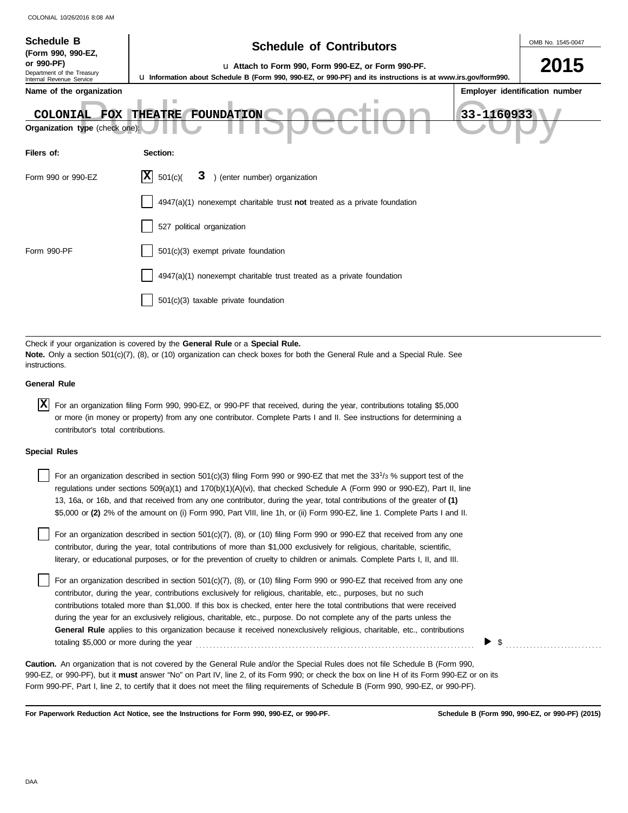| <b>Schedule B</b><br><b>Schedule of Contributors</b><br>(Form 990, 990-EZ,<br>or 990-PF)<br>u Attach to Form 990, Form 990-EZ, or Form 990-PF.<br>Department of the Treasury<br>Lu Information about Schedule B (Form 990, 990-EZ, or 990-PF) and its instructions is at www.irs.gov/form990.<br>Internal Revenue Service<br>Employer identification number<br>Name of the organization<br>п<br>33-1160933<br>FOUNDATION<br><b>COLONIAL</b><br>FOX.<br><b>THEATRE</b><br>Organization type (check one): |                                                                                                                                                                                                                                                              |  |  |
|---------------------------------------------------------------------------------------------------------------------------------------------------------------------------------------------------------------------------------------------------------------------------------------------------------------------------------------------------------------------------------------------------------------------------------------------------------------------------------------------------------|--------------------------------------------------------------------------------------------------------------------------------------------------------------------------------------------------------------------------------------------------------------|--|--|
| Filers of:                                                                                                                                                                                                                                                                                                                                                                                                                                                                                              | Section:                                                                                                                                                                                                                                                     |  |  |
| Form 990 or 990-EZ                                                                                                                                                                                                                                                                                                                                                                                                                                                                                      | X<br>) (enter number) organization<br>501(c)<br>3                                                                                                                                                                                                            |  |  |
|                                                                                                                                                                                                                                                                                                                                                                                                                                                                                                         | $4947(a)(1)$ nonexempt charitable trust not treated as a private foundation                                                                                                                                                                                  |  |  |
|                                                                                                                                                                                                                                                                                                                                                                                                                                                                                                         | 527 political organization                                                                                                                                                                                                                                   |  |  |
| Form 990-PF                                                                                                                                                                                                                                                                                                                                                                                                                                                                                             | 501(c)(3) exempt private foundation                                                                                                                                                                                                                          |  |  |
|                                                                                                                                                                                                                                                                                                                                                                                                                                                                                                         | 4947(a)(1) nonexempt charitable trust treated as a private foundation                                                                                                                                                                                        |  |  |
|                                                                                                                                                                                                                                                                                                                                                                                                                                                                                                         | 501(c)(3) taxable private foundation                                                                                                                                                                                                                         |  |  |
|                                                                                                                                                                                                                                                                                                                                                                                                                                                                                                         |                                                                                                                                                                                                                                                              |  |  |
| instructions.                                                                                                                                                                                                                                                                                                                                                                                                                                                                                           | Check if your organization is covered by the <b>General Rule</b> or a <b>Special Rule.</b><br><b>Note.</b> Only a section 501(c)(7), (8), or (10) organization can check boxes for both the General Rule and a Special Rule. See                             |  |  |
| <b>General Rule</b>                                                                                                                                                                                                                                                                                                                                                                                                                                                                                     |                                                                                                                                                                                                                                                              |  |  |
| X<br>contributor's total contributions.                                                                                                                                                                                                                                                                                                                                                                                                                                                                 | For an organization filing Form 990, 990-EZ, or 990-PF that received, during the year, contributions totaling \$5,000<br>or more (in money or property) from any one contributor. Complete Parts I and II. See instructions for determining a                |  |  |
| <b>Special Rules</b>                                                                                                                                                                                                                                                                                                                                                                                                                                                                                    |                                                                                                                                                                                                                                                              |  |  |
|                                                                                                                                                                                                                                                                                                                                                                                                                                                                                                         | For an organization described in section 501(c)(3) filing Form 990 or 990-EZ that met the 33 <sup>1</sup> /3 % support test of the<br>regulations under sections 509(a)(1) and 170(b)(1)(A)(vi), that checked Schedule A (Form 990 or 990-EZ), Part II, line |  |  |

| 13, 16a, or 16b, and that received from any one contributor, during the year, total contributions of the greater of (1)    |
|----------------------------------------------------------------------------------------------------------------------------|
| \$5,000 or (2) 2% of the amount on (i) Form 990, Part VIII, line 1h, or (ii) Form 990-EZ, line 1. Complete Parts I and II. |
| For an organization described in section 501(c)(7), (8), or (10) filing Form 990 or 990-EZ that received from any one      |

| $\vdash$ For an organization described in section 501(C)(7), (8), or (10) filling Form 990 or 990-EZ that received from any one |  |
|---------------------------------------------------------------------------------------------------------------------------------|--|
| contributor, during the year, total contributions of more than \$1,000 exclusively for religious, charitable, scientific,       |  |
| literary, or educational purposes, or for the prevention of cruelty to children or animals. Complete Parts I, II, and III.      |  |

For an organization described in section 501(c)(7), (8), or (10) filing Form 990 or 990-EZ that received from any one contributor, during the year, contributions exclusively for religious, charitable, etc., purposes, but no such contributions totaled more than \$1,000. If this box is checked, enter here the total contributions that were received during the year for an exclusively religious, charitable, etc., purpose. Do not complete any of the parts unless the **General Rule** applies to this organization because it received nonexclusively religious, charitable, etc., contributions totaling \$5,000 or more during the year . . . . . . . . . . . . . . . . . . . . . . . . . . . . . . . . . . . . . . . . . . . . . . . . . . . . . . . . . . . . . . . . . . . . . . . . . . . . . . . . .

990-EZ, or 990-PF), but it **must** answer "No" on Part IV, line 2, of its Form 990; or check the box on line H of its Form 990-EZ or on its Form 990-PF, Part I, line 2, to certify that it does not meet the filing requirements of Schedule B (Form 990, 990-EZ, or 990-PF). **Caution.** An organization that is not covered by the General Rule and/or the Special Rules does not file Schedule B (Form 990,

**For Paperwork Reduction Act Notice, see the Instructions for Form 990, 990-EZ, or 990-PF.**

\$ . . . . . . . . . . . . . . . . . . . . . . . . . . . .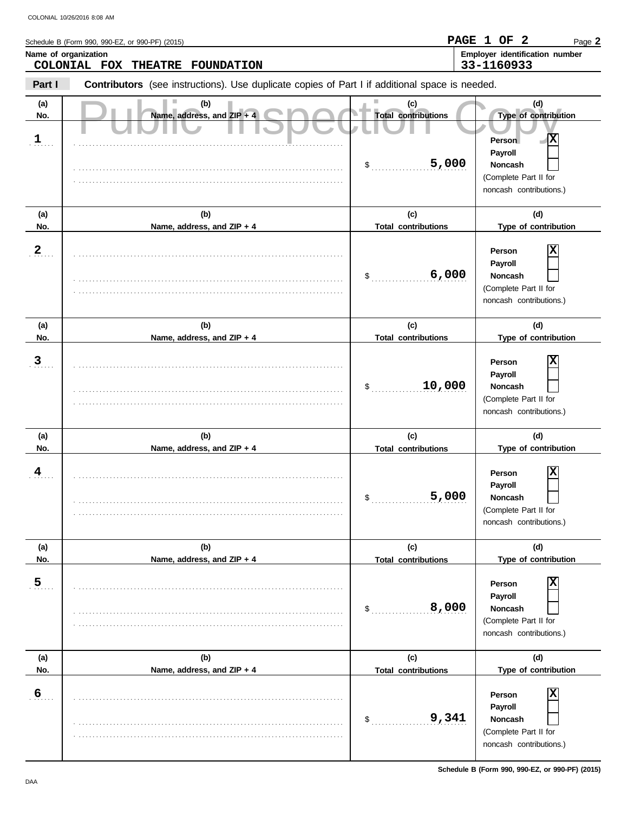|                        | COLONIAL 10/26/2016 8:08 AM<br>Schedule B (Form 990, 990-EZ, or 990-PF) (2015)<br>Name of organization<br>COLONIAL FOX THEATRE<br><b>FOUNDATION</b> |                                                               | PAGE 1 OF 2<br>Page 2<br>Employer identification number<br>33-1160933                                                 |
|------------------------|-----------------------------------------------------------------------------------------------------------------------------------------------------|---------------------------------------------------------------|-----------------------------------------------------------------------------------------------------------------------|
| Part I                 | Contributors (see instructions). Use duplicate copies of Part I if additional space is needed.                                                      |                                                               |                                                                                                                       |
| (a)<br>No.<br>ı        | (b)<br>Name, address, and ZIP + 4                                                                                                                   | (c)<br><b>Total contributions</b><br>5,000<br>\$              | (d)<br>Type of contribution<br>IX<br>Person<br>Payroll<br>Noncash<br>(Complete Part II for<br>noncash contributions.) |
| (a)<br>No.             | (b)<br>Name, address, and ZIP + 4                                                                                                                   | (c)<br><b>Total contributions</b>                             | (d)<br>Type of contribution                                                                                           |
| 2                      |                                                                                                                                                     | 6,000<br>\$                                                   | Person<br>Payroll<br><b>Noncash</b><br>(Complete Part II for<br>noncash contributions.)                               |
| (a)<br>No.             | (b)<br>Name, address, and ZIP + 4                                                                                                                   | (c)<br><b>Total contributions</b>                             | (d)<br>Type of contribution                                                                                           |
| 3                      |                                                                                                                                                     | 10,000<br>\$                                                  | X<br>Person<br>Payroll<br><b>Noncash</b><br>(Complete Part II for<br>noncash contributions.)                          |
| (a)                    | (b)                                                                                                                                                 | (c)                                                           | (d)                                                                                                                   |
| No.<br>$\frac{4}{\pi}$ | Name, address, and ZIP + 4                                                                                                                          | <b>Total contributions</b><br>5,000<br>$\mathfrak{s}_{\perp}$ | Type of contribution<br>Person<br>Payroll<br>Noncash<br>(Complete Part II for<br>noncash contributions.)              |

| No.    | Name, address, and ZIP + 4   | <b>Total contributions</b> | Type of contribution                                                                                |
|--------|------------------------------|----------------------------|-----------------------------------------------------------------------------------------------------|
| 5<br>. |                              | 8,000                      | X<br>Person<br><b>Payroll</b><br><b>Noncash</b><br>(Complete Part II for<br>noncash contributions.) |
| (a)    | (b)                          | (c)                        | (d)                                                                                                 |
| No.    | Name, address, and $ZIP + 4$ | <b>Total contributions</b> | Type of contribution                                                                                |
| 6<br>. |                              | 9,341                      | Person<br>Payroll<br>Noncash<br>(Complete Part II for<br>noncash contributions.)                    |

**(a) (b) (c) (d)**

**Schedule B (Form 990, 990-EZ, or 990-PF) (2015)**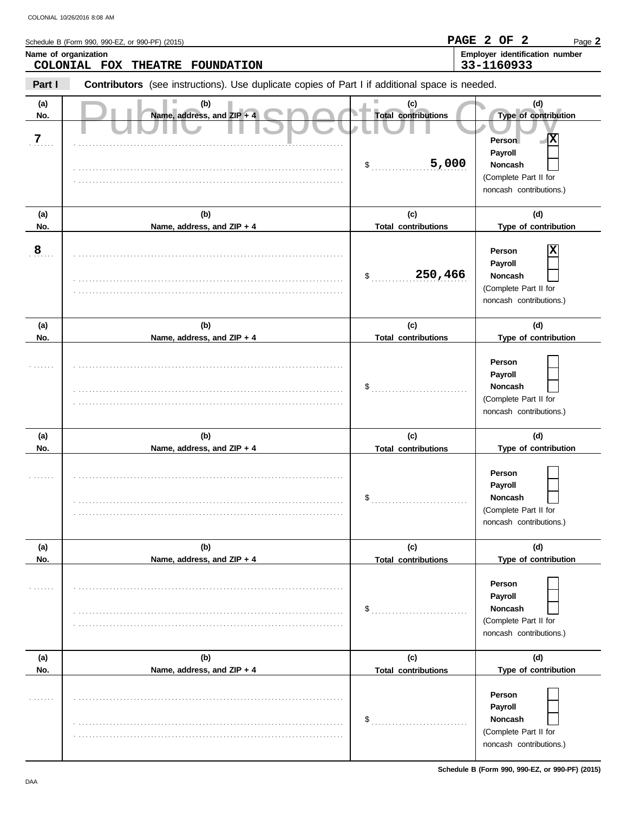|            | COLONIAL 10/26/2016 8:08 AM                                                                           |                                   |                                                                                                     |
|------------|-------------------------------------------------------------------------------------------------------|-----------------------------------|-----------------------------------------------------------------------------------------------------|
|            | Schedule B (Form 990, 990-EZ, or 990-PF) (2015)                                                       |                                   | PAGE 2 OF 2<br>Page 2                                                                               |
|            | Name of organization<br>COLONIAL FOX<br><b>THEATRE</b><br>FOUNDATION                                  |                                   | Employer identification number<br>33-1160933                                                        |
| Part I     | <b>Contributors</b> (see instructions). Use duplicate copies of Part I if additional space is needed. |                                   |                                                                                                     |
| (a)<br>No. | (b)<br>Name, address, and ZIP + 4                                                                     | (c)<br><b>Total contributions</b> | (d)<br>Type of contribution                                                                         |
| 7          |                                                                                                       | 5,000<br>\$                       | X<br><b>Person</b><br>Payroll<br><b>Noncash</b><br>(Complete Part II for<br>noncash contributions.) |
| (a)        | (b)                                                                                                   | (c)                               | (d)                                                                                                 |
| No.        | Name, address, and ZIP + 4                                                                            | <b>Total contributions</b>        | Type of contribution                                                                                |
| 8          |                                                                                                       | 250,466<br>\$                     | Χ<br>Person<br>Payroll<br><b>Noncash</b><br>(Complete Part II for<br>noncash contributions.)        |
| (a)        | (b)                                                                                                   | (c)                               | (d)                                                                                                 |
| No.        | Name, address, and ZIP + 4                                                                            | <b>Total contributions</b>        | Type of contribution                                                                                |

**(a) (b) (c) (d)** No. No. Name, address, and ZIP + 4 **Total contributions** Type of contribution

**(a) (b) (c) (d)** No. Name, address, and ZIP + 4 **Total contributions** Type of contribution

**(a) (b) (c) (d)** No. No. Name, address, and ZIP + 4 **Total contributions** Type of contribution

. . . . . . . . . . . . . . . . . . . . . . . . . . . . . . . . . . . . . . . . . . . . . . . . . . . . . . . . . . . . . . . . . . . . . . . . . . . . . . . . . . . . . . . . . . . . . . . . . . . . . . . . . . . . . . . . . . . . . . . . . . . . . . . . . . . . . . . . . . . . . . . . . . . . . . . . . . . .

. . . . . . . . . . . . . . . . . . . . . . . . . . . . . . . . . . . . . . . . . . . . . . . . . . . . . . . . . . . . . . . . . . . . . . . . . . . . . .

. . . . . . . . . . . . . . . . . . . . . . . . . . . . . . . . . . . . . . . . . . . . . . . . . . . . . . . . . . . . . . . . . . . . . . . . . . . . . .

. . . . . . . . . . . . . . . . . . . . . . . . . . . . . . . . . . . . . . . . . . . . . . . . . . . . . . . . . . . . . . . . . . . . . . . . . . . . . . . . . . . . . . . . . . . . . . . . . . . . . . . . . . . . . . . . . . . . . . . . . . . . . . . . . . . . . . . . . . . . . . . . . . . . . . . . . . . .

. . . . . . . . . . . . . . . . . . . . . . . . . . . . . . . . . . . . . . . . . . . . . . . . . . . . . . . . . . . . . . . . . . . . . . . . . . . . . .

. . . . . . . . . . . . . . . . . . . . . . . . . . . . . . . . . . . . . . . . . . . . . . . . . . . . . . . . . . . . . . . . . . . . . . . . . . . . . .

. . . . . . . . . . . . . . . . . . . . . . . . . . . . . . . . . . . . . . . . . . . . . . . . . . . . . . . . . . . . . . . . . . . . . . . . . . . . . . . . . . . . . . . . . . . . . . . . . . . . . . . . . . . . . . . . . . . . . . . . . . . . . . . . . . . . . . . . . . . . . . . . . . . . . . . . . . . .

. . . . . . . . . . . . . . . . . . . . . . . . . . . . . . . . . . . . . . . . . . . . . . . . . . . . . . . . . . . . . . . . . . . . . . . . . . . . . . . . . . . . . . . . . . . . . . . . . . . . . . . . . . . . . . . . . . . . . . . . . . . . . . . . . . . . . . . . . . . . . . . . . . . . . . . . . . . .

| <b>Noncash</b>          |
|-------------------------|
| (Complete Part II for   |
| noncash contributions.) |
|                         |

**Person Payroll Noncash**

(Complete Part II for noncash contributions.)

\$ . . . . . . . . . . . . . . . . . . . . . . . . . . . .

\$ . . . . . . . . . . . . . . . . . . . . . . . . . . . .

**Total contributions**

**Total contributions**

**Total contributions**

 $\frac{1}{2}$ 

**Person Payroll Noncash**

(Complete Part II for noncash contributions.)

(Complete Part II for noncash contributions.)

**Person Payroll Noncash**

**Person Payroll**

. . . . . . .

. . . . . . .

. . . . . . .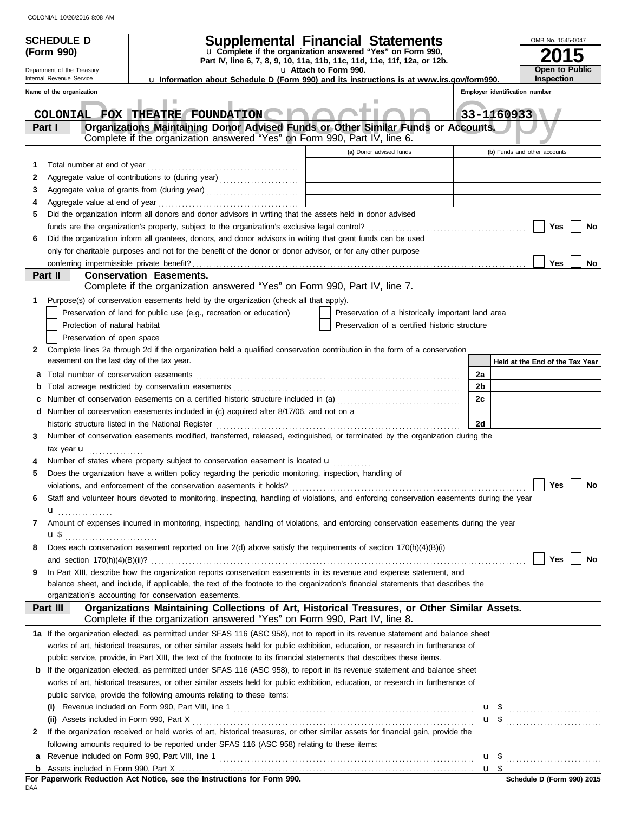| <b>SCHEDULE D</b><br>(Form 990)                                                                                                  |                                                                                                                                  | <b>Supplemental Financial Statements</b><br>u Complete if the organization answered "Yes" on Form 990,                                                                    |                      |            | OMB No. 1545-0047               |
|----------------------------------------------------------------------------------------------------------------------------------|----------------------------------------------------------------------------------------------------------------------------------|---------------------------------------------------------------------------------------------------------------------------------------------------------------------------|----------------------|------------|---------------------------------|
|                                                                                                                                  | Part IV, line 6, 7, 8, 9, 10, 11a, 11b, 11c, 11d, 11e, 11f, 12a, or 12b.<br>La Attach to Form 990.<br>Department of the Treasury |                                                                                                                                                                           |                      |            | Open to Public                  |
|                                                                                                                                  | u Information about Schedule D (Form 990) and its instructions is at www.irs.gov/form990.<br>Internal Revenue Service            |                                                                                                                                                                           |                      |            | Inspection                      |
|                                                                                                                                  | Name of the organization                                                                                                         |                                                                                                                                                                           |                      |            | Employer identification number  |
|                                                                                                                                  |                                                                                                                                  | COLONIAL FOX THEATRE FOUNDATION                                                                                                                                           |                      | 33-1160933 |                                 |
|                                                                                                                                  | Part I                                                                                                                           | Organizations Maintaining Donor Advised Funds or Other Similar Funds or Accounts.                                                                                         |                      |            |                                 |
|                                                                                                                                  |                                                                                                                                  | Complete if the organization answered "Yes" on Form 990, Part IV, line 6.                                                                                                 |                      |            |                                 |
|                                                                                                                                  |                                                                                                                                  | (a) Donor advised funds                                                                                                                                                   |                      |            | (b) Funds and other accounts    |
| 1                                                                                                                                |                                                                                                                                  |                                                                                                                                                                           |                      |            |                                 |
| 2                                                                                                                                |                                                                                                                                  | Aggregate value of contributions to (during year)                                                                                                                         |                      |            |                                 |
| 3                                                                                                                                |                                                                                                                                  |                                                                                                                                                                           |                      |            |                                 |
| 4                                                                                                                                |                                                                                                                                  |                                                                                                                                                                           |                      |            |                                 |
| 5                                                                                                                                |                                                                                                                                  | Did the organization inform all donors and donor advisors in writing that the assets held in donor advised                                                                |                      |            |                                 |
| 6                                                                                                                                |                                                                                                                                  | Did the organization inform all grantees, donors, and donor advisors in writing that grant funds can be used                                                              |                      |            | Yes<br>No                       |
|                                                                                                                                  |                                                                                                                                  | only for charitable purposes and not for the benefit of the donor or donor advisor, or for any other purpose                                                              |                      |            |                                 |
|                                                                                                                                  |                                                                                                                                  |                                                                                                                                                                           |                      |            | <b>Yes</b><br>No                |
|                                                                                                                                  | Part II                                                                                                                          | <b>Conservation Easements.</b>                                                                                                                                            |                      |            |                                 |
|                                                                                                                                  |                                                                                                                                  | Complete if the organization answered "Yes" on Form 990, Part IV, line 7.                                                                                                 |                      |            |                                 |
| 1                                                                                                                                |                                                                                                                                  | Purpose(s) of conservation easements held by the organization (check all that apply).                                                                                     |                      |            |                                 |
|                                                                                                                                  |                                                                                                                                  | Preservation of land for public use (e.g., recreation or education)<br>Preservation of a historically important land area                                                 |                      |            |                                 |
|                                                                                                                                  | Protection of natural habitat                                                                                                    | Preservation of a certified historic structure                                                                                                                            |                      |            |                                 |
|                                                                                                                                  | Preservation of open space                                                                                                       |                                                                                                                                                                           |                      |            |                                 |
| 2                                                                                                                                |                                                                                                                                  | Complete lines 2a through 2d if the organization held a qualified conservation contribution in the form of a conservation                                                 |                      |            |                                 |
|                                                                                                                                  | easement on the last day of the tax year.                                                                                        |                                                                                                                                                                           |                      |            | Held at the End of the Tax Year |
| а                                                                                                                                |                                                                                                                                  |                                                                                                                                                                           | 2a<br>2 <sub>b</sub> |            |                                 |
| b<br>c                                                                                                                           |                                                                                                                                  | Number of conservation easements on a certified historic structure included in (a) [[[[[[ [ [ ]]]                                                                         | 2c                   |            |                                 |
| d                                                                                                                                |                                                                                                                                  | Number of conservation easements included in (c) acquired after 8/17/06, and not on a                                                                                     |                      |            |                                 |
|                                                                                                                                  |                                                                                                                                  | historic structure listed in the National Register                                                                                                                        | 2d                   |            |                                 |
| 3                                                                                                                                |                                                                                                                                  | Number of conservation easements modified, transferred, released, extinguished, or terminated by the organization during the                                              |                      |            |                                 |
|                                                                                                                                  | tax year <b>u</b><br>.                                                                                                           |                                                                                                                                                                           |                      |            |                                 |
|                                                                                                                                  |                                                                                                                                  | Number of states where property subject to conservation easement is located u                                                                                             |                      |            |                                 |
| 5                                                                                                                                |                                                                                                                                  | Does the organization have a written policy regarding the periodic monitoring, inspection, handling of                                                                    |                      |            |                                 |
|                                                                                                                                  |                                                                                                                                  | violations, and enforcement of the conservation easements it holds?                                                                                                       |                      |            | Yes<br>No                       |
| 6                                                                                                                                |                                                                                                                                  | Staff and volunteer hours devoted to monitoring, inspecting, handling of violations, and enforcing conservation easements during the year                                 |                      |            |                                 |
|                                                                                                                                  | u <sub></sub>                                                                                                                    |                                                                                                                                                                           |                      |            |                                 |
| 7                                                                                                                                |                                                                                                                                  | Amount of expenses incurred in monitoring, inspecting, handling of violations, and enforcing conservation easements during the year                                       |                      |            |                                 |
| 8                                                                                                                                |                                                                                                                                  | Does each conservation easement reported on line 2(d) above satisfy the requirements of section 170(h)(4)(B)(i)                                                           |                      |            |                                 |
|                                                                                                                                  |                                                                                                                                  |                                                                                                                                                                           |                      |            | <b>Yes</b><br>No                |
| 9                                                                                                                                |                                                                                                                                  | In Part XIII, describe how the organization reports conservation easements in its revenue and expense statement, and                                                      |                      |            |                                 |
|                                                                                                                                  |                                                                                                                                  | balance sheet, and include, if applicable, the text of the footnote to the organization's financial statements that describes the                                         |                      |            |                                 |
|                                                                                                                                  |                                                                                                                                  | organization's accounting for conservation easements.                                                                                                                     |                      |            |                                 |
|                                                                                                                                  | Part III                                                                                                                         | Organizations Maintaining Collections of Art, Historical Treasures, or Other Similar Assets.<br>Complete if the organization answered "Yes" on Form 990, Part IV, line 8. |                      |            |                                 |
|                                                                                                                                  |                                                                                                                                  | 1a If the organization elected, as permitted under SFAS 116 (ASC 958), not to report in its revenue statement and balance sheet                                           |                      |            |                                 |
|                                                                                                                                  |                                                                                                                                  | works of art, historical treasures, or other similar assets held for public exhibition, education, or research in furtherance of                                          |                      |            |                                 |
|                                                                                                                                  |                                                                                                                                  | public service, provide, in Part XIII, the text of the footnote to its financial statements that describes these items.                                                   |                      |            |                                 |
|                                                                                                                                  |                                                                                                                                  | <b>b</b> If the organization elected, as permitted under SFAS 116 (ASC 958), to report in its revenue statement and balance sheet                                         |                      |            |                                 |
| works of art, historical treasures, or other similar assets held for public exhibition, education, or research in furtherance of |                                                                                                                                  |                                                                                                                                                                           |                      |            |                                 |
|                                                                                                                                  |                                                                                                                                  | public service, provide the following amounts relating to these items:                                                                                                    |                      |            |                                 |
|                                                                                                                                  | (i)                                                                                                                              |                                                                                                                                                                           |                      |            |                                 |
| 2                                                                                                                                |                                                                                                                                  | If the organization received or held works of art, historical treasures, or other similar assets for financial gain, provide the                                          |                      |            | $\mathbf{u}$ \$ $\ldots$        |
|                                                                                                                                  |                                                                                                                                  | following amounts required to be reported under SFAS 116 (ASC 958) relating to these items:                                                                               |                      |            |                                 |
| a                                                                                                                                |                                                                                                                                  |                                                                                                                                                                           |                      |            |                                 |
| b                                                                                                                                |                                                                                                                                  |                                                                                                                                                                           |                      |            |                                 |
|                                                                                                                                  |                                                                                                                                  | For Paperwork Reduction Act Notice, see the Instructions for Form 990                                                                                                     |                      |            | Schedule D (Form 990) 2015      |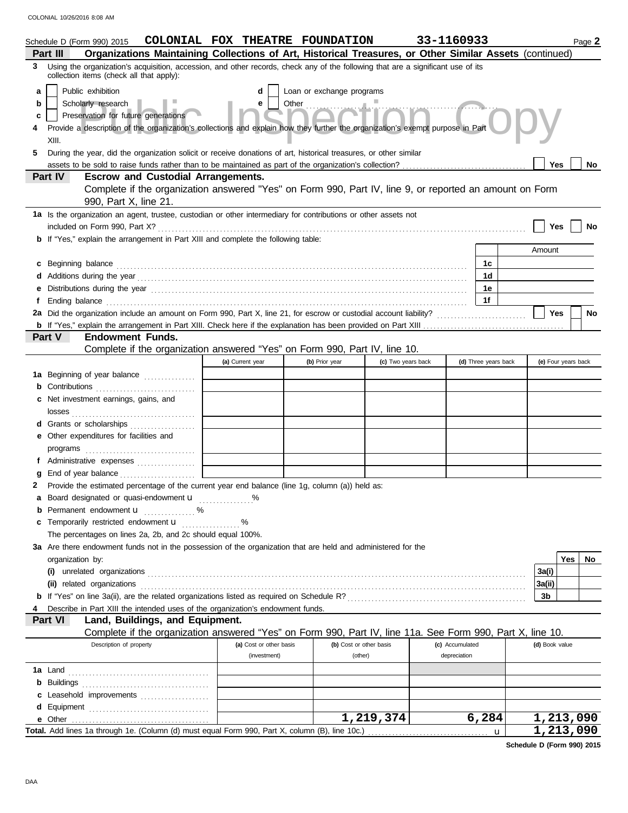|    | Schedule D (Form 990) 2015                                                                                                                                                   | COLONIAL FOX THEATRE FOUNDATION |                           |                         | 33-1160933           | Page 2              |
|----|------------------------------------------------------------------------------------------------------------------------------------------------------------------------------|---------------------------------|---------------------------|-------------------------|----------------------|---------------------|
|    | Organizations Maintaining Collections of Art, Historical Treasures, or Other Similar Assets (continued)<br>Part III                                                          |                                 |                           |                         |                      |                     |
| 3. | Using the organization's acquisition, accession, and other records, check any of the following that are a significant use of its<br>collection items (check all that apply): |                                 |                           |                         |                      |                     |
| a  | Public exhibition                                                                                                                                                            | d                               | Loan or exchange programs |                         |                      |                     |
| b  | Scholarly research                                                                                                                                                           | e                               | <b>Continnelled</b>       |                         |                      |                     |
| c  | Preservation for future generations                                                                                                                                          |                                 |                           |                         |                      |                     |
|    | Provide a description of the organization's collections and explain how they further the organization's exempt purpose in Part                                               |                                 |                           |                         |                      |                     |
|    | XIII.                                                                                                                                                                        |                                 |                           |                         |                      |                     |
| 5  | During the year, did the organization solicit or receive donations of art, historical treasures, or other similar                                                            |                                 |                           |                         |                      |                     |
|    |                                                                                                                                                                              |                                 |                           |                         |                      | <b>Yes</b><br>No    |
|    | <b>Escrow and Custodial Arrangements.</b><br>Part IV                                                                                                                         |                                 |                           |                         |                      |                     |
|    | Complete if the organization answered "Yes" on Form 990, Part IV, line 9, or reported an amount on Form                                                                      |                                 |                           |                         |                      |                     |
|    | 990, Part X, line 21.                                                                                                                                                        |                                 |                           |                         |                      |                     |
|    | 1a Is the organization an agent, trustee, custodian or other intermediary for contributions or other assets not                                                              |                                 |                           |                         |                      |                     |
|    |                                                                                                                                                                              |                                 |                           |                         |                      | Yes<br>No           |
|    | <b>b</b> If "Yes," explain the arrangement in Part XIII and complete the following table:                                                                                    |                                 |                           |                         |                      |                     |
|    |                                                                                                                                                                              |                                 |                           |                         |                      | Amount              |
| c  |                                                                                                                                                                              |                                 |                           |                         | 1c                   |                     |
|    |                                                                                                                                                                              |                                 |                           |                         | 1d                   |                     |
| е  |                                                                                                                                                                              |                                 |                           |                         | 1е                   |                     |
| f. | Ending balance <i>communically contained a contained a contained a contained a contained a contained a contained a</i>                                                       |                                 |                           |                         | 1f                   |                     |
|    | 2a Did the organization include an amount on Form 990, Part X, line 21, for escrow or custodial account liability?                                                           |                                 |                           |                         |                      | Yes<br><b>No</b>    |
|    |                                                                                                                                                                              |                                 |                           |                         |                      |                     |
|    | <b>Endowment Funds.</b><br><b>Part V</b>                                                                                                                                     |                                 |                           |                         |                      |                     |
|    | Complete if the organization answered "Yes" on Form 990, Part IV, line 10.                                                                                                   |                                 |                           |                         |                      |                     |
|    |                                                                                                                                                                              | (a) Current year                | (b) Prior year            | (c) Two years back      | (d) Three years back | (e) Four years back |
|    | 1a Beginning of year balance                                                                                                                                                 |                                 |                           |                         |                      |                     |
|    | <b>b</b> Contributions                                                                                                                                                       |                                 |                           |                         |                      |                     |
|    | c Net investment earnings, gains, and                                                                                                                                        |                                 |                           |                         |                      |                     |
|    |                                                                                                                                                                              |                                 |                           |                         |                      |                     |
|    | d Grants or scholarships                                                                                                                                                     |                                 |                           |                         |                      |                     |
|    | e Other expenditures for facilities and                                                                                                                                      |                                 |                           |                         |                      |                     |
|    |                                                                                                                                                                              |                                 |                           |                         |                      |                     |
|    | f Administrative expenses                                                                                                                                                    |                                 |                           |                         |                      |                     |
|    |                                                                                                                                                                              |                                 |                           |                         |                      |                     |
|    | 2 Provide the estimated percentage of the current year end balance (line 1g, column (a)) held as:                                                                            |                                 |                           |                         |                      |                     |
|    | a Board designated or quasi-endowment u %                                                                                                                                    |                                 |                           |                         |                      |                     |
| b  | Permanent endowment <b>u</b> %                                                                                                                                               |                                 |                           |                         |                      |                     |
| c  | Temporarily restricted endowment <b>u</b>                                                                                                                                    | %                               |                           |                         |                      |                     |
|    | The percentages on lines 2a, 2b, and 2c should equal 100%.                                                                                                                   |                                 |                           |                         |                      |                     |
|    | 3a Are there endowment funds not in the possession of the organization that are held and administered for the                                                                |                                 |                           |                         |                      |                     |
|    | organization by:                                                                                                                                                             |                                 |                           |                         |                      | Yes<br>No.          |
|    |                                                                                                                                                                              |                                 |                           |                         |                      | 3a(i)               |
|    | (ii) related organizations                                                                                                                                                   |                                 |                           |                         |                      | 3a(ii)              |
|    |                                                                                                                                                                              |                                 |                           |                         |                      | 3b                  |
|    | Describe in Part XIII the intended uses of the organization's endowment funds.                                                                                               |                                 |                           |                         |                      |                     |
|    | Land, Buildings, and Equipment.<br>Part VI                                                                                                                                   |                                 |                           |                         |                      |                     |
|    | Complete if the organization answered "Yes" on Form 990, Part IV, line 11a. See Form 990, Part X, line 10.                                                                   |                                 |                           |                         |                      |                     |
|    | Description of property                                                                                                                                                      | (a) Cost or other basis         |                           | (b) Cost or other basis | (c) Accumulated      | (d) Book value      |
|    |                                                                                                                                                                              | (investment)                    |                           | (other)                 | depreciation         |                     |
|    |                                                                                                                                                                              |                                 |                           |                         |                      |                     |
|    |                                                                                                                                                                              |                                 |                           |                         |                      |                     |
|    | c Leasehold improvements                                                                                                                                                     |                                 |                           |                         |                      |                     |
|    |                                                                                                                                                                              |                                 |                           |                         |                      |                     |
|    |                                                                                                                                                                              |                                 |                           | 1,219,374               | 6,284                | 1,213,090           |
|    | Total. Add lines 1a through 1e. (Column (d) must equal Form 990, Part X, column (B), line 10c.)                                                                              |                                 |                           |                         | u                    | 1,213,090           |

**Schedule D (Form 990) 2015**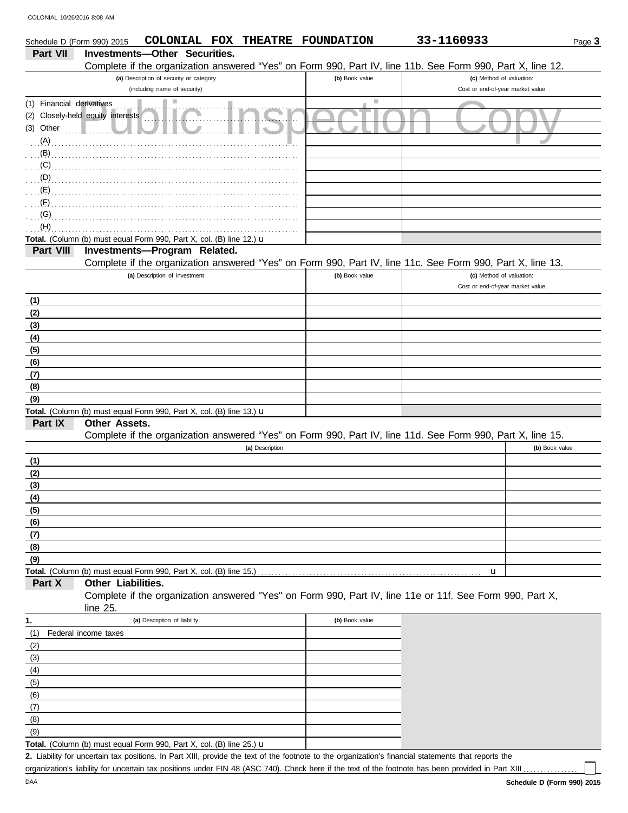| Schedule D (Form 990) 2015   | COLONIAL FOX THEATRE FOUNDATION                                                                            |                | 33-1160933                       | Page 3         |
|------------------------------|------------------------------------------------------------------------------------------------------------|----------------|----------------------------------|----------------|
| Part VII                     | <b>Investments-Other Securities.</b>                                                                       |                |                                  |                |
|                              | Complete if the organization answered "Yes" on Form 990, Part IV, line 11b. See Form 990, Part X, line 12. |                |                                  |                |
|                              | (a) Description of security or category                                                                    | (b) Book value | (c) Method of valuation:         |                |
|                              | (including name of security)                                                                               |                | Cost or end-of-year market value |                |
| (1) Financial derivatives    |                                                                                                            | ш              |                                  |                |
|                              | (2) Closely-held equity interests                                                                          |                |                                  |                |
| (3) Other                    |                                                                                                            |                |                                  |                |
|                              |                                                                                                            |                |                                  |                |
|                              |                                                                                                            |                |                                  |                |
| $\ldots$ (C) $\ldots$        |                                                                                                            |                |                                  |                |
| $\ldots$ (D)<br>$\ldots$ (E) |                                                                                                            |                |                                  |                |
| $\ldots$ (F)                 |                                                                                                            |                |                                  |                |
| (G)                          |                                                                                                            |                |                                  |                |
| (H)                          |                                                                                                            |                |                                  |                |
|                              | Total. (Column (b) must equal Form 990, Part X, col. (B) line 12.) u                                       |                |                                  |                |
| Part VIII                    | Investments-Program Related.                                                                               |                |                                  |                |
|                              | Complete if the organization answered "Yes" on Form 990, Part IV, line 11c. See Form 990, Part X, line 13. |                |                                  |                |
|                              | (a) Description of investment                                                                              | (b) Book value | (c) Method of valuation:         |                |
|                              |                                                                                                            |                | Cost or end-of-year market value |                |
| (1)                          |                                                                                                            |                |                                  |                |
| (2)                          |                                                                                                            |                |                                  |                |
| (3)                          |                                                                                                            |                |                                  |                |
| (4)                          |                                                                                                            |                |                                  |                |
| (5)                          |                                                                                                            |                |                                  |                |
| (6)<br>(7)                   |                                                                                                            |                |                                  |                |
| (8)                          |                                                                                                            |                |                                  |                |
| (9)                          |                                                                                                            |                |                                  |                |
|                              | Total. (Column (b) must equal Form 990, Part X, col. (B) line 13.) u                                       |                |                                  |                |
| Part IX                      | Other Assets.                                                                                              |                |                                  |                |
|                              | Complete if the organization answered "Yes" on Form 990, Part IV, line 11d. See Form 990, Part X, line 15. |                |                                  |                |
|                              | (a) Description                                                                                            |                |                                  | (b) Book value |
| (1)                          |                                                                                                            |                |                                  |                |
| (2)                          |                                                                                                            |                |                                  |                |
| (3)                          |                                                                                                            |                |                                  |                |
| (4)                          |                                                                                                            |                |                                  |                |
| (5)                          |                                                                                                            |                |                                  |                |
| (6)                          |                                                                                                            |                |                                  |                |
| (7)<br>(8)                   |                                                                                                            |                |                                  |                |
| (9)                          |                                                                                                            |                |                                  |                |
|                              | Total. (Column (b) must equal Form 990, Part X, col. (B) line 15.)                                         |                | u                                |                |
| Part X                       | Other Liabilities.                                                                                         |                |                                  |                |
|                              | Complete if the organization answered "Yes" on Form 990, Part IV, line 11e or 11f. See Form 990, Part X,   |                |                                  |                |
|                              | line 25.                                                                                                   |                |                                  |                |
| 1.                           | (a) Description of liability                                                                               | (b) Book value |                                  |                |
| (1)                          | Federal income taxes                                                                                       |                |                                  |                |
| (2)                          |                                                                                                            |                |                                  |                |
| (3)                          |                                                                                                            |                |                                  |                |
| (4)                          |                                                                                                            |                |                                  |                |
| (5)                          |                                                                                                            |                |                                  |                |

Total. (Column (b) must equal Form 990, Part X, col. (B) line 25.) **u** (9)

Liability for uncertain tax positions. In Part XIII, provide the text of the footnote to the organization's financial statements that reports the **2.** organization's liability for uncertain tax positions under FIN 48 (ASC 740). Check here if the text of the footnote has been provided in Part XIII .

(8) (7)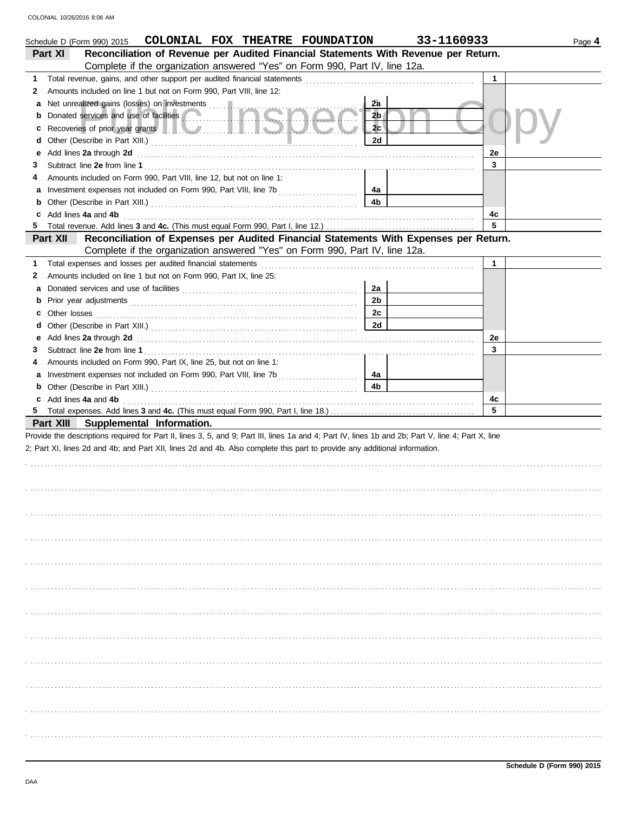| COLONIAL 10/26/2016 8:08 AM |  |  |
|-----------------------------|--|--|
|                             |  |  |

| Schedule D (Form 990) 2015 | COLONIAL FOX THEATRE FOUNDATION                                                                                                                                                                                                                                                  | 33-1160933     | Page 4       |
|----------------------------|----------------------------------------------------------------------------------------------------------------------------------------------------------------------------------------------------------------------------------------------------------------------------------|----------------|--------------|
| Part XI                    | Reconciliation of Revenue per Audited Financial Statements With Revenue per Return.<br>Complete if the organization answered "Yes" on Form 990, Part IV, line 12a.                                                                                                               |                |              |
| 1                          |                                                                                                                                                                                                                                                                                  |                | 1            |
| $\mathbf{2}$               | Amounts included on line 1 but not on Form 990, Part VIII, line 12:                                                                                                                                                                                                              |                |              |
| a                          |                                                                                                                                                                                                                                                                                  | 2a             |              |
| b                          | Net unrealized gains (losses) on investments<br>Donated services and use of facilities                                                                                                                                                                                           | 2 <sub>b</sub> |              |
| c                          | Recoveries of prior year grants <b>All Constitution Recoveries</b> of prior year grants                                                                                                                                                                                          | 2c             |              |
| d                          |                                                                                                                                                                                                                                                                                  | 2d             |              |
| е                          | Add lines 2a through 2d <b>contained a contained a contained a contained a contained a contained a contained a contained a contained a contained a contained a contained a contained a contained a contained a contained a conta</b>                                             |                | 2e           |
| 3                          |                                                                                                                                                                                                                                                                                  |                | 3            |
| 4                          | Amounts included on Form 990, Part VIII, line 12, but not on line 1:                                                                                                                                                                                                             |                |              |
| a                          |                                                                                                                                                                                                                                                                                  | 4a             |              |
| b                          |                                                                                                                                                                                                                                                                                  | 4b             |              |
| c                          | Add lines 4a and 4b                                                                                                                                                                                                                                                              |                | 4c           |
| 5                          |                                                                                                                                                                                                                                                                                  |                | 5            |
| Part XII                   | Reconciliation of Expenses per Audited Financial Statements With Expenses per Return.                                                                                                                                                                                            |                |              |
|                            | Complete if the organization answered "Yes" on Form 990, Part IV, line 12a.                                                                                                                                                                                                      |                |              |
| 1                          | Amounts included on line 1 but not on Form 990, Part IX, line 25:                                                                                                                                                                                                                |                | $\mathbf{1}$ |
| 2                          |                                                                                                                                                                                                                                                                                  | 2a             |              |
| a                          |                                                                                                                                                                                                                                                                                  |                |              |
| b                          |                                                                                                                                                                                                                                                                                  | 2 <sub>b</sub> |              |
| c                          |                                                                                                                                                                                                                                                                                  | 2с             |              |
| d                          |                                                                                                                                                                                                                                                                                  | 2d             |              |
| е                          | Add lines 2a through 2d [11] Add [12] Add [12] Add lines 2a through 2d [12] Add lines 2a through 2d                                                                                                                                                                              |                | 2e           |
| 3                          |                                                                                                                                                                                                                                                                                  |                | 3            |
| 4                          | Amounts included on Form 990, Part IX, line 25, but not on line 1:                                                                                                                                                                                                               |                |              |
| a                          |                                                                                                                                                                                                                                                                                  | 4a             |              |
| b                          |                                                                                                                                                                                                                                                                                  | 4b             |              |
| c                          | Add lines 4a and 4b                                                                                                                                                                                                                                                              |                | 4c           |
| 5.                         |                                                                                                                                                                                                                                                                                  |                |              |
|                            | Part XIII Supplemental Information.                                                                                                                                                                                                                                              |                |              |
|                            | Provide the descriptions required for Part II, lines 3, 5, and 9; Part III, lines 1a and 4; Part IV, lines 1b and 2b; Part V, line 4; Part X, line<br>2; Part XI, lines 2d and 4b; and Part XII, lines 2d and 4b. Also complete this part to provide any additional information. |                |              |
|                            |                                                                                                                                                                                                                                                                                  |                |              |
|                            |                                                                                                                                                                                                                                                                                  |                |              |
|                            |                                                                                                                                                                                                                                                                                  |                |              |
|                            |                                                                                                                                                                                                                                                                                  |                |              |
|                            |                                                                                                                                                                                                                                                                                  |                |              |
|                            |                                                                                                                                                                                                                                                                                  |                |              |
|                            |                                                                                                                                                                                                                                                                                  |                |              |
|                            |                                                                                                                                                                                                                                                                                  |                |              |
|                            |                                                                                                                                                                                                                                                                                  |                |              |
|                            |                                                                                                                                                                                                                                                                                  |                |              |
|                            |                                                                                                                                                                                                                                                                                  |                |              |
|                            |                                                                                                                                                                                                                                                                                  |                |              |
|                            |                                                                                                                                                                                                                                                                                  |                |              |
|                            |                                                                                                                                                                                                                                                                                  |                |              |
|                            |                                                                                                                                                                                                                                                                                  |                |              |
|                            |                                                                                                                                                                                                                                                                                  |                |              |
|                            |                                                                                                                                                                                                                                                                                  |                |              |
|                            |                                                                                                                                                                                                                                                                                  |                |              |
|                            |                                                                                                                                                                                                                                                                                  |                |              |
|                            |                                                                                                                                                                                                                                                                                  |                |              |
|                            |                                                                                                                                                                                                                                                                                  |                |              |
|                            |                                                                                                                                                                                                                                                                                  |                |              |
|                            |                                                                                                                                                                                                                                                                                  |                |              |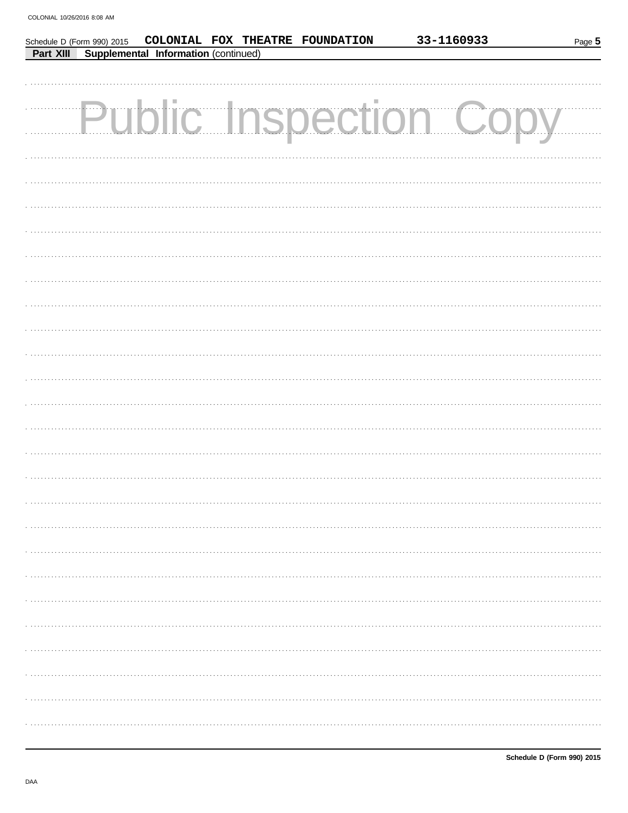|                  |                                      | Schedule D (Form 990) 2015 COLONIAL FOX THEATRE FOUNDATION | 33-1160933            | Page 5 |
|------------------|--------------------------------------|------------------------------------------------------------|-----------------------|--------|
| <b>Part XIII</b> | Supplemental Information (continued) |                                                            |                       |        |
|                  |                                      |                                                            |                       |        |
|                  |                                      |                                                            |                       |        |
|                  |                                      |                                                            | Public Inspection Cor |        |
|                  |                                      |                                                            |                       |        |
|                  |                                      |                                                            |                       |        |
|                  |                                      |                                                            |                       |        |
|                  |                                      |                                                            |                       |        |
|                  |                                      |                                                            |                       |        |
|                  |                                      |                                                            |                       |        |
|                  |                                      |                                                            |                       |        |
|                  |                                      |                                                            |                       |        |
|                  |                                      |                                                            |                       |        |
|                  |                                      |                                                            |                       |        |
|                  |                                      |                                                            |                       |        |
|                  |                                      |                                                            |                       |        |
|                  |                                      |                                                            |                       |        |
|                  |                                      |                                                            |                       |        |
|                  |                                      |                                                            |                       |        |
|                  |                                      |                                                            |                       |        |
|                  |                                      |                                                            |                       |        |
|                  |                                      |                                                            |                       |        |
|                  |                                      |                                                            |                       |        |
|                  |                                      |                                                            |                       |        |
|                  |                                      |                                                            |                       |        |
|                  |                                      |                                                            |                       |        |
|                  |                                      |                                                            |                       |        |
|                  |                                      |                                                            |                       |        |
|                  |                                      |                                                            |                       |        |
|                  |                                      |                                                            |                       |        |
|                  |                                      |                                                            |                       |        |
|                  |                                      |                                                            |                       |        |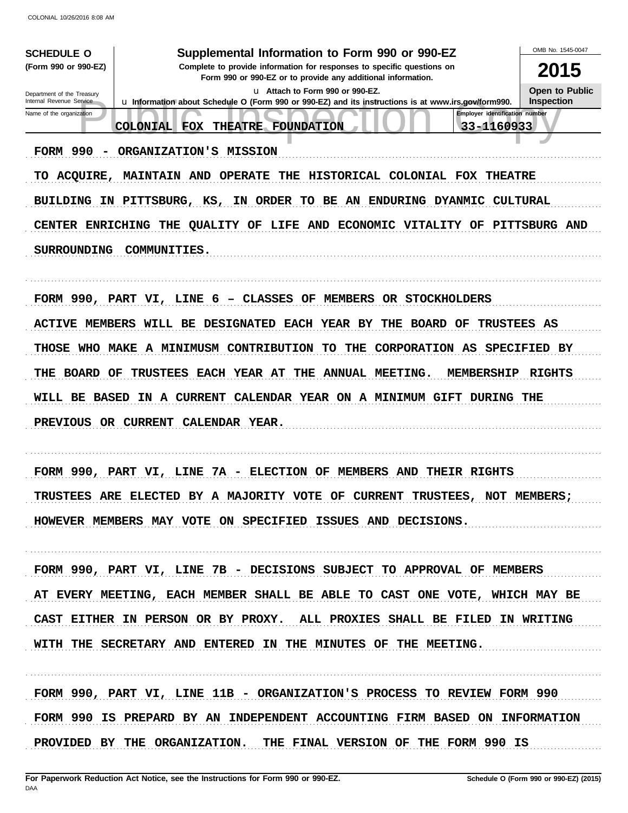| <b>SCHEDULE O</b>                                                               | Supplemental Information to Form 990 or 990-EZ                                                                                          |                                            |  |  |  |  |  |
|---------------------------------------------------------------------------------|-----------------------------------------------------------------------------------------------------------------------------------------|--------------------------------------------|--|--|--|--|--|
| (Form 990 or 990-EZ)                                                            | Complete to provide information for responses to specific questions on<br>Form 990 or 990-EZ or to provide any additional information.  |                                            |  |  |  |  |  |
| Department of the Treasury<br>Internal Revenue Service                          | u Attach to Form 990 or 990-EZ.<br>La Information about Schedule O (Form 990 or 990-EZ) and its instructions is at www.irs.gov/form990. | <b>Open to Public</b><br><b>Inspection</b> |  |  |  |  |  |
| Name of the organization                                                        | Employer identification number<br>33-1160933<br><b>COLONIAL FOX</b><br>THEATRE FOUNDATION                                               |                                            |  |  |  |  |  |
| FORM 990                                                                        | ORGANIZATION'S MISSION                                                                                                                  |                                            |  |  |  |  |  |
| TO                                                                              | ACQUIRE, MAINTAIN AND OPERATE THE HISTORICAL COLONIAL FOX THEATRE                                                                       |                                            |  |  |  |  |  |
|                                                                                 | BUILDING IN PITTSBURG, KS,<br>IN ORDER TO BE AN ENDURING DYANMIC<br><b>CULTURAL</b>                                                     |                                            |  |  |  |  |  |
| <b>CENTER ENRICHING THE</b>                                                     | QUALITY OF LIFE AND ECONOMIC VITALITY OF                                                                                                | <b>PITTSBURG AND</b>                       |  |  |  |  |  |
| <b>SURROUNDING</b>                                                              | COMMUNITIES.                                                                                                                            |                                            |  |  |  |  |  |
|                                                                                 |                                                                                                                                         |                                            |  |  |  |  |  |
|                                                                                 | FORM 990, PART VI, LINE 6<br>- CLASSES OF MEMBERS<br>OR STOCKHOLDERS                                                                    |                                            |  |  |  |  |  |
|                                                                                 | ACTIVE MEMBERS WILL BE DESIGNATED EACH YEAR BY<br>THE BOARD OF<br>TRUSTEES AS                                                           |                                            |  |  |  |  |  |
|                                                                                 | THOSE WHO MAKE A MINIMUSM CONTRIBUTION<br>TO.<br>THE<br>CORPORATION AS                                                                  | SPECIFIED BY                               |  |  |  |  |  |
| BOARD<br>THE                                                                    | <b>TRUSTEES EACH YEAR AT</b><br>THE<br>ANNUAL MEETING.<br><b>MEMBERSHIP</b><br>OF                                                       | <b>RIGHTS</b>                              |  |  |  |  |  |
|                                                                                 | WILL BE BASED IN A CURRENT CALENDAR YEAR ON A MINIMUM GIFT DURING THE                                                                   |                                            |  |  |  |  |  |
|                                                                                 | PREVIOUS OR CURRENT CALENDAR YEAR.                                                                                                      |                                            |  |  |  |  |  |
|                                                                                 |                                                                                                                                         |                                            |  |  |  |  |  |
| FORM 990,                                                                       | 7A -<br><b>ELECTION OF MEMBERS AND</b><br>PART VI, LINE<br>THEIR RIGHTS                                                                 |                                            |  |  |  |  |  |
| TRUSTEES ARE ELECTED BY A MAJORITY VOTE OF<br>CURRENT<br>TRUSTEES, NOT MEMBERS; |                                                                                                                                         |                                            |  |  |  |  |  |
| HOWEVER MEMBERS MAY VOTE ON SPECIFIED ISSUES AND DECISIONS.                     |                                                                                                                                         |                                            |  |  |  |  |  |
|                                                                                 |                                                                                                                                         |                                            |  |  |  |  |  |
|                                                                                 | FORM 990, PART VI, LINE 7B - DECISIONS SUBJECT TO APPROVAL OF MEMBERS                                                                   |                                            |  |  |  |  |  |
| AT EVERY MEETING, EACH MEMBER SHALL BE ABLE TO CAST ONE VOTE, WHICH MAY BE      |                                                                                                                                         |                                            |  |  |  |  |  |
| CAST EITHER IN PERSON OR BY PROXY. ALL PROXIES SHALL BE FILED IN WRITING        |                                                                                                                                         |                                            |  |  |  |  |  |
| WITH THE SECRETARY AND ENTERED IN THE MINUTES OF THE MEETING.                   |                                                                                                                                         |                                            |  |  |  |  |  |
|                                                                                 |                                                                                                                                         |                                            |  |  |  |  |  |
|                                                                                 | FORM 990, PART VI, LINE 11B - ORGANIZATION'S PROCESS TO REVIEW FORM 990                                                                 |                                            |  |  |  |  |  |
|                                                                                 | FORM 990 IS PREPARD BY AN INDEPENDENT ACCOUNTING FIRM BASED ON INFORMATION                                                              |                                            |  |  |  |  |  |
|                                                                                 | PROVIDED BY THE ORGANIZATION. THE FINAL VERSION OF THE FORM 990 IS                                                                      |                                            |  |  |  |  |  |
|                                                                                 |                                                                                                                                         |                                            |  |  |  |  |  |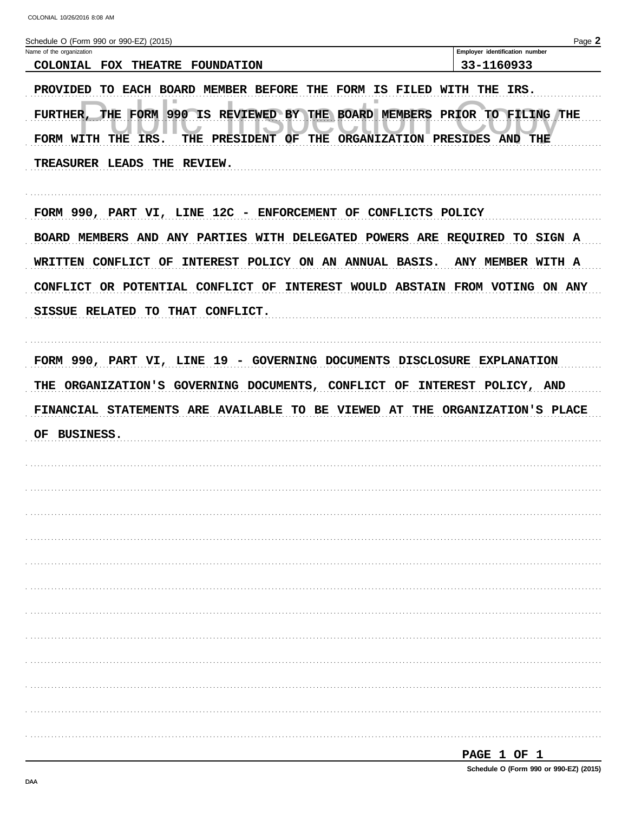| Schedule O (Form 990 or 990-EZ) (2015)                                                             | Page 2                                       |
|----------------------------------------------------------------------------------------------------|----------------------------------------------|
| Name of the organization                                                                           | Employer identification number<br>33-1160933 |
| COLONIAL FOX THEATRE FOUNDATION                                                                    |                                              |
| TO EACH BOARD MEMBER BEFORE THE FORM IS<br><b>PROVIDED</b><br><b>FILED WITH</b>                    | THE IRS.                                     |
| FURTHER, THE FORM 990 IS REVIEWED BY THE BOARD MEMBERS PRIOR TO FILING THE                         |                                              |
| THE<br>FORM WITH THE IRS.<br><b>THE</b><br><b>PRESIDENT</b><br>OF<br>ORGANIZATION PRESIDES AND THE |                                              |
| <b>THE</b><br>TREASURER LEADS<br><b>REVIEW.</b>                                                    |                                              |
| FORM 990, PART VI, LINE 12C - ENFORCEMENT OF CONFLICTS POLICY                                      |                                              |
| BOARD MEMBERS AND ANY PARTIES WITH DELEGATED POWERS ARE REQUIRED TO SIGN A                         |                                              |
| INTEREST POLICY ON AN ANNUAL BASIS.<br>WRITTEN CONFLICT OF                                         | ANY MEMBER WITH A                            |
| CONFLICT OR POTENTIAL CONFLICT OF INTEREST WOULD ABSTAIN FROM VOTING ON ANY                        |                                              |
| SISSUE RELATED TO THAT CONFLICT.                                                                   |                                              |
|                                                                                                    |                                              |
| FORM 990, PART VI, LINE 19 - GOVERNING DOCUMENTS DISCLOSURE EXPLANATION                            |                                              |
| ORGANIZATION'S GOVERNING DOCUMENTS, CONFLICT OF<br>THE                                             | INTEREST POLICY, AND                         |
| FINANCIAL STATEMENTS ARE AVAILABLE TO BE VIEWED AT                                                 | THE ORGANIZATION'S PLACE                     |
| <b>BUSINESS.</b><br>OF.                                                                            |                                              |
|                                                                                                    |                                              |
|                                                                                                    |                                              |
|                                                                                                    |                                              |
|                                                                                                    |                                              |
|                                                                                                    |                                              |
|                                                                                                    |                                              |
|                                                                                                    |                                              |
|                                                                                                    |                                              |
|                                                                                                    |                                              |
|                                                                                                    |                                              |
|                                                                                                    |                                              |
|                                                                                                    |                                              |
|                                                                                                    |                                              |